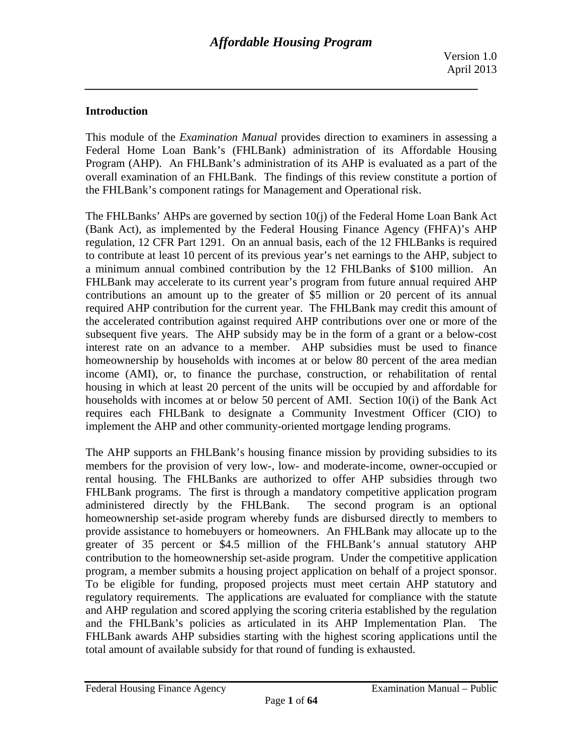### **Introduction**

This module of the *Examination Manual* provides direction to examiners in assessing a Federal Home Loan Bank's (FHLBank) administration of its Affordable Housing Program (AHP). An FHLBank's administration of its AHP is evaluated as a part of the overall examination of an FHLBank. The findings of this review constitute a portion of the FHLBank's component ratings for Management and Operational risk.

The FHLBanks' AHPs are governed by section 10(j) of the Federal Home Loan Bank Act (Bank Act), as implemented by the Federal Housing Finance Agency (FHFA)'s AHP regulation, 12 CFR Part 1291. On an annual basis, each of the 12 FHLBanks is required to contribute at least 10 percent of its previous year's net earnings to the AHP, subject to a minimum annual combined contribution by the 12 FHLBanks of \$100 million. An FHLBank may accelerate to its current year's program from future annual required AHP contributions an amount up to the greater of \$5 million or 20 percent of its annual required AHP contribution for the current year. The FHLBank may credit this amount of the accelerated contribution against required AHP contributions over one or more of the subsequent five years. The AHP subsidy may be in the form of a grant or a below-cost interest rate on an advance to a member. AHP subsidies must be used to finance homeownership by households with incomes at or below 80 percent of the area median income (AMI), or, to finance the purchase, construction, or rehabilitation of rental housing in which at least 20 percent of the units will be occupied by and affordable for households with incomes at or below 50 percent of AMI. Section 10(i) of the Bank Act requires each FHLBank to designate a Community Investment Officer (CIO) to implement the AHP and other community-oriented mortgage lending programs.

The AHP supports an FHLBank's housing finance mission by providing subsidies to its members for the provision of very low-, low- and moderate-income, owner-occupied or rental housing. The FHLBanks are authorized to offer AHP subsidies through two FHLBank programs. The first is through a mandatory competitive application program administered directly by the FHLBank. The second program is an optional homeownership set-aside program whereby funds are disbursed directly to members to provide assistance to homebuyers or homeowners. An FHLBank may allocate up to the greater of 35 percent or \$4.5 million of the FHLBank's annual statutory AHP contribution to the homeownership set-aside program. Under the competitive application program, a member submits a housing project application on behalf of a project sponsor. To be eligible for funding, proposed projects must meet certain AHP statutory and regulatory requirements. The applications are evaluated for compliance with the statute and AHP regulation and scored applying the scoring criteria established by the regulation and the FHLBank's policies as articulated in its AHP Implementation Plan. The FHLBank awards AHP subsidies starting with the highest scoring applications until the total amount of available subsidy for that round of funding is exhausted.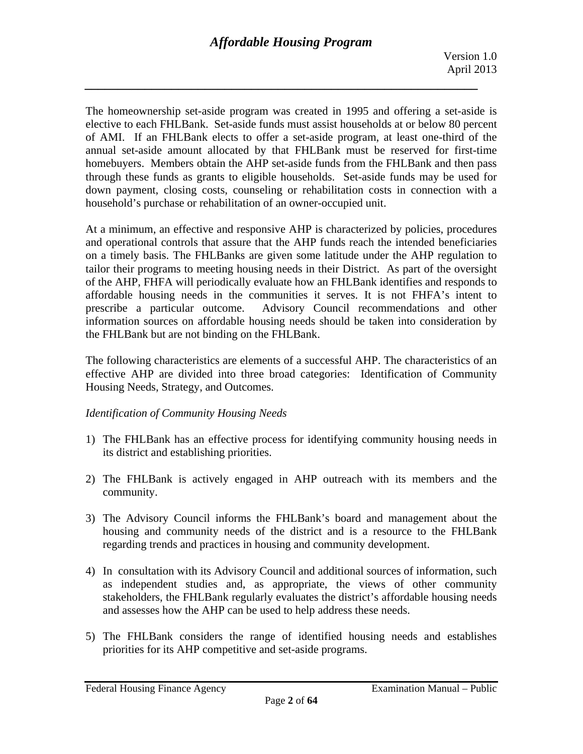The homeownership set-aside program was created in 1995 and offering a set-aside is elective to each FHLBank. Set-aside funds must assist households at or below 80 percent of AMI. If an FHLBank elects to offer a set-aside program, at least one-third of the annual set-aside amount allocated by that FHLBank must be reserved for first-time homebuyers. Members obtain the AHP set-aside funds from the FHLBank and then pass through these funds as grants to eligible households. Set-aside funds may be used for down payment, closing costs, counseling or rehabilitation costs in connection with a household's purchase or rehabilitation of an owner-occupied unit.

At a minimum, an effective and responsive AHP is characterized by policies, procedures and operational controls that assure that the AHP funds reach the intended beneficiaries on a timely basis. The FHLBanks are given some latitude under the AHP regulation to tailor their programs to meeting housing needs in their District. As part of the oversight of the AHP, FHFA will periodically evaluate how an FHLBank identifies and responds to affordable housing needs in the communities it serves. It is not FHFA's intent to prescribe a particular outcome. Advisory Council recommendations and other information sources on affordable housing needs should be taken into consideration by the FHLBank but are not binding on the FHLBank.

The following characteristics are elements of a successful AHP. The characteristics of an effective AHP are divided into three broad categories: Identification of Community Housing Needs, Strategy, and Outcomes.

### *Identification of Community Housing Needs*

- 1) The FHLBank has an effective process for identifying community housing needs in its district and establishing priorities.
- 2) The FHLBank is actively engaged in AHP outreach with its members and the community.
- 3) The Advisory Council informs the FHLBank's board and management about the housing and community needs of the district and is a resource to the FHLBank regarding trends and practices in housing and community development.
- 4) In consultation with its Advisory Council and additional sources of information, such as independent studies and, as appropriate, the views of other community stakeholders, the FHLBank regularly evaluates the district's affordable housing needs and assesses how the AHP can be used to help address these needs.
- 5) The FHLBank considers the range of identified housing needs and establishes priorities for its AHP competitive and set-aside programs.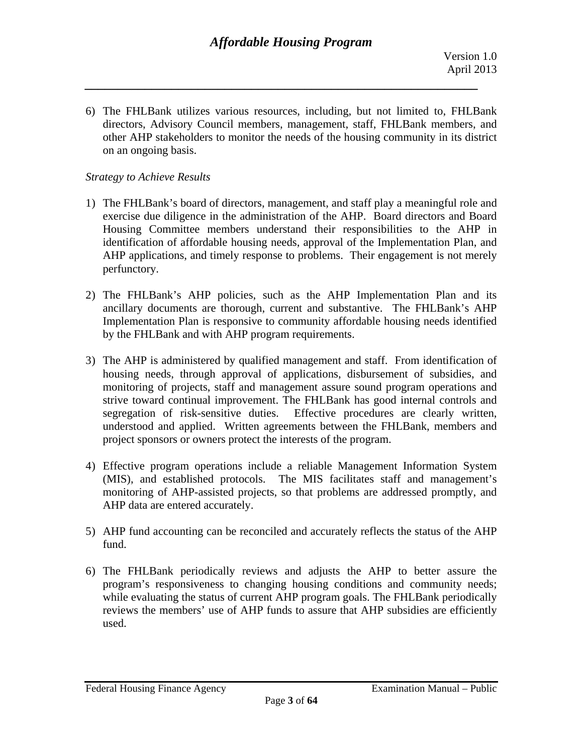6) The FHLBank utilizes various resources, including, but not limited to, FHLBank directors, Advisory Council members, management, staff, FHLBank members, and other AHP stakeholders to monitor the needs of the housing community in its district on an ongoing basis.

#### *Strategy to Achieve Results*

- 1) The FHLBank's board of directors, management, and staff play a meaningful role and exercise due diligence in the administration of the AHP. Board directors and Board Housing Committee members understand their responsibilities to the AHP in identification of affordable housing needs, approval of the Implementation Plan, and AHP applications, and timely response to problems. Their engagement is not merely perfunctory.
- 2) The FHLBank's AHP policies, such as the AHP Implementation Plan and its ancillary documents are thorough, current and substantive. The FHLBank's AHP Implementation Plan is responsive to community affordable housing needs identified by the FHLBank and with AHP program requirements.
- 3) The AHP is administered by qualified management and staff. From identification of housing needs, through approval of applications, disbursement of subsidies, and monitoring of projects, staff and management assure sound program operations and strive toward continual improvement. The FHLBank has good internal controls and segregation of risk-sensitive duties. Effective procedures are clearly written, understood and applied. Written agreements between the FHLBank, members and project sponsors or owners protect the interests of the program.
- 4) Effective program operations include a reliable Management Information System (MIS), and established protocols. The MIS facilitates staff and management's monitoring of AHP-assisted projects, so that problems are addressed promptly, and AHP data are entered accurately.
- 5) AHP fund accounting can be reconciled and accurately reflects the status of the AHP fund.
- 6) The FHLBank periodically reviews and adjusts the AHP to better assure the program's responsiveness to changing housing conditions and community needs; while evaluating the status of current AHP program goals. The FHLBank periodically reviews the members' use of AHP funds to assure that AHP subsidies are efficiently used.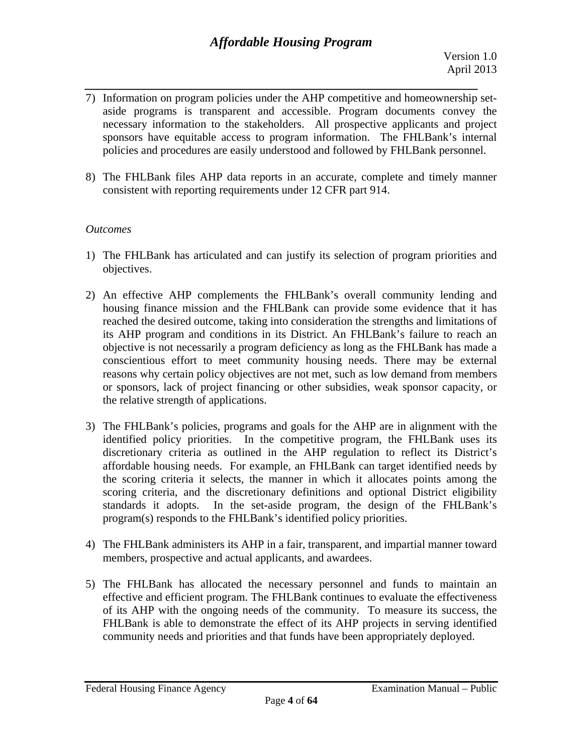- *\_\_\_\_\_\_\_\_\_\_\_\_\_\_\_\_\_\_\_\_\_\_\_\_\_\_\_\_\_\_\_\_\_\_\_\_\_\_\_\_\_\_\_\_\_\_\_\_\_\_\_\_\_\_\_\_\_\_\_*  7) Information on program policies under the AHP competitive and homeownership setaside programs is transparent and accessible. Program documents convey the necessary information to the stakeholders. All prospective applicants and project sponsors have equitable access to program information. The FHLBank's internal policies and procedures are easily understood and followed by FHLBank personnel.
- 8) The FHLBank files AHP data reports in an accurate, complete and timely manner consistent with reporting requirements under 12 CFR part 914.

### *Outcomes*

- 1) The FHLBank has articulated and can justify its selection of program priorities and objectives.
- 2) An effective AHP complements the FHLBank's overall community lending and housing finance mission and the FHLBank can provide some evidence that it has reached the desired outcome, taking into consideration the strengths and limitations of its AHP program and conditions in its District. An FHLBank's failure to reach an objective is not necessarily a program deficiency as long as the FHLBank has made a conscientious effort to meet community housing needs. There may be external reasons why certain policy objectives are not met, such as low demand from members or sponsors, lack of project financing or other subsidies, weak sponsor capacity, or the relative strength of applications.
- 3) The FHLBank's policies, programs and goals for the AHP are in alignment with the identified policy priorities. In the competitive program, the FHLBank uses its discretionary criteria as outlined in the AHP regulation to reflect its District's affordable housing needs. For example, an FHLBank can target identified needs by the scoring criteria it selects, the manner in which it allocates points among the scoring criteria, and the discretionary definitions and optional District eligibility standards it adopts. In the set-aside program, the design of the FHLBank's program(s) responds to the FHLBank's identified policy priorities.
- 4) The FHLBank administers its AHP in a fair, transparent, and impartial manner toward members, prospective and actual applicants, and awardees.
- 5) The FHLBank has allocated the necessary personnel and funds to maintain an effective and efficient program. The FHLBank continues to evaluate the effectiveness of its AHP with the ongoing needs of the community. To measure its success, the FHLBank is able to demonstrate the effect of its AHP projects in serving identified community needs and priorities and that funds have been appropriately deployed.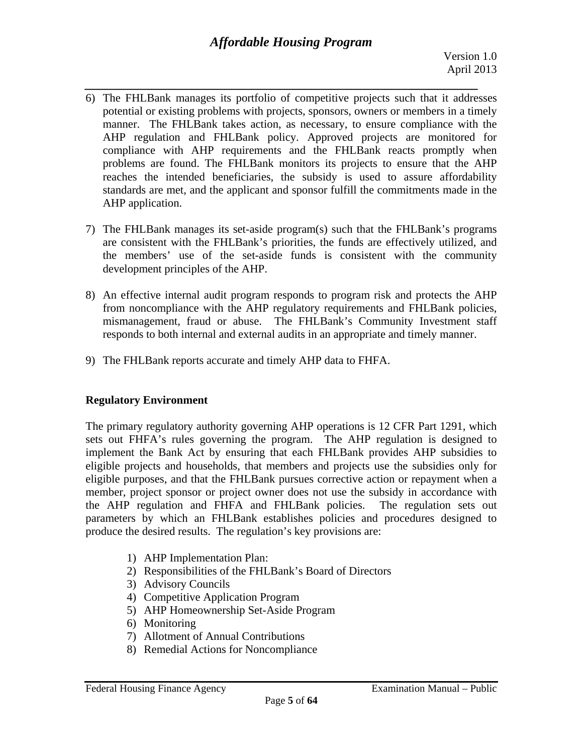- *\_\_\_\_\_\_\_\_\_\_\_\_\_\_\_\_\_\_\_\_\_\_\_\_\_\_\_\_\_\_\_\_\_\_\_\_\_\_\_\_\_\_\_\_\_\_\_\_\_\_\_\_\_\_\_\_\_\_\_*  6) The FHLBank manages its portfolio of competitive projects such that it addresses potential or existing problems with projects, sponsors, owners or members in a timely manner. The FHLBank takes action, as necessary, to ensure compliance with the AHP regulation and FHLBank policy. Approved projects are monitored for compliance with AHP requirements and the FHLBank reacts promptly when problems are found. The FHLBank monitors its projects to ensure that the AHP reaches the intended beneficiaries, the subsidy is used to assure affordability standards are met, and the applicant and sponsor fulfill the commitments made in the AHP application.
- 7) The FHLBank manages its set-aside program(s) such that the FHLBank's programs are consistent with the FHLBank's priorities, the funds are effectively utilized, and the members' use of the set-aside funds is consistent with the community development principles of the AHP.
- 8) An effective internal audit program responds to program risk and protects the AHP from noncompliance with the AHP regulatory requirements and FHLBank policies, mismanagement, fraud or abuse. The FHLBank's Community Investment staff responds to both internal and external audits in an appropriate and timely manner.
- 9) The FHLBank reports accurate and timely AHP data to FHFA.

# **Regulatory Environment**

The primary regulatory authority governing AHP operations is 12 CFR Part 1291, which sets out FHFA's rules governing the program. The AHP regulation is designed to implement the Bank Act by ensuring that each FHLBank provides AHP subsidies to eligible projects and households, that members and projects use the subsidies only for eligible purposes, and that the FHLBank pursues corrective action or repayment when a member, project sponsor or project owner does not use the subsidy in accordance with the AHP regulation and FHFA and FHLBank policies. The regulation sets out parameters by which an FHLBank establishes policies and procedures designed to produce the desired results. The regulation's key provisions are:

- 1) AHP Implementation Plan:
- 2) Responsibilities of the FHLBank's Board of Directors
- 3) Advisory Councils
- 4) Competitive Application Program
- 5) AHP Homeownership Set-Aside Program
- 6) Monitoring
- 7) Allotment of Annual Contributions
- 8) Remedial Actions for Noncompliance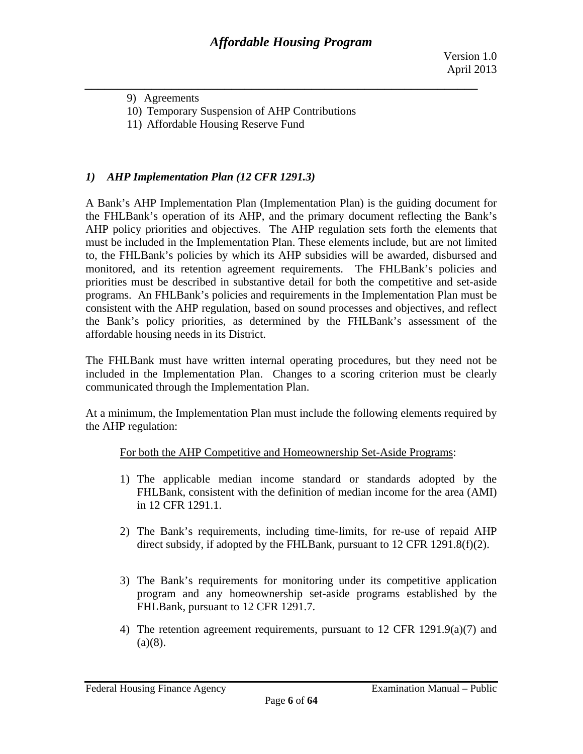9) Agreements

- 10) Temporary Suspension of AHP Contributions
- 11) Affordable Housing Reserve Fund

### *1) AHP Implementation Plan (12 CFR 1291.3)*

A Bank's AHP Implementation Plan (Implementation Plan) is the guiding document for the FHLBank's operation of its AHP, and the primary document reflecting the Bank's AHP policy priorities and objectives. The AHP regulation sets forth the elements that must be included in the Implementation Plan. These elements include, but are not limited to, the FHLBank's policies by which its AHP subsidies will be awarded, disbursed and monitored, and its retention agreement requirements. The FHLBank's policies and priorities must be described in substantive detail for both the competitive and set-aside programs. An FHLBank's policies and requirements in the Implementation Plan must be consistent with the AHP regulation, based on sound processes and objectives, and reflect the Bank's policy priorities, as determined by the FHLBank's assessment of the affordable housing needs in its District.

The FHLBank must have written internal operating procedures, but they need not be included in the Implementation Plan. Changes to a scoring criterion must be clearly communicated through the Implementation Plan.

At a minimum, the Implementation Plan must include the following elements required by the AHP regulation:

#### For both the AHP Competitive and Homeownership Set-Aside Programs:

- 1) The applicable median income standard or standards adopted by the FHLBank, consistent with the definition of median income for the area (AMI) in 12 CFR 1291.1.
- 2) The Bank's requirements, including time-limits, for re-use of repaid AHP direct subsidy, if adopted by the FHLBank, pursuant to 12 CFR 1291.8(f)(2).
- 3) The Bank's requirements for monitoring under its competitive application program and any homeownership set-aside programs established by the FHLBank, pursuant to 12 CFR 1291.7.
- 4) The retention agreement requirements, pursuant to 12 CFR 1291.9(a)(7) and  $(a)(8)$ .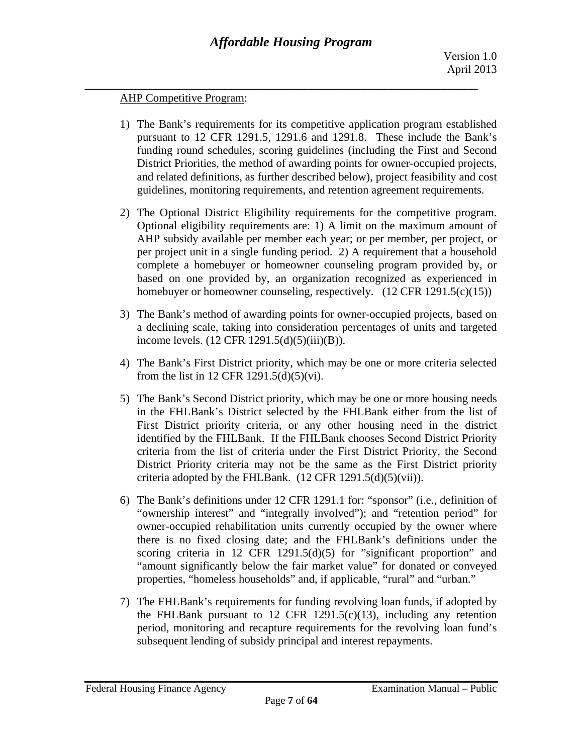#### AHP Competitive Program:

- 1) The Bank's requirements for its competitive application program established pursuant to 12 CFR 1291.5, 1291.6 and 1291.8. These include the Bank's funding round schedules, scoring guidelines (including the First and Second District Priorities, the method of awarding points for owner-occupied projects, and related definitions, as further described below), project feasibility and cost guidelines, monitoring requirements, and retention agreement requirements.
- 2) The Optional District Eligibility requirements for the competitive program. Optional eligibility requirements are: 1) A limit on the maximum amount of AHP subsidy available per member each year; or per member, per project, or per project unit in a single funding period. 2) A requirement that a household complete a homebuyer or homeowner counseling program provided by, or based on one provided by, an organization recognized as experienced in homebuyer or homeowner counseling, respectively. (12 CFR 1291.5(c)(15))
- 3) The Bank's method of awarding points for owner-occupied projects, based on a declining scale, taking into consideration percentages of units and targeted income levels. (12 CFR 1291.5(d)(5)(iii)(B)).
- 4) The Bank's First District priority, which may be one or more criteria selected from the list in 12 CFR 1291.5(d)(5)(vi).
- 5) The Bank's Second District priority, which may be one or more housing needs in the FHLBank's District selected by the FHLBank either from the list of First District priority criteria, or any other housing need in the district identified by the FHLBank. If the FHLBank chooses Second District Priority criteria from the list of criteria under the First District Priority, the Second District Priority criteria may not be the same as the First District priority criteria adopted by the FHLBank.  $(12 \text{ CFR } 1291.5(d)(5)(vii))$ .
- 6) The Bank's definitions under 12 CFR 1291.1 for: "sponsor" (i.e., definition of "ownership interest" and "integrally involved"); and "retention period" for owner-occupied rehabilitation units currently occupied by the owner where there is no fixed closing date; and the FHLBank's definitions under the scoring criteria in 12 CFR 1291.5(d)(5) for "significant proportion" and "amount significantly below the fair market value" for donated or conveyed properties, "homeless households" and, if applicable, "rural" and "urban."
- 7) The FHLBank's requirements for funding revolving loan funds, if adopted by the FHLBank pursuant to 12 CFR 1291.5(c)(13), including any retention period, monitoring and recapture requirements for the revolving loan fund's subsequent lending of subsidy principal and interest repayments.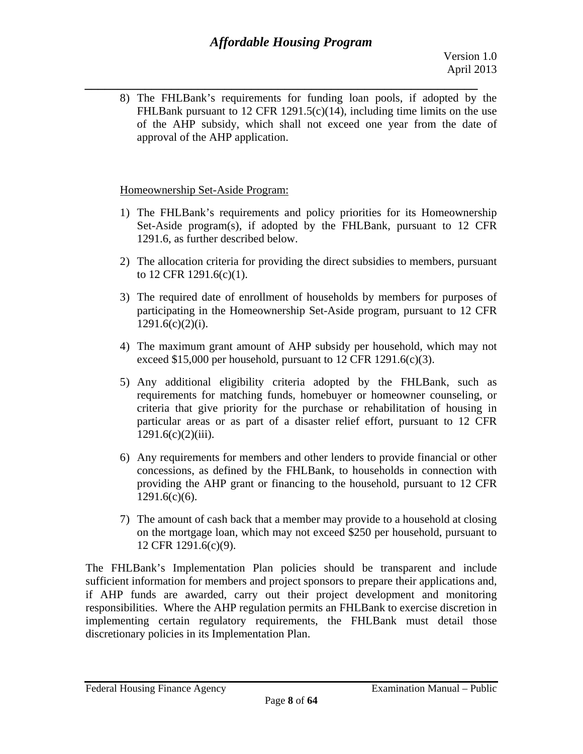*\_\_\_\_\_\_\_\_\_\_\_\_\_\_\_\_\_\_\_\_\_\_\_\_\_\_\_\_\_\_\_\_\_\_\_\_\_\_\_\_\_\_\_\_\_\_\_\_\_\_\_\_\_\_\_\_\_\_\_*  8) The FHLBank's requirements for funding loan pools, if adopted by the FHLBank pursuant to 12 CFR 1291.5(c)(14), including time limits on the use of the AHP subsidy, which shall not exceed one year from the date of approval of the AHP application.

# Homeownership Set-Aside Program:

- 1) The FHLBank's requirements and policy priorities for its Homeownership Set-Aside program(s), if adopted by the FHLBank, pursuant to 12 CFR 1291.6, as further described below.
- 2) The allocation criteria for providing the direct subsidies to members, pursuant to 12 CFR 1291.6(c)(1).
- 3) The required date of enrollment of households by members for purposes of participating in the Homeownership Set-Aside program, pursuant to 12 CFR  $1291.6(c)(2)(i)$ .
- 4) The maximum grant amount of AHP subsidy per household, which may not exceed \$15,000 per household, pursuant to 12 CFR 1291.6(c)(3).
- 5) Any additional eligibility criteria adopted by the FHLBank, such as requirements for matching funds, homebuyer or homeowner counseling, or criteria that give priority for the purchase or rehabilitation of housing in particular areas or as part of a disaster relief effort, pursuant to 12 CFR  $1291.6(c)(2)(iii)$ .
- 6) Any requirements for members and other lenders to provide financial or other concessions, as defined by the FHLBank, to households in connection with providing the AHP grant or financing to the household, pursuant to 12 CFR 1291.6(c)(6).
- 7) The amount of cash back that a member may provide to a household at closing on the mortgage loan, which may not exceed \$250 per household, pursuant to 12 CFR 1291.6(c)(9).

discretionary policies in its Implementation Plan. The FHLBank's Implementation Plan policies should be transparent and include sufficient information for members and project sponsors to prepare their applications and, if AHP funds are awarded, carry out their project development and monitoring responsibilities. Where the AHP regulation permits an FHLBank to exercise discretion in implementing certain regulatory requirements, the FHLBank must detail those discretionary policies in its Implementation Plan.<br>Federal Housing Finance Agency Examination Manual – Public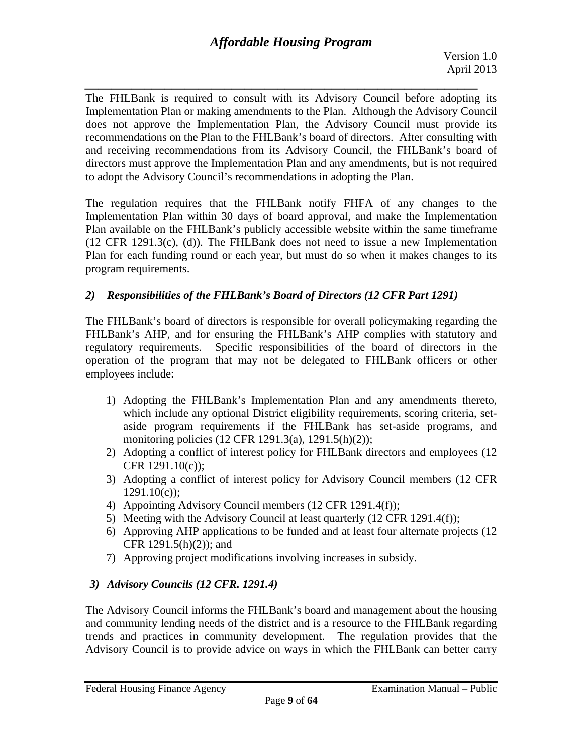*\_\_\_\_\_\_\_\_\_\_\_\_\_\_\_\_\_\_\_\_\_\_\_\_\_\_\_\_\_\_\_\_\_\_\_\_\_\_\_\_\_\_\_\_\_\_\_\_\_\_\_\_\_\_\_\_\_\_\_*  The FHLBank is required to consult with its Advisory Council before adopting its Implementation Plan or making amendments to the Plan. Although the Advisory Council does not approve the Implementation Plan, the Advisory Council must provide its recommendations on the Plan to the FHLBank's board of directors. After consulting with and receiving recommendations from its Advisory Council, the FHLBank's board of directors must approve the Implementation Plan and any amendments, but is not required to adopt the Advisory Council's recommendations in adopting the Plan.

The regulation requires that the FHLBank notify FHFA of any changes to the Implementation Plan within 30 days of board approval, and make the Implementation Plan available on the FHLBank's publicly accessible website within the same timeframe (12 CFR 1291.3(c), (d)). The FHLBank does not need to issue a new Implementation Plan for each funding round or each year, but must do so when it makes changes to its program requirements.

# *2) Responsibilities of the FHLBank's Board of Directors (12 CFR Part 1291)*

The FHLBank's board of directors is responsible for overall policymaking regarding the FHLBank's AHP, and for ensuring the FHLBank's AHP complies with statutory and regulatory requirements. Specific responsibilities of the board of directors in the operation of the program that may not be delegated to FHLBank officers or other employees include:

- 1) Adopting the FHLBank's Implementation Plan and any amendments thereto, which include any optional District eligibility requirements, scoring criteria, setaside program requirements if the FHLBank has set-aside programs, and monitoring policies (12 CFR 1291.3(a), 1291.5(h)(2));
- 2) Adopting a conflict of interest policy for FHLBank directors and employees (12 CFR 1291.10(c));
- 3) Adopting a conflict of interest policy for Advisory Council members (12 CFR  $1291.10(c)$ ;
- 4) Appointing Advisory Council members (12 CFR 1291.4(f));
- 5) Meeting with the Advisory Council at least quarterly (12 CFR 1291.4(f));
- 6) Approving AHP applications to be funded and at least four alternate projects (12 CFR 1291.5(h)(2)); and
- 7) Approving project modifications involving increases in subsidy.

# *3) Advisory Councils (12 CFR. 1291.4)*

The Advisory Council informs the FHLBank's board and management about the housing and community lending needs of the district and is a resource to the FHLBank regarding trends and practices in community development. The regulation provides that the Advisory Council is to provide advice on ways in which the FHLBank can better carry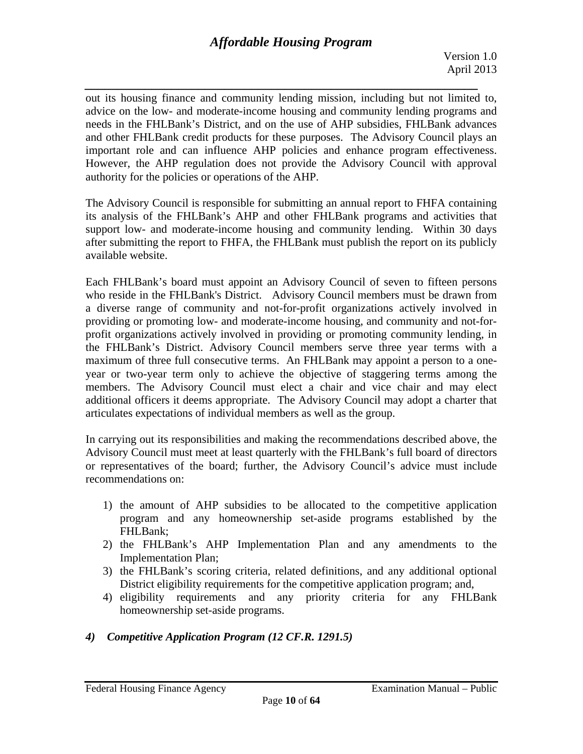*\_\_\_\_\_\_\_\_\_\_\_\_\_\_\_\_\_\_\_\_\_\_\_\_\_\_\_\_\_\_\_\_\_\_\_\_\_\_\_\_\_\_\_\_\_\_\_\_\_\_\_\_\_\_\_\_\_\_\_*  out its housing finance and community lending mission, including but not limited to, advice on the low- and moderate-income housing and community lending programs and needs in the FHLBank's District, and on the use of AHP subsidies, FHLBank advances and other FHLBank credit products for these purposes. The Advisory Council plays an important role and can influence AHP policies and enhance program effectiveness. However, the AHP regulation does not provide the Advisory Council with approval authority for the policies or operations of the AHP.

The Advisory Council is responsible for submitting an annual report to FHFA containing its analysis of the FHLBank's AHP and other FHLBank programs and activities that support low- and moderate-income housing and community lending. Within 30 days after submitting the report to FHFA, the FHLBank must publish the report on its publicly available website.

Each FHLBank's board must appoint an Advisory Council of seven to fifteen persons who reside in the FHLBank's District. Advisory Council members must be drawn from a diverse range of community and not-for-profit organizations actively involved in providing or promoting low- and moderate-income housing, and community and not-forprofit organizations actively involved in providing or promoting community lending, in the FHLBank's District. Advisory Council members serve three year terms with a maximum of three full consecutive terms. An FHLBank may appoint a person to a oneyear or two-year term only to achieve the objective of staggering terms among the members. The Advisory Council must elect a chair and vice chair and may elect additional officers it deems appropriate. The Advisory Council may adopt a charter that articulates expectations of individual members as well as the group.

In carrying out its responsibilities and making the recommendations described above, the Advisory Council must meet at least quarterly with the FHLBank's full board of directors or representatives of the board; further, the Advisory Council's advice must include recommendations on:

- 1) the amount of AHP subsidies to be allocated to the competitive application program and any homeownership set-aside programs established by the FHLBank;
- 2) the FHLBank's AHP Implementation Plan and any amendments to the Implementation Plan;
- 3) the FHLBank's scoring criteria, related definitions, and any additional optional District eligibility requirements for the competitive application program; and,
- 4) eligibility requirements and any priority criteria for any FHLBank homeownership set-aside programs.

# *4) Competitive Application Program (12 CF.R. 1291.5)*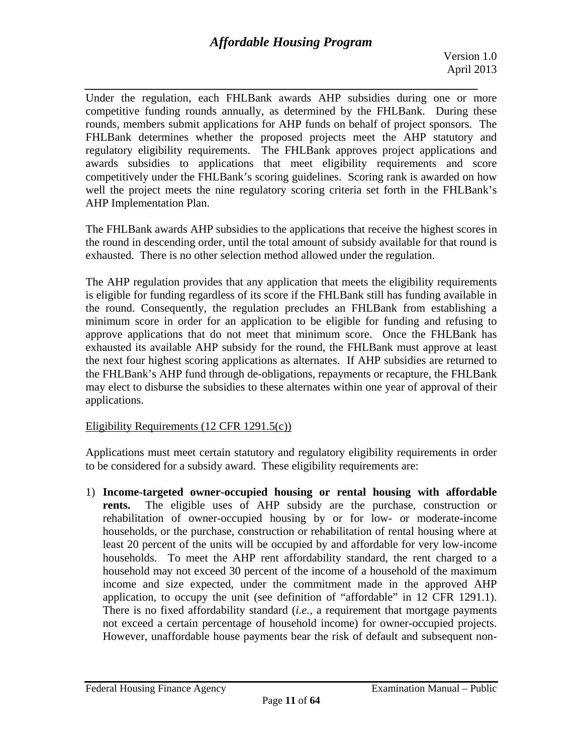*\_\_\_\_\_\_\_\_\_\_\_\_\_\_\_\_\_\_\_\_\_\_\_\_\_\_\_\_\_\_\_\_\_\_\_\_\_\_\_\_\_\_\_\_\_\_\_\_\_\_\_\_\_\_\_\_\_\_\_*  Under the regulation, each FHLBank awards AHP subsidies during one or more competitive funding rounds annually, as determined by the FHLBank. During these rounds, members submit applications for AHP funds on behalf of project sponsors. The FHLBank determines whether the proposed projects meet the AHP statutory and regulatory eligibility requirements. The FHLBank approves project applications and awards subsidies to applications that meet eligibility requirements and score competitively under the FHLBank's scoring guidelines. Scoring rank is awarded on how well the project meets the nine regulatory scoring criteria set forth in the FHLBank's AHP Implementation Plan.

The FHLBank awards AHP subsidies to the applications that receive the highest scores in the round in descending order, until the total amount of subsidy available for that round is exhausted. There is no other selection method allowed under the regulation.

The AHP regulation provides that any application that meets the eligibility requirements is eligible for funding regardless of its score if the FHLBank still has funding available in the round. Consequently, the regulation precludes an FHLBank from establishing a minimum score in order for an application to be eligible for funding and refusing to approve applications that do not meet that minimum score. Once the FHLBank has exhausted its available AHP subsidy for the round, the FHLBank must approve at least the next four highest scoring applications as alternates. If AHP subsidies are returned to the FHLBank's AHP fund through de-obligations, repayments or recapture, the FHLBank may elect to disburse the subsidies to these alternates within one year of approval of their applications.

# Eligibility Requirements (12 CFR 1291.5(c))

Applications must meet certain statutory and regulatory eligibility requirements in order to be considered for a subsidy award. These eligibility requirements are:

1) **Income-targeted owner-occupied housing or rental housing with affordable rents.** The eligible uses of AHP subsidy are the purchase, construction or rehabilitation of owner-occupied housing by or for low- or moderate-income households, or the purchase, construction or rehabilitation of rental housing where at least 20 percent of the units will be occupied by and affordable for very low-income households. To meet the AHP rent affordability standard, the rent charged to a household may not exceed 30 percent of the income of a household of the maximum income and size expected, under the commitment made in the approved AHP application, to occupy the unit (see definition of "affordable" in 12 CFR 1291.1). There is no fixed affordability standard (*i.e.,* a requirement that mortgage payments not exceed a certain percentage of household income) for owner-occupied projects. However, unaffordable house payments bear the risk of default and subsequent non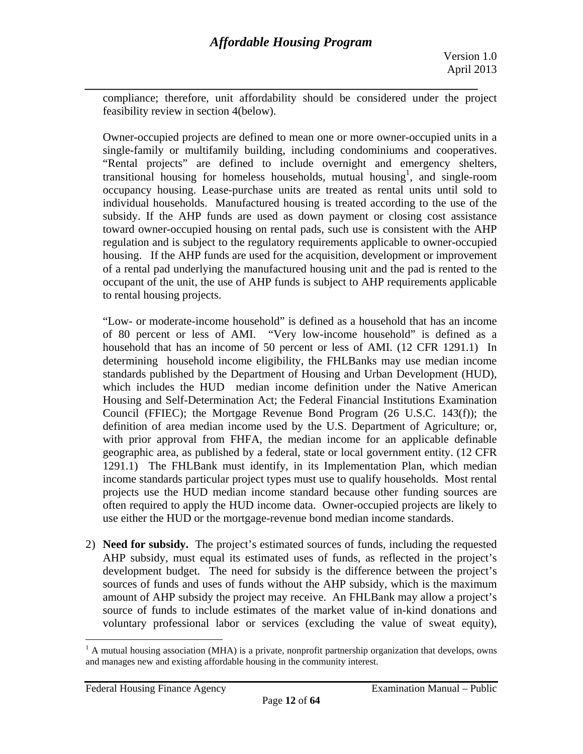*\_\_\_\_\_\_\_\_\_\_\_\_\_\_\_\_\_\_\_\_\_\_\_\_\_\_\_\_\_\_\_\_\_\_\_\_\_\_\_\_\_\_\_\_\_\_\_\_\_\_\_\_\_\_\_\_\_\_\_*  compliance; therefore, unit affordability should be considered under the project feasibility review in section 4(below).

Owner-occupied projects are defined to mean one or more owner-occupied units in a single-family or multifamily building, including condominiums and cooperatives. "Rental projects" are defined to include overnight and emergency shelters, transitional housing for homeless households, mutual housing<sup>1</sup>, and single-room occupancy housing. Lease-purchase units are treated as rental units until sold to individual households. Manufactured housing is treated according to the use of the subsidy. If the AHP funds are used as down payment or closing cost assistance toward owner-occupied housing on rental pads, such use is consistent with the AHP regulation and is subject to the regulatory requirements applicable to owner-occupied housing. If the AHP funds are used for the acquisition, development or improvement of a rental pad underlying the manufactured housing unit and the pad is rented to the occupant of the unit, the use of AHP funds is subject to AHP requirements applicable to rental housing projects.

"Low- or moderate-income household" is defined as a household that has an income of 80 percent or less of AMI. "Very low-income household" is defined as a household that has an income of 50 percent or less of AMI. (12 CFR 1291.1) In determining household income eligibility, the FHLBanks may use median income standards published by the Department of Housing and Urban Development (HUD), which includes the HUD median income definition under the Native American Housing and Self-Determination Act; the Federal Financial Institutions Examination Council (FFIEC); the Mortgage Revenue Bond Program (26 U.S.C. 143(f)); the definition of area median income used by the U.S. Department of Agriculture; or, with prior approval from FHFA, the median income for an applicable definable geographic area, as published by a federal, state or local government entity. (12 CFR 1291.1) The FHLBank must identify, in its Implementation Plan, which median income standards particular project types must use to qualify households. Most rental projects use the HUD median income standard because other funding sources are often required to apply the HUD income data. Owner-occupied projects are likely to use either the HUD or the mortgage-revenue bond median income standards.

2) **Need for subsidy.** The project's estimated sources of funds, including the requested AHP subsidy, must equal its estimated uses of funds, as reflected in the project's development budget. The need for subsidy is the difference between the project's sources of funds and uses of funds without the AHP subsidy, which is the maximum amount of AHP subsidy the project may receive. An FHLBank may allow a project's source of funds to include estimates of the market value of in-kind donations and voluntary professional labor or services (excluding the value of sweat equity),

 $\overline{a}$ 

 $<sup>1</sup>$  A mutual housing association (MHA) is a private, nonprofit partnership organization that develops, owns</sup> and manages new and existing affordable housing in the community interest.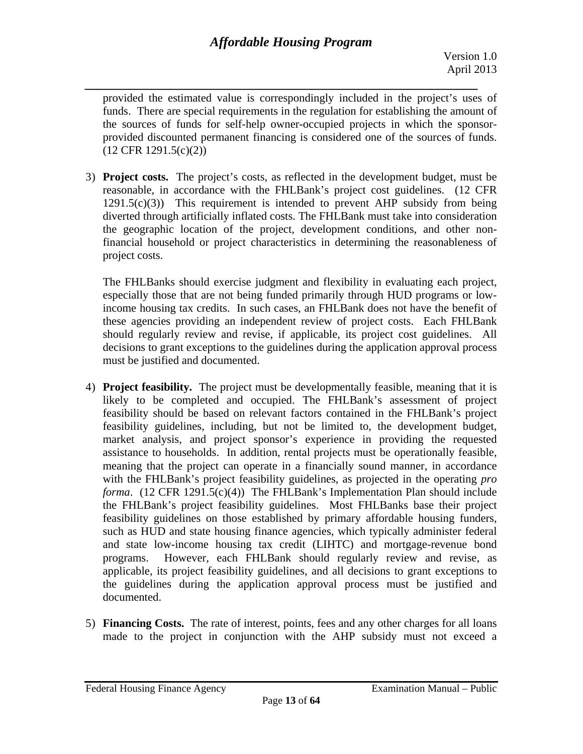*\_\_\_\_\_\_\_\_\_\_\_\_\_\_\_\_\_\_\_\_\_\_\_\_\_\_\_\_\_\_\_\_\_\_\_\_\_\_\_\_\_\_\_\_\_\_\_\_\_\_\_\_\_\_\_\_\_\_\_*  provided the estimated value is correspondingly included in the project's uses of funds. There are special requirements in the regulation for establishing the amount of the sources of funds for self-help owner-occupied projects in which the sponsorprovided discounted permanent financing is considered one of the sources of funds. (12 CFR 1291.5(c)(2))

3) **Project costs.** The project's costs, as reflected in the development budget, must be reasonable, in accordance with the FHLBank's project cost guidelines. (12 CFR  $1291.5(c)(3)$  This requirement is intended to prevent AHP subsidy from being diverted through artificially inflated costs. The FHLBank must take into consideration the geographic location of the project, development conditions, and other nonfinancial household or project characteristics in determining the reasonableness of project costs.

The FHLBanks should exercise judgment and flexibility in evaluating each project, especially those that are not being funded primarily through HUD programs or lowincome housing tax credits. In such cases, an FHLBank does not have the benefit of these agencies providing an independent review of project costs. Each FHLBank should regularly review and revise, if applicable, its project cost guidelines. All decisions to grant exceptions to the guidelines during the application approval process must be justified and documented.

- 4) **Project feasibility.** The project must be developmentally feasible, meaning that it is likely to be completed and occupied. The FHLBank's assessment of project feasibility should be based on relevant factors contained in the FHLBank's project feasibility guidelines, including, but not be limited to, the development budget, market analysis, and project sponsor's experience in providing the requested assistance to households. In addition, rental projects must be operationally feasible, meaning that the project can operate in a financially sound manner, in accordance with the FHLBank's project feasibility guidelines, as projected in the operating *pro forma*. (12 CFR 1291.5(c)(4)) The FHLBank's Implementation Plan should include the FHLBank's project feasibility guidelines. Most FHLBanks base their project feasibility guidelines on those established by primary affordable housing funders, such as HUD and state housing finance agencies, which typically administer federal and state low-income housing tax credit (LIHTC) and mortgage-revenue bond programs. However, each FHLBank should regularly review and revise, as applicable, its project feasibility guidelines, and all decisions to grant exceptions to the guidelines during the application approval process must be justified and documented.
- 5) **Financing Costs.** The rate of interest, points, fees and any other charges for all loans made to the project in conjunction with the AHP subsidy must not exceed a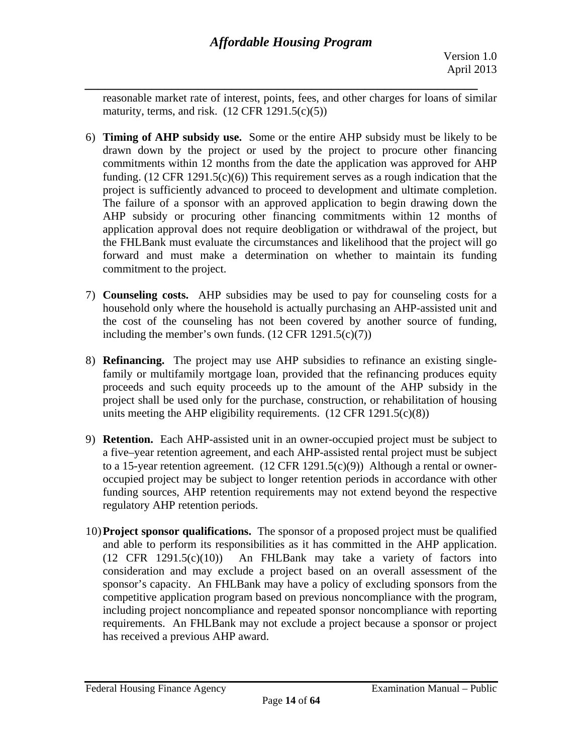*\_\_\_\_\_\_\_\_\_\_\_\_\_\_\_\_\_\_\_\_\_\_\_\_\_\_\_\_\_\_\_\_\_\_\_\_\_\_\_\_\_\_\_\_\_\_\_\_\_\_\_\_\_\_\_\_\_\_\_*  reasonable market rate of interest, points, fees, and other charges for loans of similar maturity, terms, and risk.  $(12 \text{ CFR } 1291.5(c)(5))$ 

- 6) **Timing of AHP subsidy use.** Some or the entire AHP subsidy must be likely to be drawn down by the project or used by the project to procure other financing commitments within 12 months from the date the application was approved for AHP funding. (12 CFR 1291.5(c)(6)) This requirement serves as a rough indication that the project is sufficiently advanced to proceed to development and ultimate completion. The failure of a sponsor with an approved application to begin drawing down the AHP subsidy or procuring other financing commitments within 12 months of application approval does not require deobligation or withdrawal of the project, but the FHLBank must evaluate the circumstances and likelihood that the project will go forward and must make a determination on whether to maintain its funding commitment to the project.
- 7) **Counseling costs.** AHP subsidies may be used to pay for counseling costs for a household only where the household is actually purchasing an AHP-assisted unit and the cost of the counseling has not been covered by another source of funding, including the member's own funds.  $(12 \text{ CFR } 1291.5(c)(7))$
- 8) **Refinancing.** The project may use AHP subsidies to refinance an existing singlefamily or multifamily mortgage loan, provided that the refinancing produces equity proceeds and such equity proceeds up to the amount of the AHP subsidy in the project shall be used only for the purchase, construction, or rehabilitation of housing units meeting the AHP eligibility requirements.  $(12 \text{ CFR } 1291.5(c)(8))$
- 9) **Retention.** Each AHP-assisted unit in an owner-occupied project must be subject to a five–year retention agreement, and each AHP-assisted rental project must be subject to a 15-year retention agreement.  $(12 \text{ CFR } 1291.5(c)(9))$  Although a rental or owneroccupied project may be subject to longer retention periods in accordance with other funding sources, AHP retention requirements may not extend beyond the respective regulatory AHP retention periods.
- and able to perform its responsibilities as it has committed in the AHP application.<br>(12 CFR 1291.5(c)(10)) An FHLBank may take a variety of factors into 10)**Project sponsor qualifications.** The sponsor of a proposed project must be qualified consideration and may exclude a project based on an overall assessment of the sponsor's capacity. An FHLBank may have a policy of excluding sponsors from the competitive application program based on previous noncompliance with the program, including project noncompliance and repeated sponsor noncompliance with reporting requirements. An FHLBank may not exclude a project because a sponsor or project has received a previous AHP award.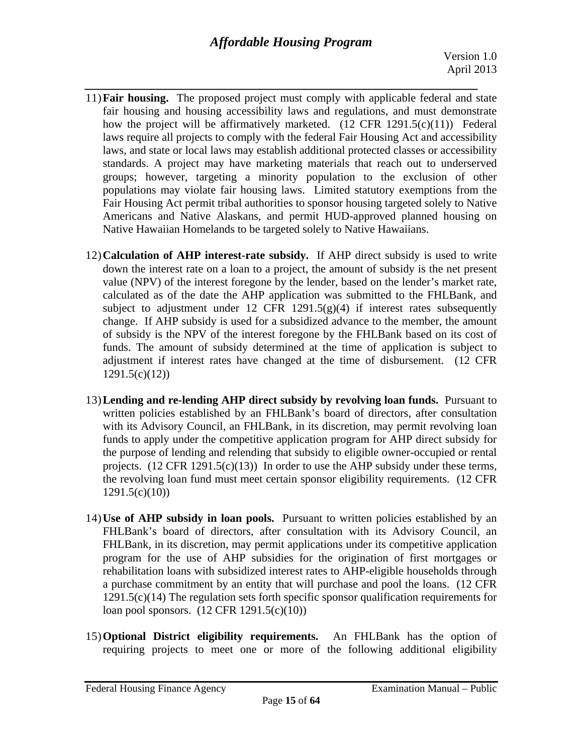- *\_\_\_\_\_\_\_\_\_\_\_\_\_\_\_\_\_\_\_\_\_\_\_\_\_\_\_\_\_\_\_\_\_\_\_\_\_\_\_\_\_\_\_\_\_\_\_\_\_\_\_\_\_\_\_\_\_\_\_*  11)**Fair housing.** The proposed project must comply with applicable federal and state fair housing and housing accessibility laws and regulations, and must demonstrate how the project will be affirmatively marketed. (12 CFR 1291.5(c)(11)) Federal laws require all projects to comply with the federal Fair Housing Act and accessibility laws, and state or local laws may establish additional protected classes or accessibility standards. A project may have marketing materials that reach out to underserved groups; however, targeting a minority population to the exclusion of other populations may violate fair housing laws. Limited statutory exemptions from the Fair Housing Act permit tribal authorities to sponsor housing targeted solely to Native Americans and Native Alaskans, and permit HUD-approved planned housing on Native Hawaiian Homelands to be targeted solely to Native Hawaiians.
- 12)**Calculation of AHP interest-rate subsidy.** If AHP direct subsidy is used to write down the interest rate on a loan to a project, the amount of subsidy is the net present value (NPV) of the interest foregone by the lender, based on the lender's market rate, calculated as of the date the AHP application was submitted to the FHLBank, and subject to adjustment under 12 CFR 1291.5 $(g)(4)$  if interest rates subsequently change. If AHP subsidy is used for a subsidized advance to the member, the amount of subsidy is the NPV of the interest foregone by the FHLBank based on its cost of funds. The amount of subsidy determined at the time of application is subject to adjustment if interest rates have changed at the time of disbursement. (12 CFR 1291.5(c)(12))
- 13)**Lending and re-lending AHP direct subsidy by revolving loan funds.** Pursuant to written policies established by an FHLBank's board of directors, after consultation with its Advisory Council, an FHLBank, in its discretion, may permit revolving loan funds to apply under the competitive application program for AHP direct subsidy for the purpose of lending and relending that subsidy to eligible owner-occupied or rental projects.  $(12 \text{ CFR } 1291.5(c)(13))$  In order to use the AHP subsidy under these terms, the revolving loan fund must meet certain sponsor eligibility requirements. (12 CFR 1291.5(c)(10))
- 14)**Use of AHP subsidy in loan pools.** Pursuant to written policies established by an FHLBank's board of directors, after consultation with its Advisory Council, an FHLBank, in its discretion, may permit applications under its competitive application program for the use of AHP subsidies for the origination of first mortgages or rehabilitation loans with subsidized interest rates to AHP-eligible households through a purchase commitment by an entity that will purchase and pool the loans. (12 CFR 1291.5(c)(14) The regulation sets forth specific sponsor qualification requirements for loan pool sponsors. (12 CFR 1291.5(c)(10))
- 15)**Optional District eligibility requirements.** An FHLBank has the option of requiring projects to meet one or more of the following additional eligibility

Federal Housing Finance Agency Examination Manual – Public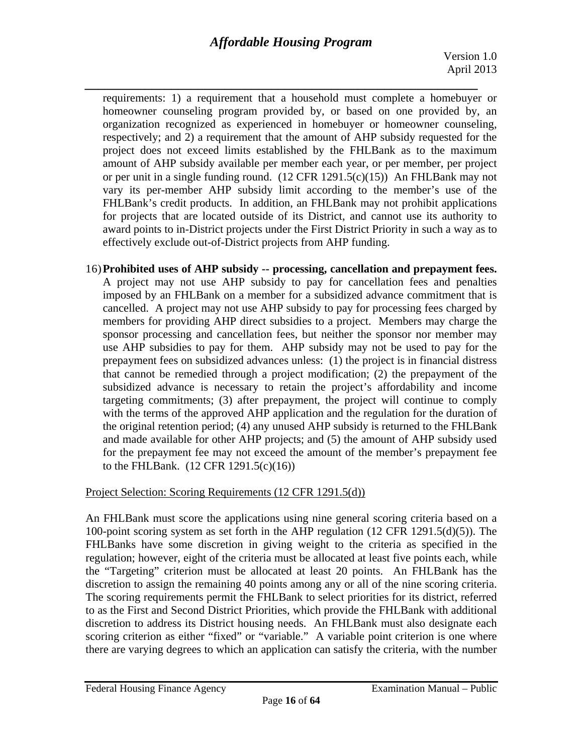*\_\_\_\_\_\_\_\_\_\_\_\_\_\_\_\_\_\_\_\_\_\_\_\_\_\_\_\_\_\_\_\_\_\_\_\_\_\_\_\_\_\_\_\_\_\_\_\_\_\_\_\_\_\_\_\_\_\_\_*  requirements: 1) a requirement that a household must complete a homebuyer or homeowner counseling program provided by, or based on one provided by, an organization recognized as experienced in homebuyer or homeowner counseling, respectively; and 2) a requirement that the amount of AHP subsidy requested for the project does not exceed limits established by the FHLBank as to the maximum amount of AHP subsidy available per member each year, or per member, per project or per unit in a single funding round. (12 CFR 1291.5(c)(15)) An FHLBank may not vary its per-member AHP subsidy limit according to the member's use of the FHLBank's credit products. In addition, an FHLBank may not prohibit applications for projects that are located outside of its District, and cannot use its authority to award points to in-District projects under the First District Priority in such a way as to effectively exclude out-of-District projects from AHP funding.

 16)**Prohibited uses of AHP subsidy -- processing, cancellation and prepayment fees.** A project may not use AHP subsidy to pay for cancellation fees and penalties imposed by an FHLBank on a member for a subsidized advance commitment that is cancelled. A project may not use AHP subsidy to pay for processing fees charged by members for providing AHP direct subsidies to a project. Members may charge the sponsor processing and cancellation fees, but neither the sponsor nor member may use AHP subsidies to pay for them. AHP subsidy may not be used to pay for the prepayment fees on subsidized advances unless: (1) the project is in financial distress that cannot be remedied through a project modification; (2) the prepayment of the subsidized advance is necessary to retain the project's affordability and income targeting commitments; (3) after prepayment, the project will continue to comply with the terms of the approved AHP application and the regulation for the duration of the original retention period; (4) any unused AHP subsidy is returned to the FHLBank and made available for other AHP projects; and (5) the amount of AHP subsidy used for the prepayment fee may not exceed the amount of the member's prepayment fee to the FHLBank. (12 CFR 1291.5(c)(16))

# Project Selection: Scoring Requirements (12 CFR 1291.5(d))

discretion to assign the remaining 40 points among any or all of the nine scoring criteria. An FHLBank must score the applications using nine general scoring criteria based on a 100-point scoring system as set forth in the AHP regulation (12 CFR 1291.5(d)(5)). The FHLBanks have some discretion in giving weight to the criteria as specified in the regulation; however, eight of the criteria must be allocated at least five points each, while the "Targeting" criterion must be allocated at least 20 points. An FHLBank has the The scoring requirements permit the FHLBank to select priorities for its district, referred to as the First and Second District Priorities, which provide the FHLBank with additional discretion to address its District housing needs. An FHLBank must also designate each scoring criterion as either "fixed" or "variable." A variable point criterion is one where there are varying degrees to which an application can satisfy the criteria, with the number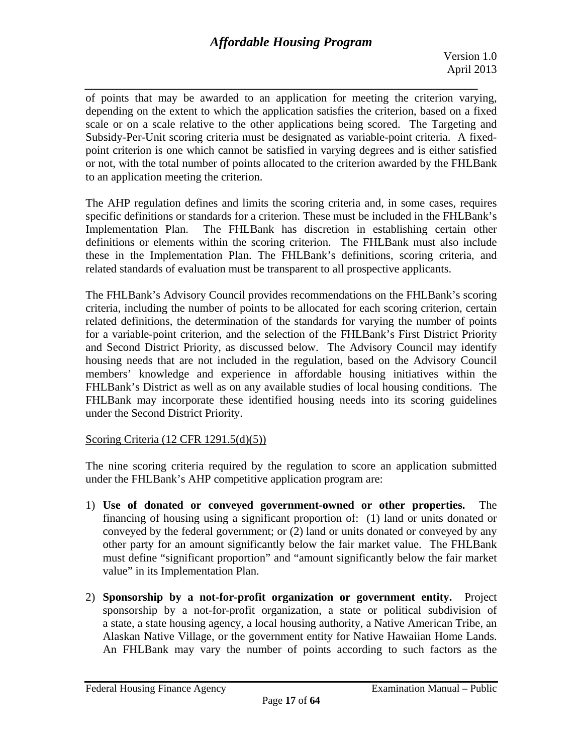# *Affordable Housing Program*

*\_\_\_\_\_\_\_\_\_\_\_\_\_\_\_\_\_\_\_\_\_\_\_\_\_\_\_\_\_\_\_\_\_\_\_\_\_\_\_\_\_\_\_\_\_\_\_\_\_\_\_\_\_\_\_\_\_\_\_*  of points that may be awarded to an application for meeting the criterion varying, depending on the extent to which the application satisfies the criterion, based on a fixed scale or on a scale relative to the other applications being scored. The Targeting and Subsidy-Per-Unit scoring criteria must be designated as variable-point criteria. A fixedpoint criterion is one which cannot be satisfied in varying degrees and is either satisfied or not, with the total number of points allocated to the criterion awarded by the FHLBank to an application meeting the criterion.

The AHP regulation defines and limits the scoring criteria and, in some cases, requires specific definitions or standards for a criterion. These must be included in the FHLBank's Implementation Plan. The FHLBank has discretion in establishing certain other definitions or elements within the scoring criterion. The FHLBank must also include these in the Implementation Plan. The FHLBank's definitions, scoring criteria, and related standards of evaluation must be transparent to all prospective applicants.

The FHLBank's Advisory Council provides recommendations on the FHLBank's scoring criteria, including the number of points to be allocated for each scoring criterion, certain related definitions, the determination of the standards for varying the number of points for a variable-point criterion, and the selection of the FHLBank's First District Priority and Second District Priority, as discussed below. The Advisory Council may identify housing needs that are not included in the regulation, based on the Advisory Council members' knowledge and experience in affordable housing initiatives within the FHLBank's District as well as on any available studies of local housing conditions. The FHLBank may incorporate these identified housing needs into its scoring guidelines under the Second District Priority.

### Scoring Criteria (12 CFR 1291.5(d)(5))

The nine scoring criteria required by the regulation to score an application submitted under the FHLBank's AHP competitive application program are:

- 1) **Use of donated or conveyed government-owned or other properties.** The financing of housing using a significant proportion of: (1) land or units donated or conveyed by the federal government; or (2) land or units donated or conveyed by any other party for an amount significantly below the fair market value. The FHLBank must define "significant proportion" and "amount significantly below the fair market value" in its Implementation Plan.
- Alaskan Native Village, or the government entity for Native Hawaiian Home Lands. 2) **Sponsorship by a not-for-profit organization or government entity.** Project sponsorship by a not-for-profit organization, a state or political subdivision of a state, a state housing agency, a local housing authority, a Native American Tribe, an An FHLBank may vary the number of points according to such factors as the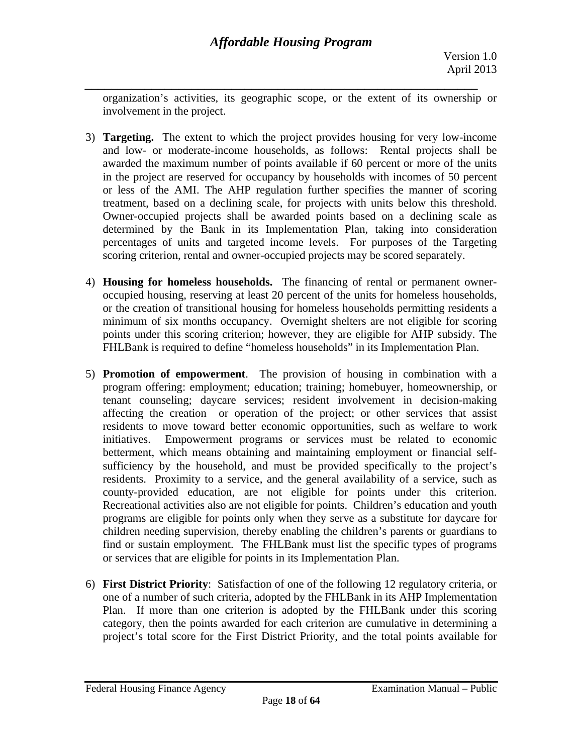*\_\_\_\_\_\_\_\_\_\_\_\_\_\_\_\_\_\_\_\_\_\_\_\_\_\_\_\_\_\_\_\_\_\_\_\_\_\_\_\_\_\_\_\_\_\_\_\_\_\_\_\_\_\_\_\_\_\_\_*  organization's activities, its geographic scope, or the extent of its ownership or involvement in the project.

- treatment, based on a declining scale, for projects with units below this threshold. 3) **Targeting.** The extent to which the project provides housing for very low-income and low- or moderate-income households, as follows: Rental projects shall be awarded the maximum number of points available if 60 percent or more of the units in the project are reserved for occupancy by households with incomes of 50 percent or less of the AMI. The AHP regulation further specifies the manner of scoring Owner-occupied projects shall be awarded points based on a declining scale as determined by the Bank in its Implementation Plan, taking into consideration percentages of units and targeted income levels. For purposes of the Targeting scoring criterion, rental and owner-occupied projects may be scored separately.
- 4) **Housing for homeless households.** The financing of rental or permanent owneroccupied housing, reserving at least 20 percent of the units for homeless households, or the creation of transitional housing for homeless households permitting residents a minimum of six months occupancy. Overnight shelters are not eligible for scoring points under this scoring criterion; however, they are eligible for AHP subsidy. The FHLBank is required to define "homeless households" in its Implementation Plan.
- 5) **Promotion of empowerment**. The provision of housing in combination with a program offering: employment; education; training; homebuyer, homeownership, or tenant counseling; daycare services; resident involvement in decision-making affecting the creation or operation of the project; or other services that assist residents to move toward better economic opportunities, such as welfare to work initiatives. Empowerment programs or services must be related to economic betterment, which means obtaining and maintaining employment or financial selfsufficiency by the household, and must be provided specifically to the project's residents. Proximity to a service, and the general availability of a service, such as county-provided education, are not eligible for points under this criterion. Recreational activities also are not eligible for points. Children's education and youth programs are eligible for points only when they serve as a substitute for daycare for children needing supervision, thereby enabling the children's parents or guardians to find or sustain employment. The FHLBank must list the specific types of programs or services that are eligible for points in its Implementation Plan.
- 6) **First District Priority**: Satisfaction of one of the following 12 regulatory criteria, or one of a number of such criteria, adopted by the FHLBank in its AHP Implementation Plan. If more than one criterion is adopted by the FHLBank under this scoring category, then the points awarded for each criterion are cumulative in determining a project's total score for the First District Priority, and the total points available for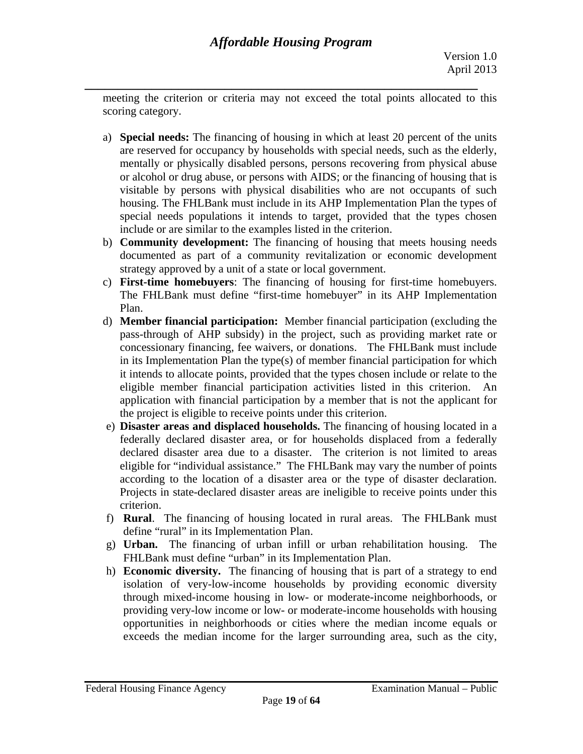*\_\_\_\_\_\_\_\_\_\_\_\_\_\_\_\_\_\_\_\_\_\_\_\_\_\_\_\_\_\_\_\_\_\_\_\_\_\_\_\_\_\_\_\_\_\_\_\_\_\_\_\_\_\_\_\_\_\_\_*  meeting the criterion or criteria may not exceed the total points allocated to this scoring category.

- a) **Special needs:** The financing of housing in which at least 20 percent of the units are reserved for occupancy by households with special needs, such as the elderly, mentally or physically disabled persons, persons recovering from physical abuse or alcohol or drug abuse, or persons with AIDS; or the financing of housing that is visitable by persons with physical disabilities who are not occupants of such housing. The FHLBank must include in its AHP Implementation Plan the types of special needs populations it intends to target, provided that the types chosen include or are similar to the examples listed in the criterion.
- b) **Community development:** The financing of housing that meets housing needs documented as part of a community revitalization or economic development strategy approved by a unit of a state or local government.
- c) **First-time homebuyers**: The financing of housing for first-time homebuyers. The FHLBank must define "first-time homebuyer" in its AHP Implementation Plan.
- d) **Member financial participation:** Member financial participation (excluding the pass-through of AHP subsidy) in the project, such as providing market rate or concessionary financing, fee waivers, or donations. The FHLBank must include in its Implementation Plan the type(s) of member financial participation for which it intends to allocate points, provided that the types chosen include or relate to the eligible member financial participation activities listed in this criterion. An application with financial participation by a member that is not the applicant for the project is eligible to receive points under this criterion.
- e) **Disaster areas and displaced households.** The financing of housing located in a federally declared disaster area, or for households displaced from a federally declared disaster area due to a disaster. The criterion is not limited to areas eligible for "individual assistance." The FHLBank may vary the number of points according to the location of a disaster area or the type of disaster declaration. Projects in state-declared disaster areas are ineligible to receive points under this criterion.
- f) **Rural**. The financing of housing located in rural areas. The FHLBank must define "rural" in its Implementation Plan.
- g) **Urban.** The financing of urban infill or urban rehabilitation housing. The FHLBank must define "urban" in its Implementation Plan.
- h) **Economic diversity.** The financing of housing that is part of a strategy to end isolation of very-low-income households by providing economic diversity through mixed-income housing in low- or moderate-income neighborhoods, or providing very-low income or low- or moderate-income households with housing opportunities in neighborhoods or cities where the median income equals or exceeds the median income for the larger surrounding area, such as the city,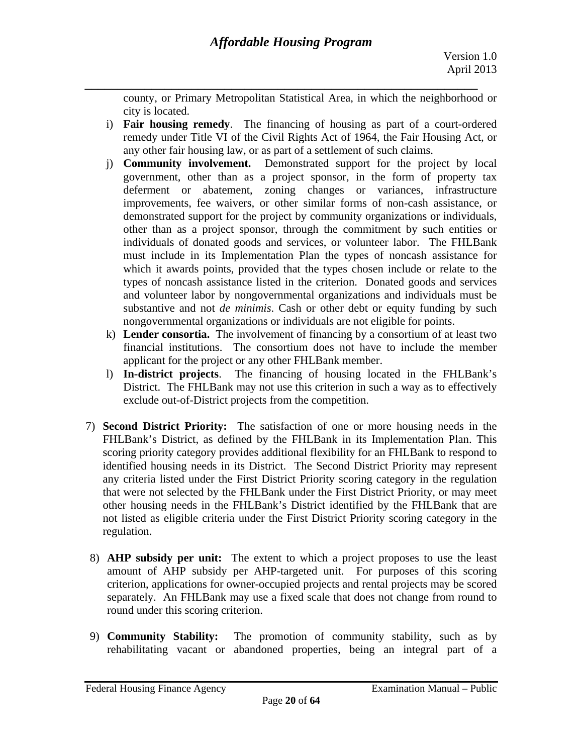*\_\_\_\_\_\_\_\_\_\_\_\_\_\_\_\_\_\_\_\_\_\_\_\_\_\_\_\_\_\_\_\_\_\_\_\_\_\_\_\_\_\_\_\_\_\_\_\_\_\_\_\_\_\_\_\_\_\_\_*  county, or Primary Metropolitan Statistical Area, in which the neighborhood or city is located.

- i) **Fair housing remedy**. The financing of housing as part of a court-ordered remedy under Title VI of the Civil Rights Act of 1964, the Fair Housing Act, or any other fair housing law, or as part of a settlement of such claims.
- j) **Community involvement.** Demonstrated support for the project by local government, other than as a project sponsor, in the form of property tax deferment or abatement, zoning changes or variances, infrastructure improvements, fee waivers, or other similar forms of non-cash assistance, or demonstrated support for the project by community organizations or individuals, other than as a project sponsor, through the commitment by such entities or individuals of donated goods and services, or volunteer labor. The FHLBank must include in its Implementation Plan the types of noncash assistance for which it awards points, provided that the types chosen include or relate to the types of noncash assistance listed in the criterion. Donated goods and services and volunteer labor by nongovernmental organizations and individuals must be substantive and not *de minimis*. Cash or other debt or equity funding by such nongovernmental organizations or individuals are not eligible for points.
- k) **Lender consortia.** The involvement of financing by a consortium of at least two financial institutions. The consortium does not have to include the member applicant for the project or any other FHLBank member.
- l) **In-district projects**. The financing of housing located in the FHLBank's District. The FHLBank may not use this criterion in such a way as to effectively exclude out-of-District projects from the competition.
- 7) **Second District Priority:** The satisfaction of one or more housing needs in the FHLBank's District, as defined by the FHLBank in its Implementation Plan. This scoring priority category provides additional flexibility for an FHLBank to respond to identified housing needs in its District. The Second District Priority may represent any criteria listed under the First District Priority scoring category in the regulation that were not selected by the FHLBank under the First District Priority, or may meet other housing needs in the FHLBank's District identified by the FHLBank that are not listed as eligible criteria under the First District Priority scoring category in the regulation.
- 8) **AHP subsidy per unit:** The extent to which a project proposes to use the least amount of AHP subsidy per AHP-targeted unit. For purposes of this scoring criterion, applications for owner-occupied projects and rental projects may be scored separately. An FHLBank may use a fixed scale that does not change from round to round under this scoring criterion.
- 9) **Community Stability:** The promotion of community stability, such as by rehabilitating vacant or abandoned properties, being an integral part of a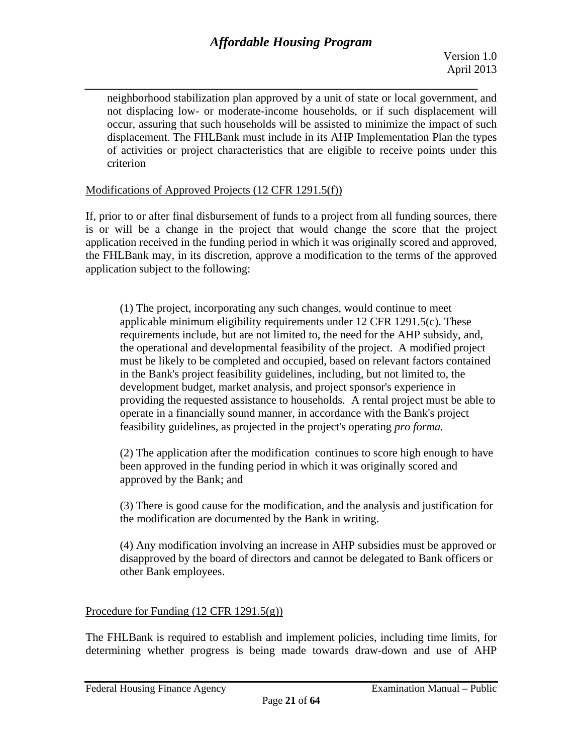*\_\_\_\_\_\_\_\_\_\_\_\_\_\_\_\_\_\_\_\_\_\_\_\_\_\_\_\_\_\_\_\_\_\_\_\_\_\_\_\_\_\_\_\_\_\_\_\_\_\_\_\_\_\_\_\_\_\_\_*  neighborhood stabilization plan approved by a unit of state or local government, and not displacing low- or moderate-income households, or if such displacement will occur, assuring that such households will be assisted to minimize the impact of such displacement. The FHLBank must include in its AHP Implementation Plan the types of activities or project characteristics that are eligible to receive points under this criterion

### Modifications of Approved Projects (12 CFR 1291.5(f))

If, prior to or after final disbursement of funds to a project from all funding sources, there is or will be a change in the project that would change the score that the project application received in the funding period in which it was originally scored and approved, the FHLBank may, in its discretion, approve a modification to the terms of the approved application subject to the following:

 providing the requested assistance to households. A rental project must be able to feasibility guidelines, as projected in the project's operating *pro forma.* (1) The project, incorporating any such changes, would continue to meet applicable minimum eligibility requirements under 12 CFR 1291.5(c). These requirements include, but are not limited to, the need for the AHP subsidy, and, the operational and developmental feasibility of the project. A modified project must be likely to be completed and occupied, based on relevant factors contained in the Bank's project feasibility guidelines, including, but not limited to, the development budget, market analysis, and project sponsor's experience in operate in a financially sound manner, in accordance with the Bank's project

(2) The application after the modification continues to score high enough to have been approved in the funding period in which it was originally scored and approved by the Bank; and

(3) There is good cause for the modification, and the analysis and justification for the modification are documented by the Bank in writing.

(4) Any modification involving an increase in AHP subsidies must be approved or disapproved by the board of directors and cannot be delegated to Bank officers or other Bank employees.

### Procedure for Funding (12 CFR 1291.5(g))

The FHLBank is required to establish and implement policies, including time limits, for determining whether progress is being made towards draw-down and use of AHP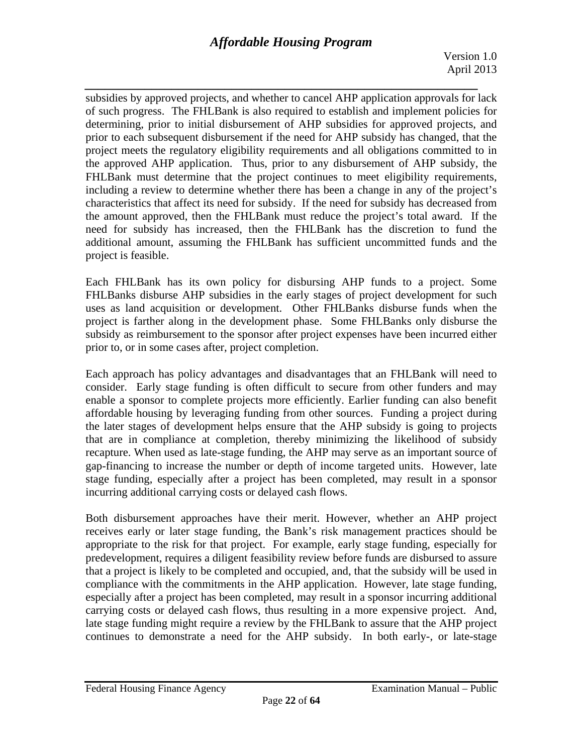Version 1.0 April 2013

*\_\_\_\_\_\_\_\_\_\_\_\_\_\_\_\_\_\_\_\_\_\_\_\_\_\_\_\_\_\_\_\_\_\_\_\_\_\_\_\_\_\_\_\_\_\_\_\_\_\_\_\_\_\_\_\_\_\_\_*  subsidies by approved projects, and whether to cancel AHP application approvals for lack of such progress. The FHLBank is also required to establish and implement policies for determining, prior to initial disbursement of AHP subsidies for approved projects, and prior to each subsequent disbursement if the need for AHP subsidy has changed, that the project meets the regulatory eligibility requirements and all obligations committed to in the approved AHP application. Thus, prior to any disbursement of AHP subsidy, the FHLBank must determine that the project continues to meet eligibility requirements, including a review to determine whether there has been a change in any of the project's characteristics that affect its need for subsidy. If the need for subsidy has decreased from the amount approved, then the FHLBank must reduce the project's total award. If the need for subsidy has increased, then the FHLBank has the discretion to fund the additional amount, assuming the FHLBank has sufficient uncommitted funds and the project is feasible.

Each FHLBank has its own policy for disbursing AHP funds to a project. Some FHLBanks disburse AHP subsidies in the early stages of project development for such uses as land acquisition or development. Other FHLBanks disburse funds when the project is farther along in the development phase. Some FHLBanks only disburse the subsidy as reimbursement to the sponsor after project expenses have been incurred either prior to, or in some cases after, project completion.

Each approach has policy advantages and disadvantages that an FHLBank will need to consider. Early stage funding is often difficult to secure from other funders and may enable a sponsor to complete projects more efficiently. Earlier funding can also benefit affordable housing by leveraging funding from other sources. Funding a project during the later stages of development helps ensure that the AHP subsidy is going to projects that are in compliance at completion, thereby minimizing the likelihood of subsidy recapture. When used as late-stage funding, the AHP may serve as an important source of gap-financing to increase the number or depth of income targeted units. However, late stage funding, especially after a project has been completed, may result in a sponsor incurring additional carrying costs or delayed cash flows.

Both disbursement approaches have their merit. However, whether an AHP project receives early or later stage funding, the Bank's risk management practices should be appropriate to the risk for that project. For example, early stage funding, especially for predevelopment, requires a diligent feasibility review before funds are disbursed to assure that a project is likely to be completed and occupied, and, that the subsidy will be used in compliance with the commitments in the AHP application. However, late stage funding, especially after a project has been completed, may result in a sponsor incurring additional carrying costs or delayed cash flows, thus resulting in a more expensive project. And, late stage funding might require a review by the FHLBank to assure that the AHP project continues to demonstrate a need for the AHP subsidy. In both early-, or late-stage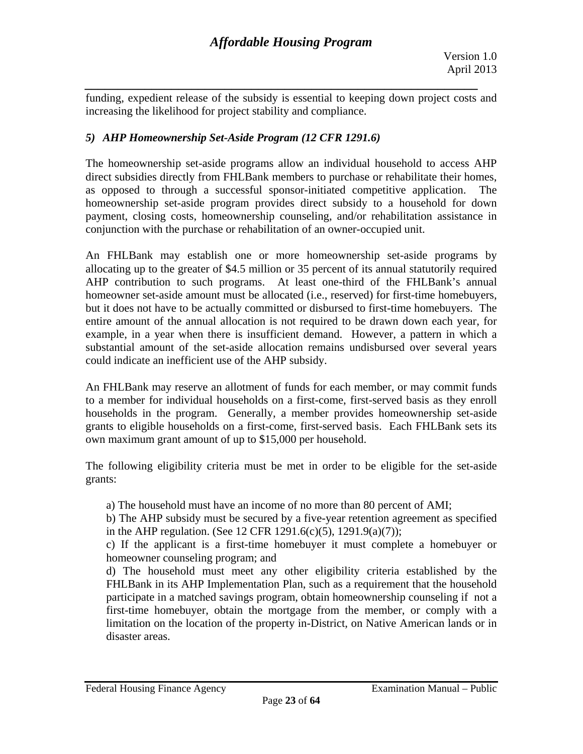*\_\_\_\_\_\_\_\_\_\_\_\_\_\_\_\_\_\_\_\_\_\_\_\_\_\_\_\_\_\_\_\_\_\_\_\_\_\_\_\_\_\_\_\_\_\_\_\_\_\_\_\_\_\_\_\_\_\_\_*  funding, expedient release of the subsidy is essential to keeping down project costs and increasing the likelihood for project stability and compliance.

# *5) AHP Homeownership Set-Aside Program (12 CFR 1291.6)*

The homeownership set-aside programs allow an individual household to access AHP direct subsidies directly from FHLBank members to purchase or rehabilitate their homes, as opposed to through a successful sponsor-initiated competitive application. The homeownership set-aside program provides direct subsidy to a household for down payment, closing costs, homeownership counseling, and/or rehabilitation assistance in conjunction with the purchase or rehabilitation of an owner-occupied unit.

An FHLBank may establish one or more homeownership set-aside programs by allocating up to the greater of \$4.5 million or 35 percent of its annual statutorily required AHP contribution to such programs. At least one-third of the FHLBank's annual homeowner set-aside amount must be allocated (i.e., reserved) for first-time homebuyers, but it does not have to be actually committed or disbursed to first-time homebuyers. The entire amount of the annual allocation is not required to be drawn down each year, for example, in a year when there is insufficient demand. However, a pattern in which a substantial amount of the set-aside allocation remains undisbursed over several years could indicate an inefficient use of the AHP subsidy.

An FHLBank may reserve an allotment of funds for each member, or may commit funds to a member for individual households on a first-come, first-served basis as they enroll households in the program. Generally, a member provides homeownership set-aside grants to eligible households on a first-come, first-served basis. Each FHLBank sets its own maximum grant amount of up to \$15,000 per household.

The following eligibility criteria must be met in order to be eligible for the set-aside grants:

a) The household must have an income of no more than 80 percent of AMI;

b) The AHP subsidy must be secured by a five-year retention agreement as specified in the AHP regulation. (See 12 CFR 1291.6(c)(5), 1291.9(a)(7));

c) If the applicant is a first-time homebuyer it must complete a homebuyer or homeowner counseling program; and

d) The household must meet any other eligibility criteria established by the FHLBank in its AHP Implementation Plan, such as a requirement that the household participate in a matched savings program, obtain homeownership counseling if not a first-time homebuyer, obtain the mortgage from the member, or comply with a limitation on the location of the property in-District, on Native American lands or in disaster areas.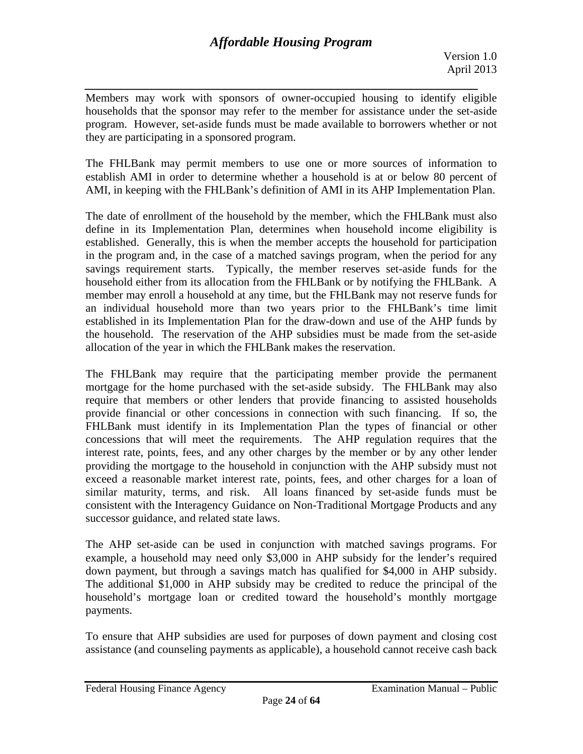*\_\_\_\_\_\_\_\_\_\_\_\_\_\_\_\_\_\_\_\_\_\_\_\_\_\_\_\_\_\_\_\_\_\_\_\_\_\_\_\_\_\_\_\_\_\_\_\_\_\_\_\_\_\_\_\_\_\_\_*  Members may work with sponsors of owner-occupied housing to identify eligible households that the sponsor may refer to the member for assistance under the set-aside program. However, set-aside funds must be made available to borrowers whether or not they are participating in a sponsored program.

The FHLBank may permit members to use one or more sources of information to establish AMI in order to determine whether a household is at or below 80 percent of AMI, in keeping with the FHLBank's definition of AMI in its AHP Implementation Plan.

The date of enrollment of the household by the member, which the FHLBank must also define in its Implementation Plan, determines when household income eligibility is established. Generally, this is when the member accepts the household for participation in the program and, in the case of a matched savings program, when the period for any savings requirement starts. Typically, the member reserves set-aside funds for the household either from its allocation from the FHLBank or by notifying the FHLBank. A member may enroll a household at any time, but the FHLBank may not reserve funds for an individual household more than two years prior to the FHLBank's time limit established in its Implementation Plan for the draw-down and use of the AHP funds by the household. The reservation of the AHP subsidies must be made from the set-aside allocation of the year in which the FHLBank makes the reservation.

The FHLBank may require that the participating member provide the permanent mortgage for the home purchased with the set-aside subsidy. The FHLBank may also require that members or other lenders that provide financing to assisted households provide financial or other concessions in connection with such financing. If so, the FHLBank must identify in its Implementation Plan the types of financial or other concessions that will meet the requirements. The AHP regulation requires that the interest rate, points, fees, and any other charges by the member or by any other lender providing the mortgage to the household in conjunction with the AHP subsidy must not exceed a reasonable market interest rate, points, fees, and other charges for a loan of similar maturity, terms, and risk. All loans financed by set-aside funds must be consistent with the Interagency Guidance on Non-Traditional Mortgage Products and any successor guidance, and related state laws.

The AHP set-aside can be used in conjunction with matched savings programs. For example, a household may need only \$3,000 in AHP subsidy for the lender's required down payment, but through a savings match has qualified for \$4,000 in AHP subsidy. The additional \$1,000 in AHP subsidy may be credited to reduce the principal of the household's mortgage loan or credited toward the household's monthly mortgage payments.

To ensure that AHP subsidies are used for purposes of down payment and closing cost assistance (and counseling payments as applicable), a household cannot receive cash back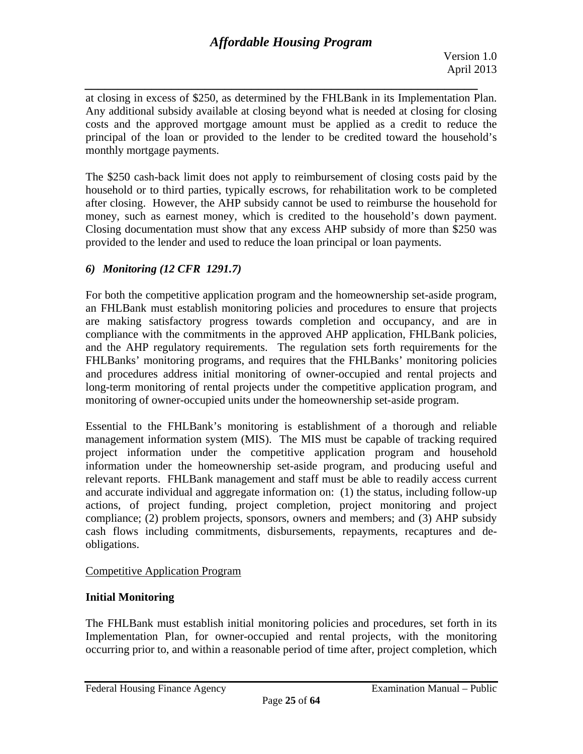*\_\_\_\_\_\_\_\_\_\_\_\_\_\_\_\_\_\_\_\_\_\_\_\_\_\_\_\_\_\_\_\_\_\_\_\_\_\_\_\_\_\_\_\_\_\_\_\_\_\_\_\_\_\_\_\_\_\_\_*  at closing in excess of \$250, as determined by the FHLBank in its Implementation Plan. Any additional subsidy available at closing beyond what is needed at closing for closing costs and the approved mortgage amount must be applied as a credit to reduce the principal of the loan or provided to the lender to be credited toward the household's monthly mortgage payments.

The \$250 cash-back limit does not apply to reimbursement of closing costs paid by the household or to third parties, typically escrows, for rehabilitation work to be completed after closing. However, the AHP subsidy cannot be used to reimburse the household for money, such as earnest money, which is credited to the household's down payment. Closing documentation must show that any excess AHP subsidy of more than \$250 was provided to the lender and used to reduce the loan principal or loan payments.

# *6) Monitoring (12 CFR 1291.7)*

For both the competitive application program and the homeownership set-aside program, an FHLBank must establish monitoring policies and procedures to ensure that projects are making satisfactory progress towards completion and occupancy, and are in compliance with the commitments in the approved AHP application, FHLBank policies, and the AHP regulatory requirements. The regulation sets forth requirements for the FHLBanks' monitoring programs, and requires that the FHLBanks' monitoring policies and procedures address initial monitoring of owner-occupied and rental projects and long-term monitoring of rental projects under the competitive application program, and monitoring of owner-occupied units under the homeownership set-aside program.

Essential to the FHLBank's monitoring is establishment of a thorough and reliable management information system (MIS). The MIS must be capable of tracking required project information under the competitive application program and household information under the homeownership set-aside program, and producing useful and relevant reports. FHLBank management and staff must be able to readily access current and accurate individual and aggregate information on: (1) the status, including follow-up actions, of project funding, project completion, project monitoring and project compliance; (2) problem projects, sponsors, owners and members; and (3) AHP subsidy cash flows including commitments, disbursements, repayments, recaptures and deobligations.

# Competitive Application Program

# **Initial Monitoring**

The FHLBank must establish initial monitoring policies and procedures, set forth in its Implementation Plan, for owner-occupied and rental projects, with the monitoring occurring prior to, and within a reasonable period of time after, project completion, which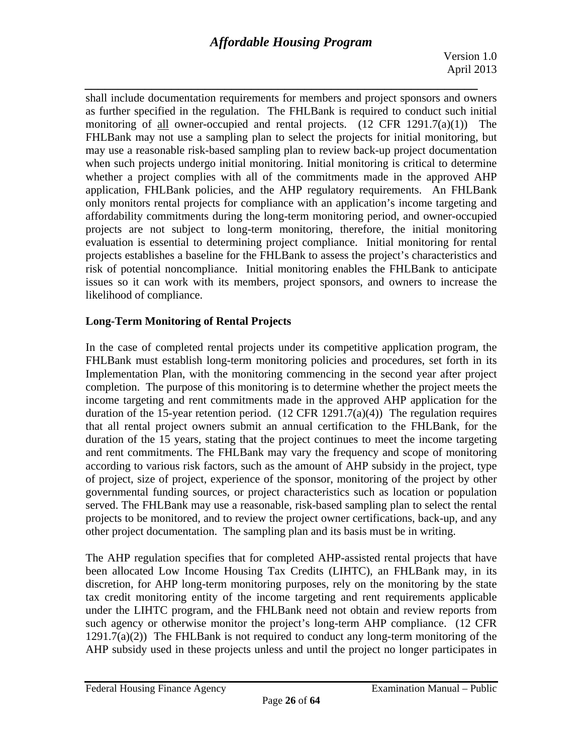Version 1.0 April 2013

*\_\_\_\_\_\_\_\_\_\_\_\_\_\_\_\_\_\_\_\_\_\_\_\_\_\_\_\_\_\_\_\_\_\_\_\_\_\_\_\_\_\_\_\_\_\_\_\_\_\_\_\_\_\_\_\_\_\_\_*  shall include documentation requirements for members and project sponsors and owners as further specified in the regulation. The FHLBank is required to conduct such initial monitoring of all owner-occupied and rental projects. (12 CFR 1291.7(a)(1)) The FHLBank may not use a sampling plan to select the projects for initial monitoring, but may use a reasonable risk-based sampling plan to review back-up project documentation when such projects undergo initial monitoring. Initial monitoring is critical to determine whether a project complies with all of the commitments made in the approved AHP application, FHLBank policies, and the AHP regulatory requirements. An FHLBank only monitors rental projects for compliance with an application's income targeting and affordability commitments during the long-term monitoring period, and owner-occupied projects are not subject to long-term monitoring, therefore, the initial monitoring evaluation is essential to determining project compliance. Initial monitoring for rental projects establishes a baseline for the FHLBank to assess the project's characteristics and risk of potential noncompliance. Initial monitoring enables the FHLBank to anticipate issues so it can work with its members, project sponsors, and owners to increase the likelihood of compliance.

# **Long-Term Monitoring of Rental Projects**

In the case of completed rental projects under its competitive application program, the FHLBank must establish long-term monitoring policies and procedures, set forth in its Implementation Plan, with the monitoring commencing in the second year after project completion. The purpose of this monitoring is to determine whether the project meets the income targeting and rent commitments made in the approved AHP application for the duration of the 15-year retention period.  $(12 \text{ CFR } 1291.7(a)(4))$  The regulation requires that all rental project owners submit an annual certification to the FHLBank, for the duration of the 15 years, stating that the project continues to meet the income targeting and rent commitments. The FHLBank may vary the frequency and scope of monitoring according to various risk factors, such as the amount of AHP subsidy in the project, type of project, size of project, experience of the sponsor, monitoring of the project by other governmental funding sources, or project characteristics such as location or population served. The FHLBank may use a reasonable, risk-based sampling plan to select the rental projects to be monitored, and to review the project owner certifications, back-up, and any other project documentation. The sampling plan and its basis must be in writing.

The AHP regulation specifies that for completed AHP-assisted rental projects that have been allocated Low Income Housing Tax Credits (LIHTC), an FHLBank may, in its discretion, for AHP long-term monitoring purposes, rely on the monitoring by the state tax credit monitoring entity of the income targeting and rent requirements applicable under the LIHTC program, and the FHLBank need not obtain and review reports from such agency or otherwise monitor the project's long-term AHP compliance. (12 CFR  $1291.7(a)(2)$ ) The FHLBank is not required to conduct any long-term monitoring of the AHP subsidy used in these projects unless and until the project no longer participates in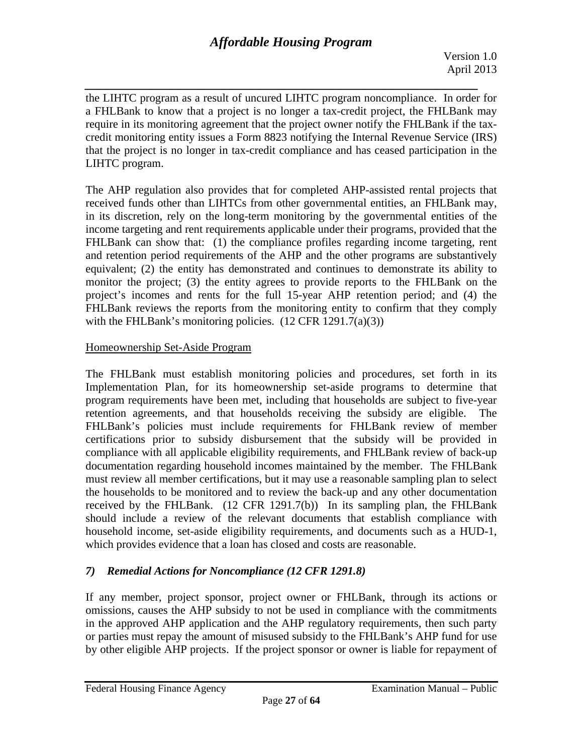*\_\_\_\_\_\_\_\_\_\_\_\_\_\_\_\_\_\_\_\_\_\_\_\_\_\_\_\_\_\_\_\_\_\_\_\_\_\_\_\_\_\_\_\_\_\_\_\_\_\_\_\_\_\_\_\_\_\_\_*  the LIHTC program as a result of uncured LIHTC program noncompliance. In order for a FHLBank to know that a project is no longer a tax-credit project, the FHLBank may require in its monitoring agreement that the project owner notify the FHLBank if the taxcredit monitoring entity issues a Form 8823 notifying the Internal Revenue Service (IRS) that the project is no longer in tax-credit compliance and has ceased participation in the LIHTC program.

The AHP regulation also provides that for completed AHP-assisted rental projects that received funds other than LIHTCs from other governmental entities, an FHLBank may, in its discretion, rely on the long-term monitoring by the governmental entities of the income targeting and rent requirements applicable under their programs, provided that the FHLBank can show that: (1) the compliance profiles regarding income targeting, rent and retention period requirements of the AHP and the other programs are substantively equivalent; (2) the entity has demonstrated and continues to demonstrate its ability to monitor the project; (3) the entity agrees to provide reports to the FHLBank on the project's incomes and rents for the full 15-year AHP retention period; and (4) the FHLBank reviews the reports from the monitoring entity to confirm that they comply with the FHLBank's monitoring policies.  $(12 \text{ CFR } 1291.7(a)(3))$ 

# Homeownership Set-Aside Program

The FHLBank must establish monitoring policies and procedures, set forth in its Implementation Plan, for its homeownership set-aside programs to determine that program requirements have been met, including that households are subject to five-year retention agreements, and that households receiving the subsidy are eligible. The FHLBank's policies must include requirements for FHLBank review of member certifications prior to subsidy disbursement that the subsidy will be provided in compliance with all applicable eligibility requirements, and FHLBank review of back-up documentation regarding household incomes maintained by the member. The FHLBank must review all member certifications, but it may use a reasonable sampling plan to select the households to be monitored and to review the back-up and any other documentation received by the FHLBank. (12 CFR 1291.7(b)) In its sampling plan, the FHLBank should include a review of the relevant documents that establish compliance with household income, set-aside eligibility requirements, and documents such as a HUD-1, which provides evidence that a loan has closed and costs are reasonable.

# *7) Remedial Actions for Noncompliance (12 CFR 1291.8)*

If any member, project sponsor, project owner or FHLBank, through its actions or omissions, causes the AHP subsidy to not be used in compliance with the commitments in the approved AHP application and the AHP regulatory requirements, then such party or parties must repay the amount of misused subsidy to the FHLBank's AHP fund for use by other eligible AHP projects. If the project sponsor or owner is liable for repayment of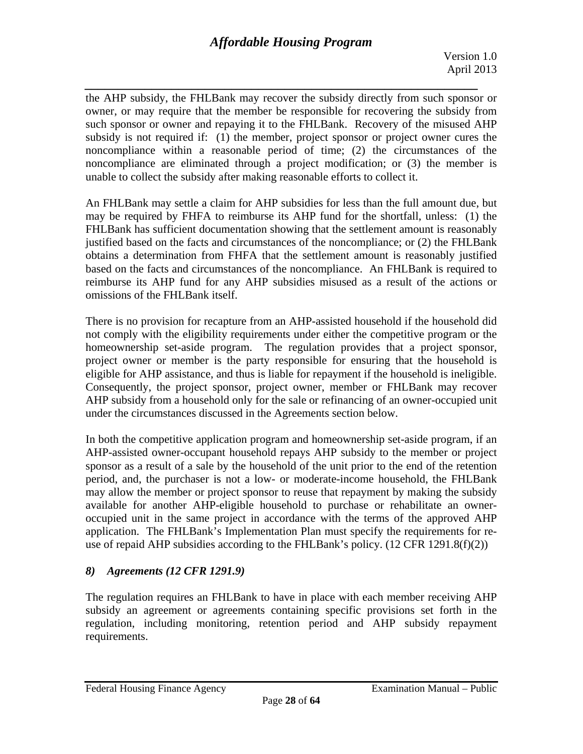*\_\_\_\_\_\_\_\_\_\_\_\_\_\_\_\_\_\_\_\_\_\_\_\_\_\_\_\_\_\_\_\_\_\_\_\_\_\_\_\_\_\_\_\_\_\_\_\_\_\_\_\_\_\_\_\_\_\_\_*  the AHP subsidy, the FHLBank may recover the subsidy directly from such sponsor or owner, or may require that the member be responsible for recovering the subsidy from such sponsor or owner and repaying it to the FHLBank. Recovery of the misused AHP subsidy is not required if: (1) the member, project sponsor or project owner cures the noncompliance within a reasonable period of time; (2) the circumstances of the noncompliance are eliminated through a project modification; or (3) the member is unable to collect the subsidy after making reasonable efforts to collect it.

An FHLBank may settle a claim for AHP subsidies for less than the full amount due, but may be required by FHFA to reimburse its AHP fund for the shortfall, unless: (1) the FHLBank has sufficient documentation showing that the settlement amount is reasonably justified based on the facts and circumstances of the noncompliance; or (2) the FHLBank obtains a determination from FHFA that the settlement amount is reasonably justified based on the facts and circumstances of the noncompliance. An FHLBank is required to reimburse its AHP fund for any AHP subsidies misused as a result of the actions or omissions of the FHLBank itself.

There is no provision for recapture from an AHP-assisted household if the household did not comply with the eligibility requirements under either the competitive program or the homeownership set-aside program. The regulation provides that a project sponsor, project owner or member is the party responsible for ensuring that the household is eligible for AHP assistance, and thus is liable for repayment if the household is ineligible. Consequently, the project sponsor, project owner, member or FHLBank may recover AHP subsidy from a household only for the sale or refinancing of an owner-occupied unit under the circumstances discussed in the Agreements section below.

In both the competitive application program and homeownership set-aside program, if an AHP-assisted owner-occupant household repays AHP subsidy to the member or project sponsor as a result of a sale by the household of the unit prior to the end of the retention period, and, the purchaser is not a low- or moderate-income household, the FHLBank may allow the member or project sponsor to reuse that repayment by making the subsidy available for another AHP-eligible household to purchase or rehabilitate an owneroccupied unit in the same project in accordance with the terms of the approved AHP application. The FHLBank's Implementation Plan must specify the requirements for reuse of repaid AHP subsidies according to the FHLBank's policy. (12 CFR 1291.8(f)(2))

# *8) Agreements (12 CFR 1291.9)*

The regulation requires an FHLBank to have in place with each member receiving AHP subsidy an agreement or agreements containing specific provisions set forth in the regulation, including monitoring, retention period and AHP subsidy repayment requirements.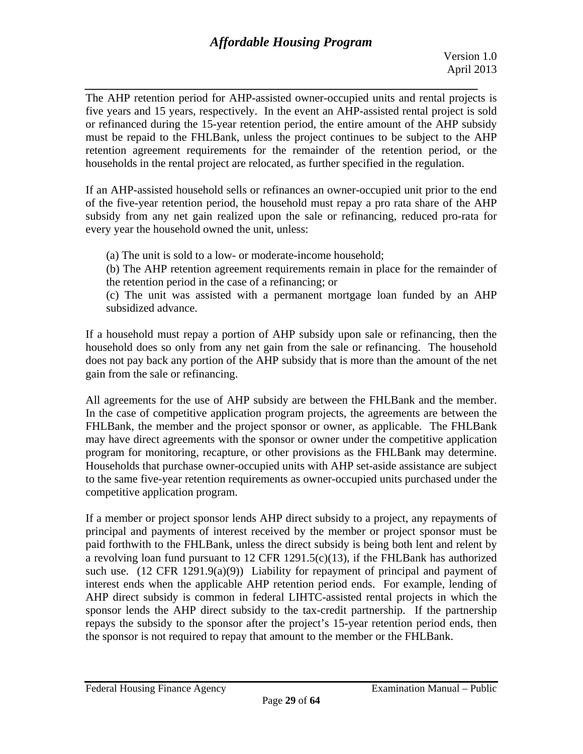*\_\_\_\_\_\_\_\_\_\_\_\_\_\_\_\_\_\_\_\_\_\_\_\_\_\_\_\_\_\_\_\_\_\_\_\_\_\_\_\_\_\_\_\_\_\_\_\_\_\_\_\_\_\_\_\_\_\_\_*  The AHP retention period for AHP-assisted owner-occupied units and rental projects is five years and 15 years, respectively. In the event an AHP-assisted rental project is sold or refinanced during the 15-year retention period, the entire amount of the AHP subsidy must be repaid to the FHLBank, unless the project continues to be subject to the AHP retention agreement requirements for the remainder of the retention period, or the households in the rental project are relocated, as further specified in the regulation.

If an AHP-assisted household sells or refinances an owner-occupied unit prior to the end of the five-year retention period, the household must repay a pro rata share of the AHP subsidy from any net gain realized upon the sale or refinancing, reduced pro-rata for every year the household owned the unit, unless:

- (a) The unit is sold to a low- or moderate-income household;
- (b) The AHP retention agreement requirements remain in place for the remainder of the retention period in the case of a refinancing; or

(c) The unit was assisted with a permanent mortgage loan funded by an AHP subsidized advance.

If a household must repay a portion of AHP subsidy upon sale or refinancing, then the household does so only from any net gain from the sale or refinancing. The household does not pay back any portion of the AHP subsidy that is more than the amount of the net gain from the sale or refinancing.

All agreements for the use of AHP subsidy are between the FHLBank and the member. In the case of competitive application program projects, the agreements are between the FHLBank, the member and the project sponsor or owner, as applicable. The FHLBank may have direct agreements with the sponsor or owner under the competitive application program for monitoring, recapture, or other provisions as the FHLBank may determine. Households that purchase owner-occupied units with AHP set-aside assistance are subject to the same five-year retention requirements as owner-occupied units purchased under the competitive application program.

If a member or project sponsor lends AHP direct subsidy to a project, any repayments of principal and payments of interest received by the member or project sponsor must be paid forthwith to the FHLBank, unless the direct subsidy is being both lent and relent by a revolving loan fund pursuant to 12 CFR 1291.5(c)(13), if the FHLBank has authorized such use.  $(12 \text{ CFR } 1291.9(a)(9))$  Liability for repayment of principal and payment of interest ends when the applicable AHP retention period ends. For example, lending of AHP direct subsidy is common in federal LIHTC-assisted rental projects in which the sponsor lends the AHP direct subsidy to the tax-credit partnership. If the partnership repays the subsidy to the sponsor after the project's 15-year retention period ends, then the sponsor is not required to repay that amount to the member or the FHLBank.

Page **29** of **64**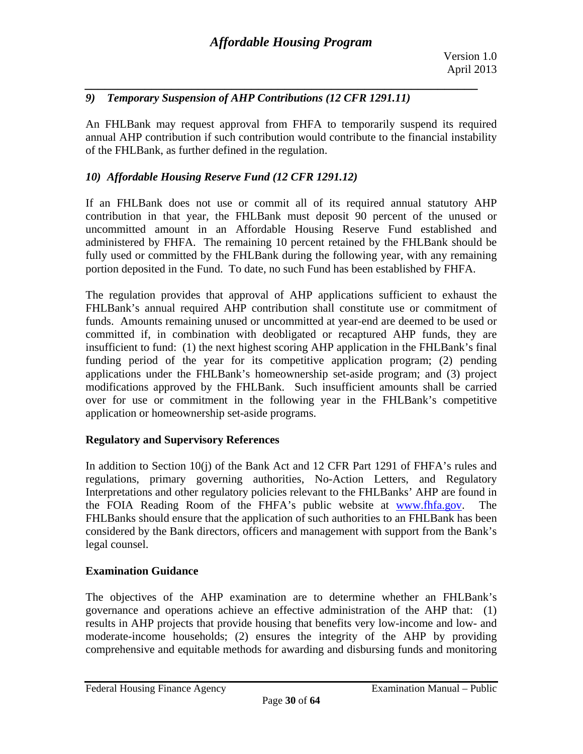# *9) Temporary Suspension of AHP Contributions (12 CFR 1291.11)*

An FHLBank may request approval from FHFA to temporarily suspend its required annual AHP contribution if such contribution would contribute to the financial instability of the FHLBank, as further defined in the regulation.

# *10) Affordable Housing Reserve Fund (12 CFR 1291.12)*

If an FHLBank does not use or commit all of its required annual statutory AHP contribution in that year, the FHLBank must deposit 90 percent of the unused or uncommitted amount in an Affordable Housing Reserve Fund established and administered by FHFA. The remaining 10 percent retained by the FHLBank should be fully used or committed by the FHLBank during the following year, with any remaining portion deposited in the Fund. To date, no such Fund has been established by FHFA.

The regulation provides that approval of AHP applications sufficient to exhaust the FHLBank's annual required AHP contribution shall constitute use or commitment of funds. Amounts remaining unused or uncommitted at year-end are deemed to be used or committed if, in combination with deobligated or recaptured AHP funds, they are insufficient to fund: (1) the next highest scoring AHP application in the FHLBank's final funding period of the year for its competitive application program; (2) pending applications under the FHLBank's homeownership set-aside program; and (3) project modifications approved by the FHLBank. Such insufficient amounts shall be carried over for use or commitment in the following year in the FHLBank's competitive application or homeownership set-aside programs.

### **Regulatory and Supervisory References**

In addition to Section 10(j) of the Bank Act and 12 CFR Part 1291 of FHFA's rules and regulations, primary governing authorities, No-Action Letters, and Regulatory Interpretations and other regulatory policies relevant to the FHLBanks' AHP are found in the FOIA Reading Room of the FHFA's public website at www.fhfa.gov. FHLBanks should ensure that the application of such authorities to an FHLBank has been considered by the Bank directors, officers and management with support from the Bank's legal counsel.

### **Examination Guidance**

The objectives of the AHP examination are to determine whether an FHLBank's governance and operations achieve an effective administration of the AHP that: (1) results in AHP projects that provide housing that benefits very low-income and low- and moderate-income households; (2) ensures the integrity of the AHP by providing comprehensive and equitable methods for awarding and disbursing funds and monitoring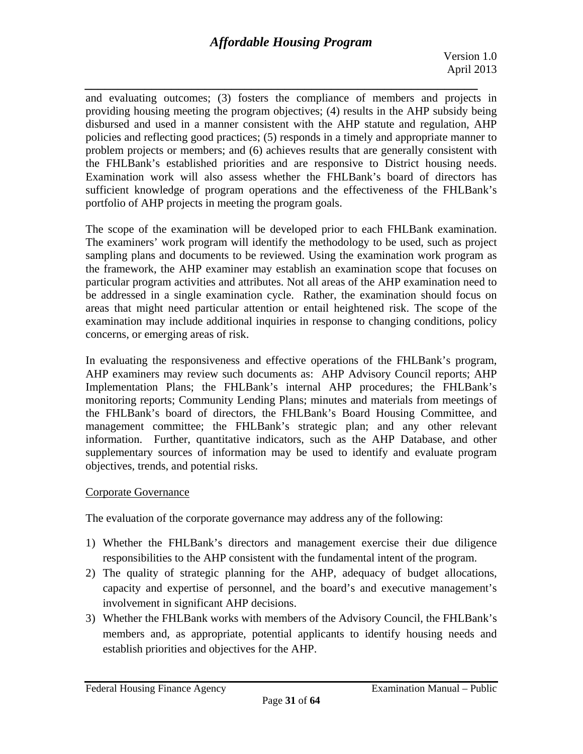*\_\_\_\_\_\_\_\_\_\_\_\_\_\_\_\_\_\_\_\_\_\_\_\_\_\_\_\_\_\_\_\_\_\_\_\_\_\_\_\_\_\_\_\_\_\_\_\_\_\_\_\_\_\_\_\_\_\_\_*  and evaluating outcomes; (3) fosters the compliance of members and projects in providing housing meeting the program objectives; (4) results in the AHP subsidy being disbursed and used in a manner consistent with the AHP statute and regulation, AHP policies and reflecting good practices; (5) responds in a timely and appropriate manner to problem projects or members; and (6) achieves results that are generally consistent with the FHLBank's established priorities and are responsive to District housing needs. Examination work will also assess whether the FHLBank's board of directors has sufficient knowledge of program operations and the effectiveness of the FHLBank's portfolio of AHP projects in meeting the program goals.

The scope of the examination will be developed prior to each FHLBank examination. The examiners' work program will identify the methodology to be used, such as project sampling plans and documents to be reviewed. Using the examination work program as the framework, the AHP examiner may establish an examination scope that focuses on particular program activities and attributes. Not all areas of the AHP examination need to be addressed in a single examination cycle. Rather, the examination should focus on areas that might need particular attention or entail heightened risk. The scope of the examination may include additional inquiries in response to changing conditions, policy concerns, or emerging areas of risk.

In evaluating the responsiveness and effective operations of the FHLBank's program, AHP examiners may review such documents as: AHP Advisory Council reports; AHP Implementation Plans; the FHLBank's internal AHP procedures; the FHLBank's monitoring reports; Community Lending Plans; minutes and materials from meetings of the FHLBank's board of directors, the FHLBank's Board Housing Committee, and management committee; the FHLBank's strategic plan; and any other relevant information. Further, quantitative indicators, such as the AHP Database, and other supplementary sources of information may be used to identify and evaluate program objectives, trends, and potential risks.

# Corporate Governance

The evaluation of the corporate governance may address any of the following:

- 1) Whether the FHLBank's directors and management exercise their due diligence responsibilities to the AHP consistent with the fundamental intent of the program.
- 2) The quality of strategic planning for the AHP, adequacy of budget allocations, capacity and expertise of personnel, and the board's and executive management's involvement in significant AHP decisions.
- 3) Whether the FHLBank works with members of the Advisory Council, the FHLBank's members and, as appropriate, potential applicants to identify housing needs and establish priorities and objectives for the AHP.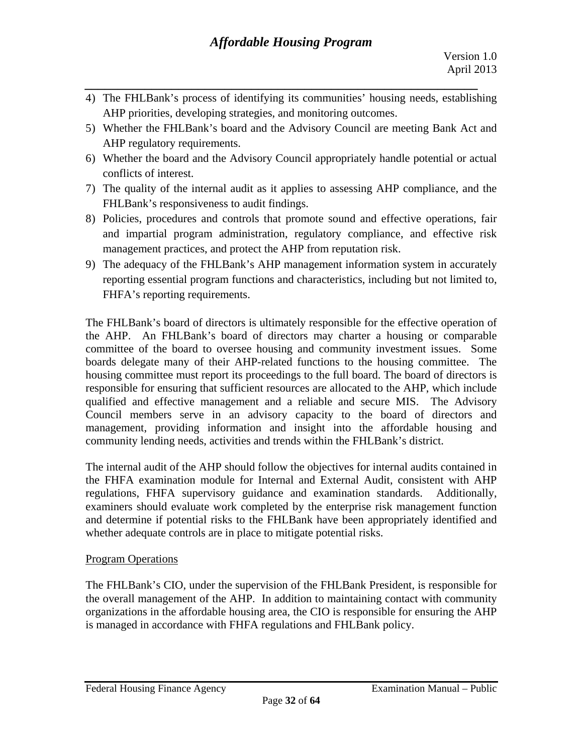4) The FHLBank's process of identifying its communities' housing needs, establishing AHP priorities, developing strategies, and monitoring outcomes.

*\_\_\_\_\_\_\_\_\_\_\_\_\_\_\_\_\_\_\_\_\_\_\_\_\_\_\_\_\_\_\_\_\_\_\_\_\_\_\_\_\_\_\_\_\_\_\_\_\_\_\_\_\_\_\_\_\_\_\_* 

- 5) Whether the FHLBank's board and the Advisory Council are meeting Bank Act and AHP regulatory requirements.
- 6) Whether the board and the Advisory Council appropriately handle potential or actual conflicts of interest.
- 7) The quality of the internal audit as it applies to assessing AHP compliance, and the FHLBank's responsiveness to audit findings.
- 8) Policies, procedures and controls that promote sound and effective operations, fair and impartial program administration, regulatory compliance, and effective risk management practices, and protect the AHP from reputation risk.
- 9) The adequacy of the FHLBank's AHP management information system in accurately reporting essential program functions and characteristics, including but not limited to, FHFA's reporting requirements.

The FHLBank's board of directors is ultimately responsible for the effective operation of the AHP. An FHLBank's board of directors may charter a housing or comparable committee of the board to oversee housing and community investment issues. Some boards delegate many of their AHP-related functions to the housing committee. The housing committee must report its proceedings to the full board. The board of directors is responsible for ensuring that sufficient resources are allocated to the AHP, which include qualified and effective management and a reliable and secure MIS. The Advisory Council members serve in an advisory capacity to the board of directors and management, providing information and insight into the affordable housing and community lending needs, activities and trends within the FHLBank's district.

The internal audit of the AHP should follow the objectives for internal audits contained in the FHFA examination module for Internal and External Audit, consistent with AHP regulations, FHFA supervisory guidance and examination standards. Additionally, examiners should evaluate work completed by the enterprise risk management function and determine if potential risks to the FHLBank have been appropriately identified and whether adequate controls are in place to mitigate potential risks.

### Program Operations

The FHLBank's CIO, under the supervision of the FHLBank President, is responsible for the overall management of the AHP. In addition to maintaining contact with community organizations in the affordable housing area, the CIO is responsible for ensuring the AHP is managed in accordance with FHFA regulations and FHLBank policy.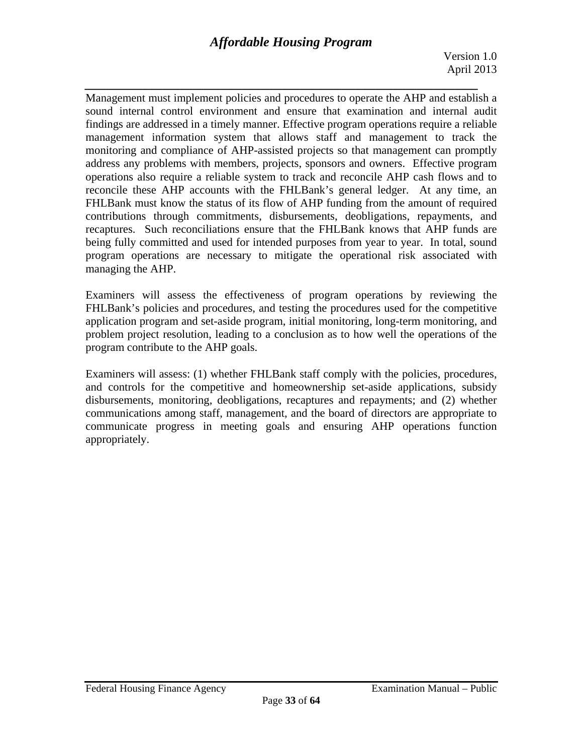*\_\_\_\_\_\_\_\_\_\_\_\_\_\_\_\_\_\_\_\_\_\_\_\_\_\_\_\_\_\_\_\_\_\_\_\_\_\_\_\_\_\_\_\_\_\_\_\_\_\_\_\_\_\_\_\_\_\_\_*  Management must implement policies and procedures to operate the AHP and establish a sound internal control environment and ensure that examination and internal audit findings are addressed in a timely manner. Effective program operations require a reliable management information system that allows staff and management to track the monitoring and compliance of AHP-assisted projects so that management can promptly address any problems with members, projects, sponsors and owners. Effective program operations also require a reliable system to track and reconcile AHP cash flows and to reconcile these AHP accounts with the FHLBank's general ledger. At any time, an FHLBank must know the status of its flow of AHP funding from the amount of required contributions through commitments, disbursements, deobligations, repayments, and recaptures. Such reconciliations ensure that the FHLBank knows that AHP funds are being fully committed and used for intended purposes from year to year. In total, sound program operations are necessary to mitigate the operational risk associated with managing the AHP.

Examiners will assess the effectiveness of program operations by reviewing the FHLBank's policies and procedures, and testing the procedures used for the competitive application program and set-aside program, initial monitoring, long-term monitoring, and problem project resolution, leading to a conclusion as to how well the operations of the program contribute to the AHP goals.

Examiners will assess: (1) whether FHLBank staff comply with the policies, procedures, and controls for the competitive and homeownership set-aside applications, subsidy disbursements, monitoring, deobligations, recaptures and repayments; and (2) whether communications among staff, management, and the board of directors are appropriate to communicate progress in meeting goals and ensuring AHP operations function appropriately.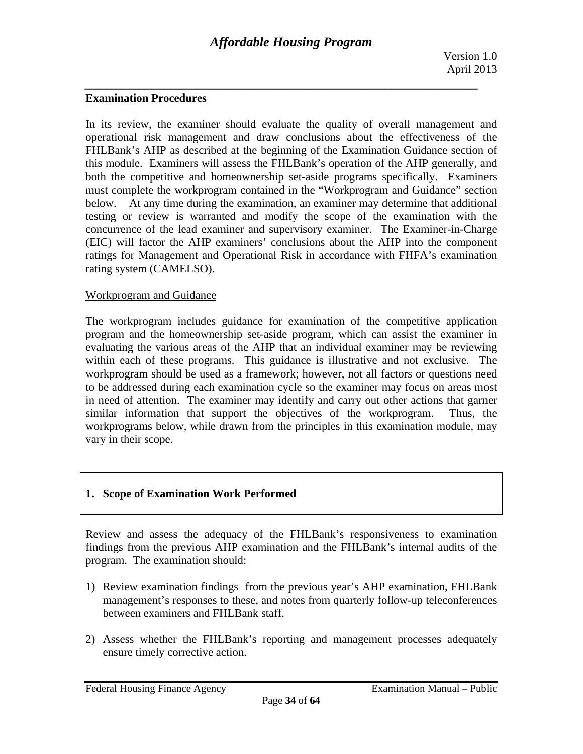#### **Examination Procedures**

 below. At any time during the examination, an examiner may determine that additional In its review, the examiner should evaluate the quality of overall management and operational risk management and draw conclusions about the effectiveness of the FHLBank's AHP as described at the beginning of the Examination Guidance section of this module. Examiners will assess the FHLBank's operation of the AHP generally, and both the competitive and homeownership set-aside programs specifically. Examiners must complete the workprogram contained in the "Workprogram and Guidance" section testing or review is warranted and modify the scope of the examination with the concurrence of the lead examiner and supervisory examiner. The Examiner-in-Charge (EIC) will factor the AHP examiners' conclusions about the AHP into the component ratings for Management and Operational Risk in accordance with FHFA's examination rating system (CAMELSO).

#### Workprogram and Guidance

The workprogram includes guidance for examination of the competitive application program and the homeownership set-aside program, which can assist the examiner in evaluating the various areas of the AHP that an individual examiner may be reviewing within each of these programs. This guidance is illustrative and not exclusive. The workprogram should be used as a framework; however, not all factors or questions need to be addressed during each examination cycle so the examiner may focus on areas most in need of attention. The examiner may identify and carry out other actions that garner similar information that support the objectives of the workprogram. Thus, the workprograms below, while drawn from the principles in this examination module, may vary in their scope.

### **1. Scope of Examination Work Performed**

Review and assess the adequacy of the FHLBank's responsiveness to examination findings from the previous AHP examination and the FHLBank's internal audits of the program. The examination should:

- 1) Review examination findings from the previous year's AHP examination, FHLBank management's responses to these, and notes from quarterly follow-up teleconferences between examiners and FHLBank staff.
- 2) Assess whether the FHLBank's reporting and management processes adequately ensure timely corrective action.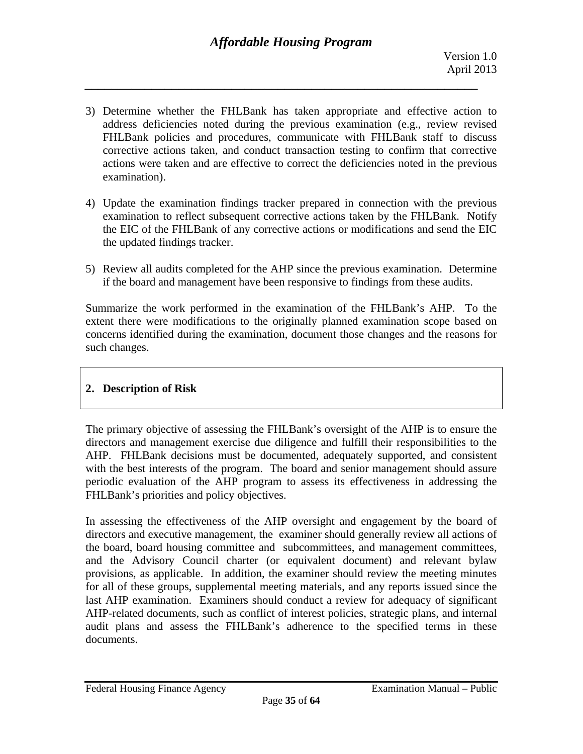- 3) Determine whether the FHLBank has taken appropriate and effective action to address deficiencies noted during the previous examination (e.g., review revised FHLBank policies and procedures, communicate with FHLBank staff to discuss corrective actions taken, and conduct transaction testing to confirm that corrective actions were taken and are effective to correct the deficiencies noted in the previous examination).
- 4) Update the examination findings tracker prepared in connection with the previous examination to reflect subsequent corrective actions taken by the FHLBank. Notify the EIC of the FHLBank of any corrective actions or modifications and send the EIC the updated findings tracker.
- 5) Review all audits completed for the AHP since the previous examination. Determine if the board and management have been responsive to findings from these audits.

Summarize the work performed in the examination of the FHLBank's AHP. To the extent there were modifications to the originally planned examination scope based on concerns identified during the examination, document those changes and the reasons for such changes.

# **2. Description of Risk**

The primary objective of assessing the FHLBank's oversight of the AHP is to ensure the directors and management exercise due diligence and fulfill their responsibilities to the AHP. FHLBank decisions must be documented, adequately supported, and consistent with the best interests of the program. The board and senior management should assure periodic evaluation of the AHP program to assess its effectiveness in addressing the FHLBank's priorities and policy objectives.

In assessing the effectiveness of the AHP oversight and engagement by the board of directors and executive management, the examiner should generally review all actions of the board, board housing committee and subcommittees, and management committees, and the Advisory Council charter (or equivalent document) and relevant bylaw provisions, as applicable. In addition, the examiner should review the meeting minutes for all of these groups, supplemental meeting materials, and any reports issued since the last AHP examination. Examiners should conduct a review for adequacy of significant AHP-related documents, such as conflict of interest policies, strategic plans, and internal audit plans and assess the FHLBank's adherence to the specified terms in these documents.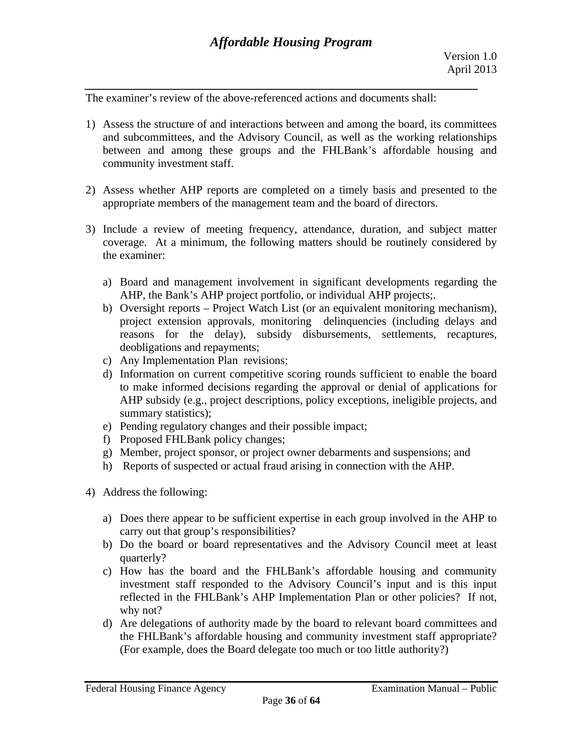The examiner's review of the above-referenced actions and documents shall:

- 1) Assess the structure of and interactions between and among the board, its committees and subcommittees, and the Advisory Council, as well as the working relationships between and among these groups and the FHLBank's affordable housing and community investment staff.
- 2) Assess whether AHP reports are completed on a timely basis and presented to the appropriate members of the management team and the board of directors.
- 3) Include a review of meeting frequency, attendance, duration, and subject matter coverage. At a minimum, the following matters should be routinely considered by the examiner:
	- a) Board and management involvement in significant developments regarding the AHP, the Bank's AHP project portfolio, or individual AHP projects;.
	- b) Oversight reports Project Watch List (or an equivalent monitoring mechanism), project extension approvals, monitoring delinquencies (including delays and reasons for the delay), subsidy disbursements, settlements, recaptures, deobligations and repayments;
	- c) Any Implementation Plan revisions;
	- d) Information on current competitive scoring rounds sufficient to enable the board to make informed decisions regarding the approval or denial of applications for AHP subsidy (e.g., project descriptions, policy exceptions, ineligible projects, and summary statistics);
	- e) Pending regulatory changes and their possible impact;
	- f) Proposed FHLBank policy changes;
	- g) Member, project sponsor, or project owner debarments and suspensions; and
	- h) Reports of suspected or actual fraud arising in connection with the AHP.
- 4) Address the following:
	- a) Does there appear to be sufficient expertise in each group involved in the AHP to carry out that group's responsibilities?
	- b) Do the board or board representatives and the Advisory Council meet at least quarterly?
	- why not? c) How has the board and the FHLBank's affordable housing and community investment staff responded to the Advisory Council's input and is this input reflected in the FHLBank's AHP Implementation Plan or other policies? If not,
	- d) Are delegations of authority made by the board to relevant board committees and the FHLBank's affordable housing and community investment staff appropriate? (For example, does the Board delegate too much or too little authority?)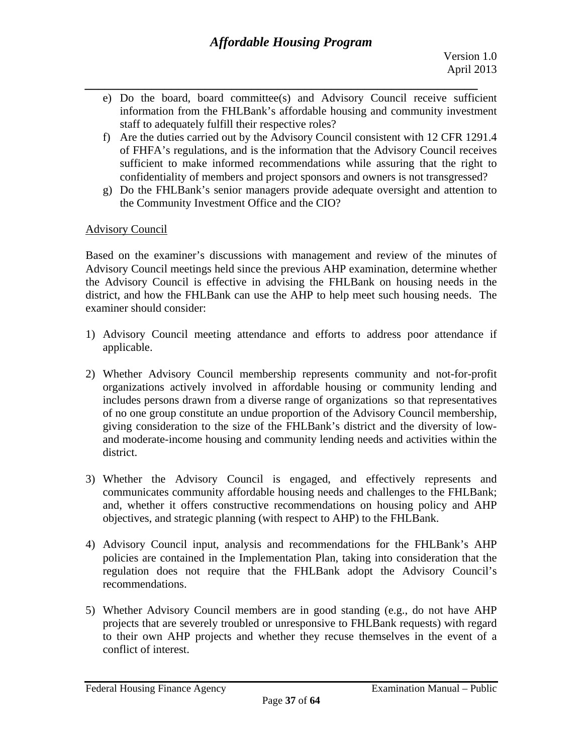- *\_\_\_\_\_\_\_\_\_\_\_\_\_\_\_\_\_\_\_\_\_\_\_\_\_\_\_\_\_\_\_\_\_\_\_\_\_\_\_\_\_\_\_\_\_\_\_\_\_\_\_\_\_\_\_\_\_\_\_*  e) Do the board, board committee(s) and Advisory Council receive sufficient information from the FHLBank's affordable housing and community investment staff to adequately fulfill their respective roles?
	- confidentiality of members and project sponsors and owners is not transgressed? f) Are the duties carried out by the Advisory Council consistent with 12 CFR 1291.4 of FHFA's regulations, and is the information that the Advisory Council receives sufficient to make informed recommendations while assuring that the right to
	- confidentiality of members and project sponsors and owners is not transgressed? g) Do the FHLBank's senior managers provide adequate oversight and attention to the Community Investment Office and the CIO?

# Advisory Council

Based on the examiner's discussions with management and review of the minutes of Advisory Council meetings held since the previous AHP examination, determine whether the Advisory Council is effective in advising the FHLBank on housing needs in the district, and how the FHLBank can use the AHP to help meet such housing needs. The examiner should consider:

- 1) Advisory Council meeting attendance and efforts to address poor attendance if applicable.
- 2) Whether Advisory Council membership represents community and not-for-profit organizations actively involved in affordable housing or community lending and includes persons drawn from a diverse range of organizations so that representatives of no one group constitute an undue proportion of the Advisory Council membership, giving consideration to the size of the FHLBank's district and the diversity of lowand moderate-income housing and community lending needs and activities within the district.
- 3) Whether the Advisory Council is engaged, and effectively represents and communicates community affordable housing needs and challenges to the FHLBank; and, whether it offers constructive recommendations on housing policy and AHP objectives, and strategic planning (with respect to AHP) to the FHLBank.
- 4) Advisory Council input, analysis and recommendations for the FHLBank's AHP policies are contained in the Implementation Plan, taking into consideration that the regulation does not require that the FHLBank adopt the Advisory Council's recommendations.
- 5) Whether Advisory Council members are in good standing (e.g., do not have AHP projects that are severely troubled or unresponsive to FHLBank requests) with regard to their own AHP projects and whether they recuse themselves in the event of a conflict of interest.

Page **37** of **64**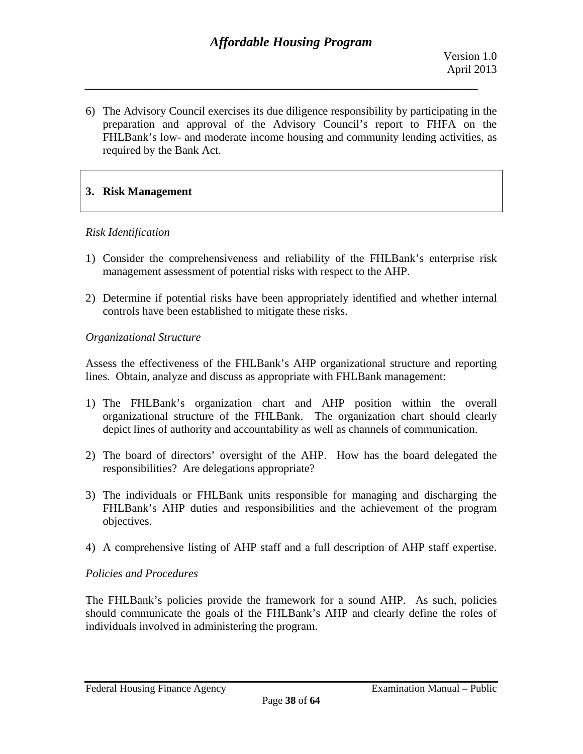6) The Advisory Council exercises its due diligence responsibility by participating in the preparation and approval of the Advisory Council's report to FHFA on the FHLBank's low- and moderate income housing and community lending activities, as required by the Bank Act.

# **3. Risk Management**

#### *Risk Identification*

- 1) Consider the comprehensiveness and reliability of the FHLBank's enterprise risk management assessment of potential risks with respect to the AHP.
- 2) Determine if potential risks have been appropriately identified and whether internal controls have been established to mitigate these risks.

#### *Organizational Structure*

Assess the effectiveness of the FHLBank's AHP organizational structure and reporting lines. Obtain, analyze and discuss as appropriate with FHLBank management:

- 1) The FHLBank's organization chart and AHP position within the overall organizational structure of the FHLBank. The organization chart should clearly depict lines of authority and accountability as well as channels of communication.
- responsibilities? Are delegations appropriate? 2) The board of directors' oversight of the AHP. How has the board delegated the
- 3) The individuals or FHLBank units responsible for managing and discharging the FHLBank's AHP duties and responsibilities and the achievement of the program objectives.
- 4) A comprehensive listing of AHP staff and a full description of AHP staff expertise.

### *Policies and Procedures*

The FHLBank's policies provide the framework for a sound AHP. As such, policies should communicate the goals of the FHLBank's AHP and clearly define the roles of individuals involved in administering the program.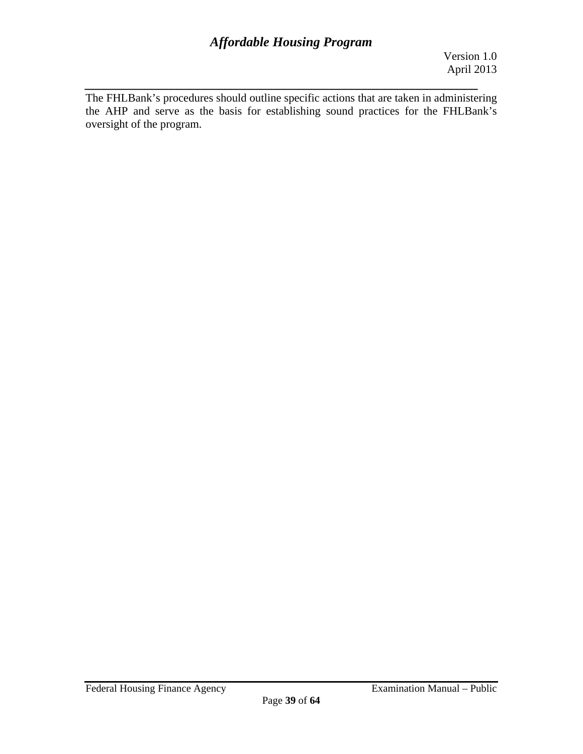*\_\_\_\_\_\_\_\_\_\_\_\_\_\_\_\_\_\_\_\_\_\_\_\_\_\_\_\_\_\_\_\_\_\_\_\_\_\_\_\_\_\_\_\_\_\_\_\_\_\_\_\_\_\_\_\_\_\_\_*  The FHLBank's procedures should outline specific actions that are taken in administering the AHP and serve as the basis for establishing sound practices for the FHLBank's oversight of the program.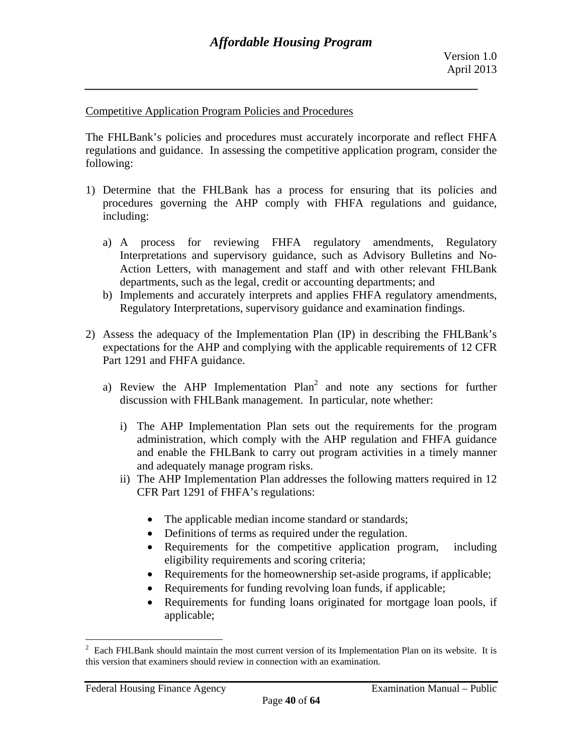#### Competitive Application Program Policies and Procedures

The FHLBank's policies and procedures must accurately incorporate and reflect FHFA regulations and guidance. In assessing the competitive application program, consider the following:

- 1) Determine that the FHLBank has a process for ensuring that its policies and procedures governing the AHP comply with FHFA regulations and guidance, including:
	- a) A process for reviewing FHFA regulatory amendments, Regulatory Interpretations and supervisory guidance, such as Advisory Bulletins and No-Action Letters, with management and staff and with other relevant FHLBank departments, such as the legal, credit or accounting departments; and
	- b) Implements and accurately interprets and applies FHFA regulatory amendments, Regulatory Interpretations, supervisory guidance and examination findings.
- 2) Assess the adequacy of the Implementation Plan (IP) in describing the FHLBank's expectations for the AHP and complying with the applicable requirements of 12 CFR Part 1291 and FHFA guidance.
	- a) Review the AHP Implementation  $Plan^2$  and note any sections for further discussion with FHLBank management. In particular, note whether:
		- i) The AHP Implementation Plan sets out the requirements for the program administration, which comply with the AHP regulation and FHFA guidance and enable the FHLBank to carry out program activities in a timely manner and adequately manage program risks.
		- ii) The AHP Implementation Plan addresses the following matters required in 12 CFR Part 1291 of FHFA's regulations:
			- The applicable median income standard or standards;
			- Definitions of terms as required under the regulation.
			- Requirements for the competitive application program, including eligibility requirements and scoring criteria;
			- Requirements for the homeownership set-aside programs, if applicable;
			- Requirements for funding revolving loan funds, if applicable;
			- Requirements for funding loans originated for mortgage loan pools, if applicable;

 $\frac{1}{2}$  Each FHLBank should maintain the most current version of its Implementation Plan on its website. It is this version that examiners should review in connection with an examination.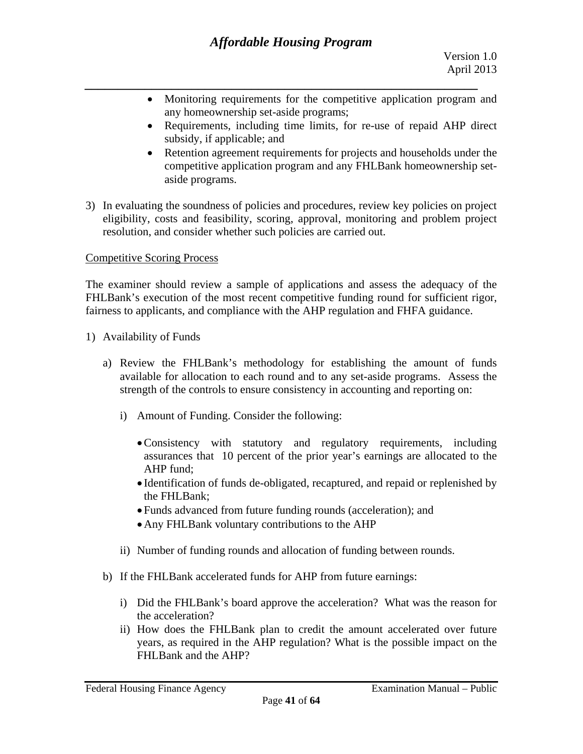- Monitoring requirements for the competitive application program and any homeownership set-aside programs;
- Requirements, including time limits, for re-use of repaid AHP direct subsidy, if applicable; and
- Retention agreement requirements for projects and households under the competitive application program and any FHLBank homeownership setaside programs.
- 3) In evaluating the soundness of policies and procedures, review key policies on project eligibility, costs and feasibility, scoring, approval, monitoring and problem project resolution, and consider whether such policies are carried out.

### Competitive Scoring Process

The examiner should review a sample of applications and assess the adequacy of the FHLBank's execution of the most recent competitive funding round for sufficient rigor, fairness to applicants, and compliance with the AHP regulation and FHFA guidance.

- 1) Availability of Funds
	- a) Review the FHLBank's methodology for establishing the amount of funds available for allocation to each round and to any set-aside programs. Assess the strength of the controls to ensure consistency in accounting and reporting on:
		- i) Amount of Funding. Consider the following:
			- Consistency with statutory and regulatory requirements, including assurances that 10 percent of the prior year's earnings are allocated to the AHP fund;
			- Identification of funds de-obligated, recaptured, and repaid or replenished by the FHLBank;
			- Funds advanced from future funding rounds (acceleration); and
			- Any FHLBank voluntary contributions to the AHP
		- ii) Number of funding rounds and allocation of funding between rounds.
	- b) If the FHLBank accelerated funds for AHP from future earnings:
		- the acceleration? i) Did the FHLBank's board approve the acceleration? What was the reason for
		- FHLBank and the AHP? ii) How does the FHLBank plan to credit the amount accelerated over future years, as required in the AHP regulation? What is the possible impact on the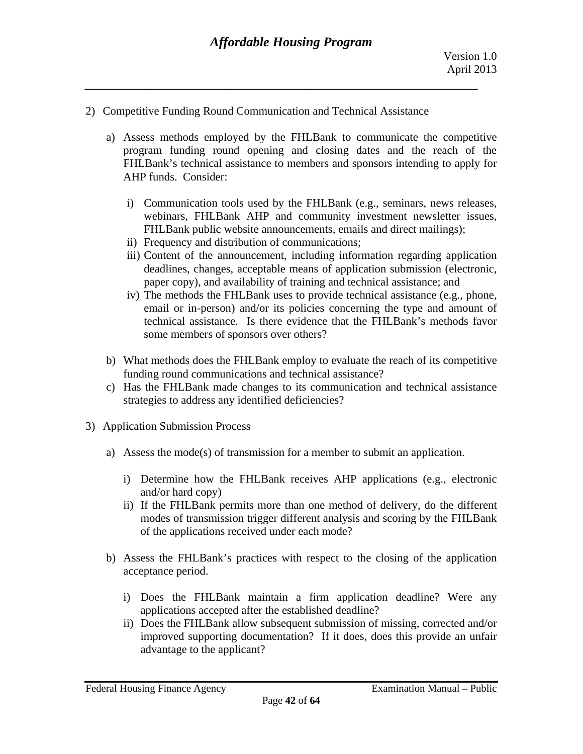- 2) Competitive Funding Round Communication and Technical Assistance
	- a) Assess methods employed by the FHLBank to communicate the competitive program funding round opening and closing dates and the reach of the FHLBank's technical assistance to members and sponsors intending to apply for AHP funds. Consider:
		- i) Communication tools used by the FHLBank (e.g., seminars, news releases, webinars, FHLBank AHP and community investment newsletter issues, FHLBank public website announcements, emails and direct mailings);
		- ii) Frequency and distribution of communications;
		- iii) Content of the announcement, including information regarding application deadlines, changes, acceptable means of application submission (electronic, paper copy), and availability of training and technical assistance; and
		- some members of sponsors over others? iv) The methods the FHLBank uses to provide technical assistance (e.g., phone, email or in-person) and/or its policies concerning the type and amount of technical assistance. Is there evidence that the FHLBank's methods favor
	- b) What methods does the FHLBank employ to evaluate the reach of its competitive funding round communications and technical assistance?
	- c) Has the FHLBank made changes to its communication and technical assistance strategies to address any identified deficiencies?
- 3) Application Submission Process
	- a) Assess the mode(s) of transmission for a member to submit an application.
		- i) Determine how the FHLBank receives AHP applications (e.g., electronic and/or hard copy)
		- of the applications received under each mode? ii) If the FHLBank permits more than one method of delivery, do the different modes of transmission trigger different analysis and scoring by the FHLBank
	- b) Assess the FHLBank's practices with respect to the closing of the application acceptance period.
		- i) Does the FHLBank maintain a firm application deadline? Were any applications accepted after the established deadline?
		- ii) Does the FHLBank allow subsequent submission of missing, corrected and/or improved supporting documentation? If it does, does this provide an unfair advantage to the applicant?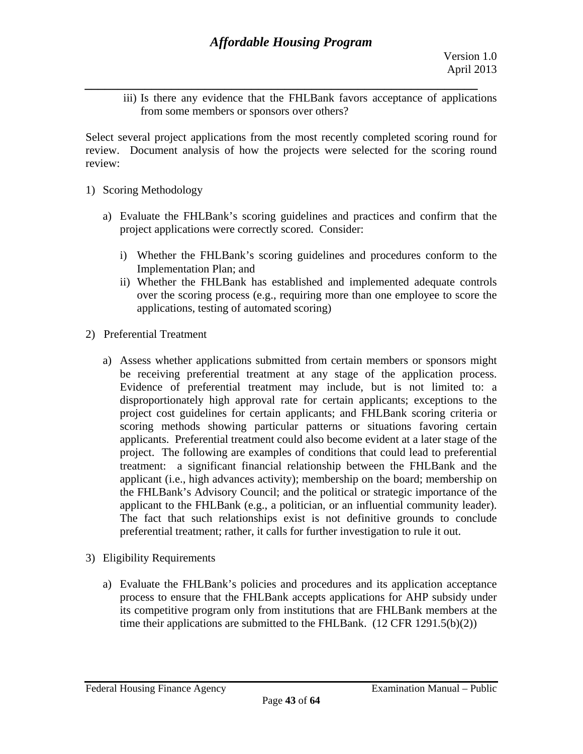*\_\_\_\_\_\_\_\_\_\_\_\_\_\_\_\_\_\_\_\_\_\_\_\_\_\_\_\_\_\_\_\_\_\_\_\_\_\_\_\_\_\_\_\_\_\_\_\_\_\_\_\_\_\_\_\_\_\_\_*  from some members or sponsors over others? iii) Is there any evidence that the FHLBank favors acceptance of applications

Select several project applications from the most recently completed scoring round for review. Document analysis of how the projects were selected for the scoring round review:

- 1) Scoring Methodology
	- a) Evaluate the FHLBank's scoring guidelines and practices and confirm that the project applications were correctly scored. Consider:
		- i) Whether the FHLBank's scoring guidelines and procedures conform to the Implementation Plan; and
		- ii) Whether the FHLBank has established and implemented adequate controls over the scoring process (e.g., requiring more than one employee to score the applications, testing of automated scoring)
- 2) Preferential Treatment
	- a) Assess whether applications submitted from certain members or sponsors might be receiving preferential treatment at any stage of the application process. Evidence of preferential treatment may include, but is not limited to: a disproportionately high approval rate for certain applicants; exceptions to the project cost guidelines for certain applicants; and FHLBank scoring criteria or scoring methods showing particular patterns or situations favoring certain applicants. Preferential treatment could also become evident at a later stage of the project. The following are examples of conditions that could lead to preferential treatment: a significant financial relationship between the FHLBank and the applicant (i.e., high advances activity); membership on the board; membership on the FHLBank's Advisory Council; and the political or strategic importance of the applicant to the FHLBank (e.g., a politician, or an influential community leader). The fact that such relationships exist is not definitive grounds to conclude preferential treatment; rather, it calls for further investigation to rule it out.
- 3) Eligibility Requirements
	- a) Evaluate the FHLBank's policies and procedures and its application acceptance process to ensure that the FHLBank accepts applications for AHP subsidy under its competitive program only from institutions that are FHLBank members at the time their applications are submitted to the FHLBank.  $(12 \text{ CFR } 1291.5(b)(2))$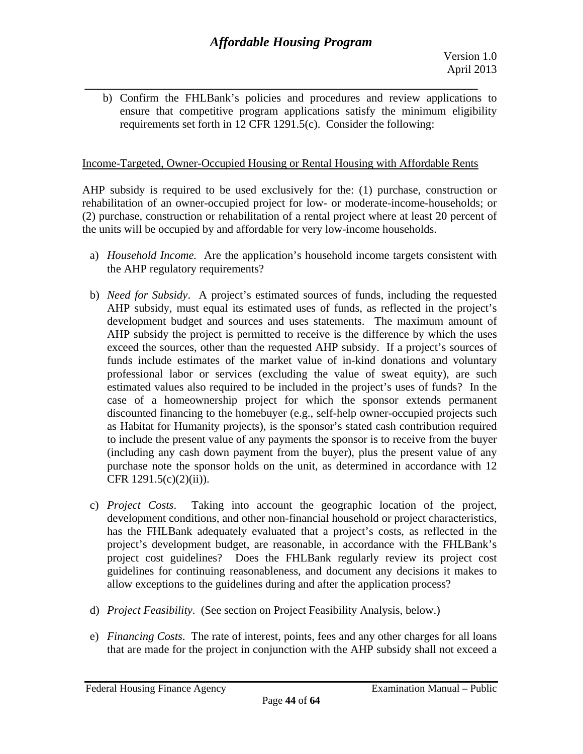*\_\_\_\_\_\_\_\_\_\_\_\_\_\_\_\_\_\_\_\_\_\_\_\_\_\_\_\_\_\_\_\_\_\_\_\_\_\_\_\_\_\_\_\_\_\_\_\_\_\_\_\_\_\_\_\_\_\_\_*  b) Confirm the FHLBank's policies and procedures and review applications to ensure that competitive program applications satisfy the minimum eligibility requirements set forth in 12 CFR 1291.5(c). Consider the following:

### Income-Targeted, Owner-Occupied Housing or Rental Housing with Affordable Rents

AHP subsidy is required to be used exclusively for the: (1) purchase, construction or rehabilitation of an owner-occupied project for low- or moderate-income-households; or (2) purchase, construction or rehabilitation of a rental project where at least 20 percent of the units will be occupied by and affordable for very low-income households.

- the AHP regulatory requirements? a) *Household Income.* Are the application's household income targets consistent with
- b) *Need for Subsidy*. A project's estimated sources of funds, including the requested AHP subsidy, must equal its estimated uses of funds, as reflected in the project's development budget and sources and uses statements. The maximum amount of AHP subsidy the project is permitted to receive is the difference by which the uses exceed the sources, other than the requested AHP subsidy. If a project's sources of funds include estimates of the market value of in-kind donations and voluntary professional labor or services (excluding the value of sweat equity), are such estimated values also required to be included in the project's uses of funds? In the case of a homeownership project for which the sponsor extends permanent discounted financing to the homebuyer (e.g., self-help owner-occupied projects such as Habitat for Humanity projects), is the sponsor's stated cash contribution required to include the present value of any payments the sponsor is to receive from the buyer (including any cash down payment from the buyer), plus the present value of any purchase note the sponsor holds on the unit, as determined in accordance with 12 CFR 1291.5(c)(2)(ii)).
- c) *Project Costs*. Taking into account the geographic location of the project, development conditions, and other non-financial household or project characteristics, has the FHLBank adequately evaluated that a project's costs, as reflected in the project's development budget, are reasonable, in accordance with the FHLBank's project cost guidelines? Does the FHLBank regularly review its project cost guidelines for continuing reasonableness, and document any decisions it makes to
- allow exceptions to the guidelines during and after the application process? d) *Project Feasibility*. (See section on Project Feasibility Analysis, below.)
- e) *Financing Costs*. The rate of interest, points, fees and any other charges for all loans that are made for the project in conjunction with the AHP subsidy shall not exceed a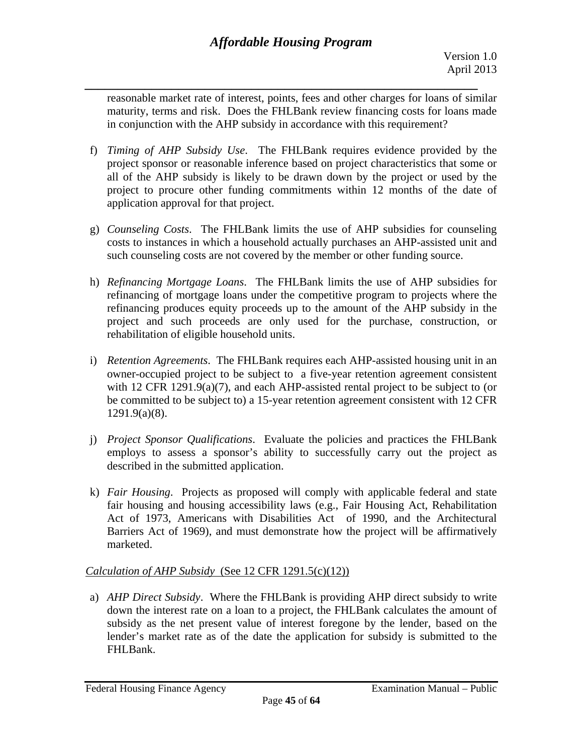*\_\_\_\_\_\_\_\_\_\_\_\_\_\_\_\_\_\_\_\_\_\_\_\_\_\_\_\_\_\_\_\_\_\_\_\_\_\_\_\_\_\_\_\_\_\_\_\_\_\_\_\_\_\_\_\_\_\_\_*  reasonable market rate of interest, points, fees and other charges for loans of similar maturity, terms and risk. Does the FHLBank review financing costs for loans made in conjunction with the AHP subsidy in accordance with this requirement?

- f) *Timing of AHP Subsidy Use*. The FHLBank requires evidence provided by the project sponsor or reasonable inference based on project characteristics that some or all of the AHP subsidy is likely to be drawn down by the project or used by the project to procure other funding commitments within 12 months of the date of application approval for that project.
- g) *Counseling Costs*. The FHLBank limits the use of AHP subsidies for counseling costs to instances in which a household actually purchases an AHP-assisted unit and such counseling costs are not covered by the member or other funding source.
- h) *Refinancing Mortgage Loans*. The FHLBank limits the use of AHP subsidies for refinancing of mortgage loans under the competitive program to projects where the refinancing produces equity proceeds up to the amount of the AHP subsidy in the project and such proceeds are only used for the purchase, construction, or rehabilitation of eligible household units.
- i) *Retention Agreements*. The FHLBank requires each AHP-assisted housing unit in an owner-occupied project to be subject to a five-year retention agreement consistent with 12 CFR 1291.9(a)(7), and each AHP-assisted rental project to be subject to (or be committed to be subject to) a 15-year retention agreement consistent with 12 CFR 1291.9(a)(8).
- j) *Project Sponsor Qualifications*. Evaluate the policies and practices the FHLBank employs to assess a sponsor's ability to successfully carry out the project as described in the submitted application.
- k) *Fair Housing*. Projects as proposed will comply with applicable federal and state fair housing and housing accessibility laws (e.g., Fair Housing Act, Rehabilitation Act of 1973, Americans with Disabilities Act of 1990, and the Architectural Barriers Act of 1969), and must demonstrate how the project will be affirmatively marketed.

# *Calculation of AHP Subsidy* (See 12 CFR 1291.5(c)(12))

a) *AHP Direct Subsidy*. Where the FHLBank is providing AHP direct subsidy to write down the interest rate on a loan to a project, the FHLBank calculates the amount of subsidy as the net present value of interest foregone by the lender, based on the lender's market rate as of the date the application for subsidy is submitted to the FHLBank.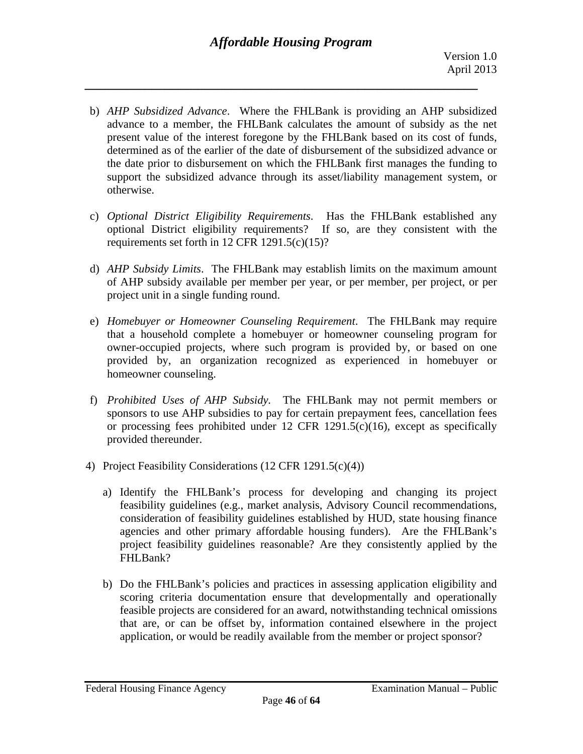- b) *AHP Subsidized Advance*. Where the FHLBank is providing an AHP subsidized advance to a member, the FHLBank calculates the amount of subsidy as the net present value of the interest foregone by the FHLBank based on its cost of funds, determined as of the earlier of the date of disbursement of the subsidized advance or the date prior to disbursement on which the FHLBank first manages the funding to support the subsidized advance through its asset/liability management system, or otherwise.
- c) *Optional District Eligibility Requirements*. Has the FHLBank established any optional District eligibility requirements? If so, are they consistent with the requirements set forth in 12 CFR 1291.5(c)(15)?
- d) *AHP Subsidy Limits*. The FHLBank may establish limits on the maximum amount of AHP subsidy available per member per year, or per member, per project, or per project unit in a single funding round.
- e) *Homebuyer or Homeowner Counseling Requirement*. The FHLBank may require that a household complete a homebuyer or homeowner counseling program for owner-occupied projects, where such program is provided by, or based on one provided by, an organization recognized as experienced in homebuyer or homeowner counseling.
- f) *Prohibited Uses of AHP Subsidy.* The FHLBank may not permit members or sponsors to use AHP subsidies to pay for certain prepayment fees, cancellation fees or processing fees prohibited under 12 CFR 1291.5(c)(16), except as specifically provided thereunder.
- 4) Project Feasibility Considerations (12 CFR 1291.5(c)(4))
	- a) Identify the FHLBank's process for developing and changing its project feasibility guidelines (e.g., market analysis, Advisory Council recommendations, consideration of feasibility guidelines established by HUD, state housing finance agencies and other primary affordable housing funders). Are the FHLBank's project feasibility guidelines reasonable? Are they consistently applied by the FHLBank?
- application, or would be readily available from the member or project sponsor?<br>Federal Housing Finance Agency Examination Manual Public b) Do the FHLBank's policies and practices in assessing application eligibility and scoring criteria documentation ensure that developmentally and operationally feasible projects are considered for an award, notwithstanding technical omissions that are, or can be offset by, information contained elsewhere in the project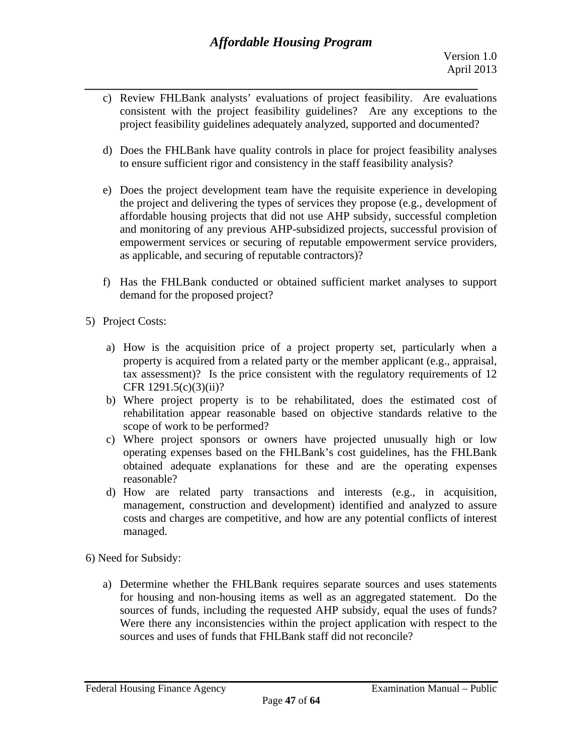- *\_\_\_\_\_\_\_\_\_\_\_\_\_\_\_\_\_\_\_\_\_\_\_\_\_\_\_\_\_\_\_\_\_\_\_\_\_\_\_\_\_\_\_\_\_\_\_\_\_\_\_\_\_\_\_\_\_\_\_*  project feasibility guidelines adequately analyzed, supported and documented? c) Review FHLBank analysts' evaluations of project feasibility. Are evaluations consistent with the project feasibility guidelines? Are any exceptions to the
	- d) Does the FHLBank have quality controls in place for project feasibility analyses to ensure sufficient rigor and consistency in the staff feasibility analysis?
	- as applicable, and securing of reputable contractors)? e) Does the project development team have the requisite experience in developing the project and delivering the types of services they propose (e.g., development of affordable housing projects that did not use AHP subsidy, successful completion and monitoring of any previous AHP-subsidized projects, successful provision of empowerment services or securing of reputable empowerment service providers,
- demand for the proposed project?<br>5) Project Costs: f) Has the FHLBank conducted or obtained sufficient market analyses to support
- - a) How is the acquisition price of a project property set, particularly when a property is acquired from a related party or the member applicant (e.g., appraisal, tax assessment)? Is the price consistent with the regulatory requirements of 12 CFR 1291.5(c)(3)(ii)?
	- scope of work to be performed? b) Where project property is to be rehabilitated, does the estimated cost of rehabilitation appear reasonable based on objective standards relative to the
	- c) Where project sponsors or owners have projected unusually high or low operating expenses based on the FHLBank's cost guidelines, has the FHLBank obtained adequate explanations for these and are the operating expenses reasonable?
	- d) How are related party transactions and interests (e.g., in acquisition, management, construction and development) identified and analyzed to assure costs and charges are competitive, and how are any potential conflicts of interest managed.
- 6) Need for Subsidy:
- sources and uses of funds that FHLBank staff did not reconcile?<br>Federal Housing Finance Agency Examination Manual Public a) Determine whether the FHLBank requires separate sources and uses statements for housing and non-housing items as well as an aggregated statement. Do the sources of funds, including the requested AHP subsidy, equal the uses of funds? Were there any inconsistencies within the project application with respect to the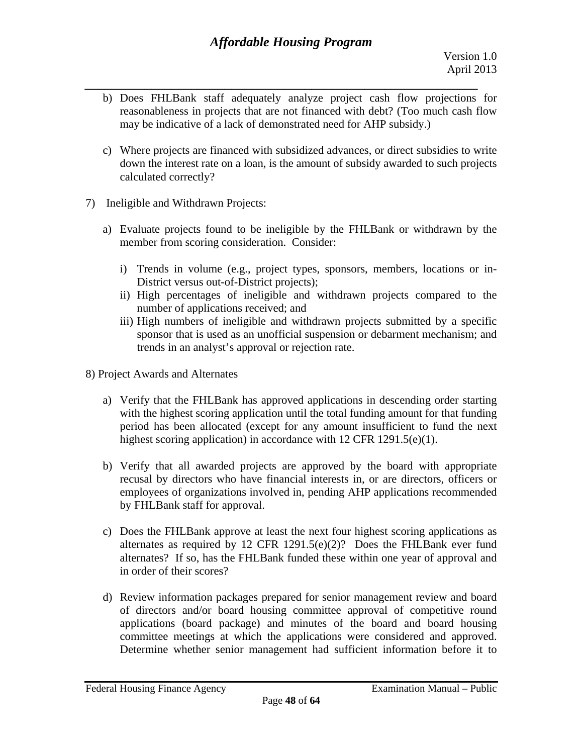- *\_\_\_\_\_\_\_\_\_\_\_\_\_\_\_\_\_\_\_\_\_\_\_\_\_\_\_\_\_\_\_\_\_\_\_\_\_\_\_\_\_\_\_\_\_\_\_\_\_\_\_\_\_\_\_\_\_\_\_*  b) Does FHLBank staff adequately analyze project cash flow projections for reasonableness in projects that are not financed with debt? (Too much cash flow may be indicative of a lack of demonstrated need for AHP subsidy.)
	- c) Where projects are financed with subsidized advances, or direct subsidies to write down the interest rate on a loan, is the amount of subsidy awarded to such projects calculated correctly?
- 7) Ineligible and Withdrawn Projects:
	- a) Evaluate projects found to be ineligible by the FHLBank or withdrawn by the member from scoring consideration. Consider:
		- i) Trends in volume (e.g., project types, sponsors, members, locations or in-District versus out-of-District projects);
		- number of applications received; and ii) High percentages of ineligible and withdrawn projects compared to the
		- iii) High numbers of ineligible and withdrawn projects submitted by a specific sponsor that is used as an unofficial suspension or debarment mechanism; and trends in an analyst's approval or rejection rate.
- 8) Project Awards and Alternates
	- a) Verify that the FHLBank has approved applications in descending order starting with the highest scoring application until the total funding amount for that funding period has been allocated (except for any amount insufficient to fund the next highest scoring application) in accordance with 12 CFR 1291.5(e)(1).
	- b) Verify that all awarded projects are approved by the board with appropriate recusal by directors who have financial interests in, or are directors, officers or employees of organizations involved in, pending AHP applications recommended by FHLBank staff for approval.
	- c) Does the FHLBank approve at least the next four highest scoring applications as alternates as required by 12 CFR 1291.5(e)(2)? Does the FHLBank ever fund alternates? If so, has the FHLBank funded these within one year of approval and in order of their scores?
	- d) Review information packages prepared for senior management review and board of directors and/or board housing committee approval of competitive round applications (board package) and minutes of the board and board housing committee meetings at which the applications were considered and approved. Determine whether senior management had sufficient information before it to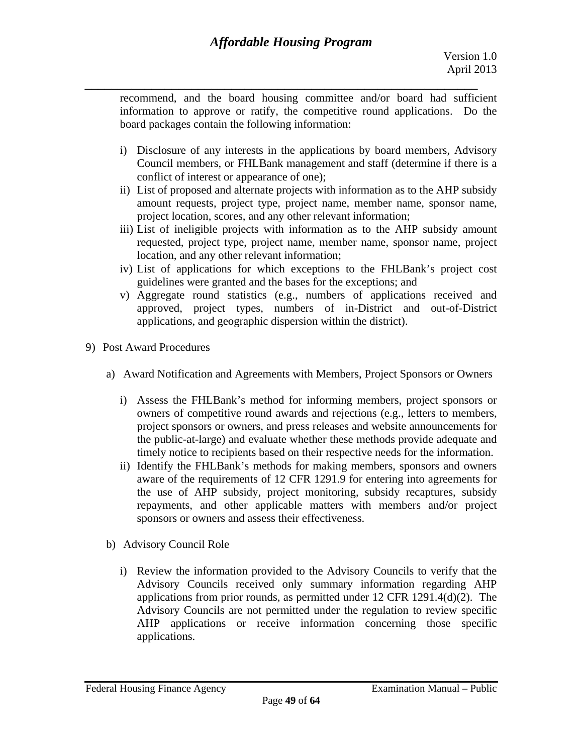*\_\_\_\_\_\_\_\_\_\_\_\_\_\_\_\_\_\_\_\_\_\_\_\_\_\_\_\_\_\_\_\_\_\_\_\_\_\_\_\_\_\_\_\_\_\_\_\_\_\_\_\_\_\_\_\_\_\_\_*  recommend, and the board housing committee and/or board had sufficient information to approve or ratify, the competitive round applications. Do the board packages contain the following information:

- i) Disclosure of any interests in the applications by board members, Advisory Council members, or FHLBank management and staff (determine if there is a conflict of interest or appearance of one);
- ii) List of proposed and alternate projects with information as to the AHP subsidy amount requests, project type, project name, member name, sponsor name, project location, scores, and any other relevant information;
- iii) List of ineligible projects with information as to the AHP subsidy amount requested, project type, project name, member name, sponsor name, project location, and any other relevant information;
- iv) List of applications for which exceptions to the FHLBank's project cost guidelines were granted and the bases for the exceptions; and
- v) Aggregate round statistics (e.g., numbers of applications received and approved, project types, numbers of in-District and out-of-District applications, and geographic dispersion within the district).
- 9) Post Award Procedures
	- a) Award Notification and Agreements with Members, Project Sponsors or Owners
		- i) Assess the FHLBank's method for informing members, project sponsors or owners of competitive round awards and rejections (e.g., letters to members, project sponsors or owners, and press releases and website announcements for the public-at-large) and evaluate whether these methods provide adequate and timely notice to recipients based on their respective needs for the information.
		- ii) Identify the FHLBank's methods for making members, sponsors and owners aware of the requirements of 12 CFR 1291.9 for entering into agreements for the use of AHP subsidy, project monitoring, subsidy recaptures, subsidy repayments, and other applicable matters with members and/or project sponsors or owners and assess their effectiveness.
	- b) Advisory Council Role
- applications. i) Review the information provided to the Advisory Councils to verify that the Advisory Councils received only summary information regarding AHP applications from prior rounds, as permitted under 12 CFR 1291.4(d)(2). The Advisory Councils are not permitted under the regulation to review specific AHP applications or receive information concerning those specific applications.<br>Federal Housing Finance Agency Examination Manual – Public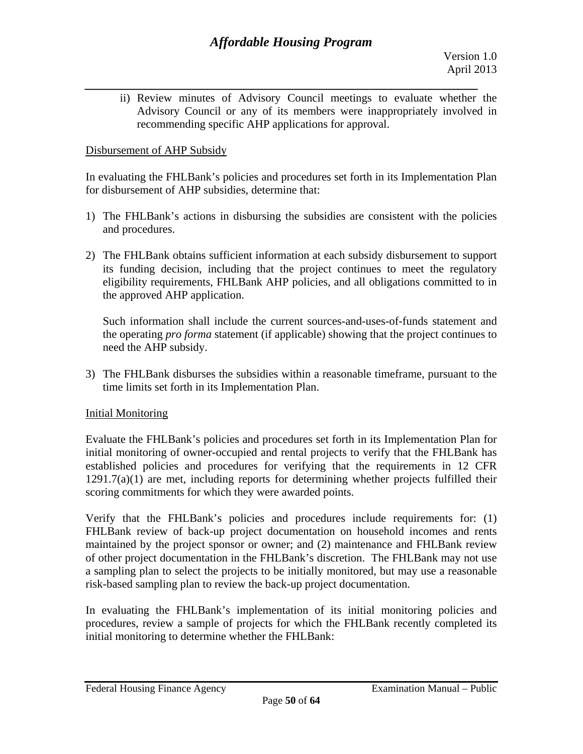*\_\_\_\_\_\_\_\_\_\_\_\_\_\_\_\_\_\_\_\_\_\_\_\_\_\_\_\_\_\_\_\_\_\_\_\_\_\_\_\_\_\_\_\_\_\_\_\_\_\_\_\_\_\_\_\_\_\_\_*  ii) Review minutes of Advisory Council meetings to evaluate whether the Advisory Council or any of its members were inappropriately involved in recommending specific AHP applications for approval.

### Disbursement of AHP Subsidy

In evaluating the FHLBank's policies and procedures set forth in its Implementation Plan for disbursement of AHP subsidies, determine that:

- 1) The FHLBank's actions in disbursing the subsidies are consistent with the policies and procedures.
- 2) The FHLBank obtains sufficient information at each subsidy disbursement to support its funding decision, including that the project continues to meet the regulatory eligibility requirements, FHLBank AHP policies, and all obligations committed to in the approved AHP application.

Such information shall include the current sources-and-uses-of-funds statement and the operating *pro forma* statement (if applicable) showing that the project continues to need the AHP subsidy.

3) The FHLBank disburses the subsidies within a reasonable time frame, pursuant to the time limits set forth in its Implementation Plan.

### Initial Monitoring

Evaluate the FHLBank's policies and procedures set forth in its Implementation Plan for initial monitoring of owner-occupied and rental projects to verify that the FHLBank has established policies and procedures for verifying that the requirements in 12 CFR  $1291.7(a)(1)$  are met, including reports for determining whether projects fulfilled their scoring commitments for which they were awarded points.

Verify that the FHLBank's policies and procedures include requirements for: (1) FHLBank review of back-up project documentation on household incomes and rents maintained by the project sponsor or owner; and (2) maintenance and FHLBank review of other project documentation in the FHLBank's discretion. The FHLBank may not use a sampling plan to select the projects to be initially monitored, but may use a reasonable risk-based sampling plan to review the back-up project documentation.

In evaluating the FHLBank's implementation of its initial monitoring policies and procedures, review a sample of projects for which the FHLBank recently completed its initial monitoring to determine whether the FHLBank: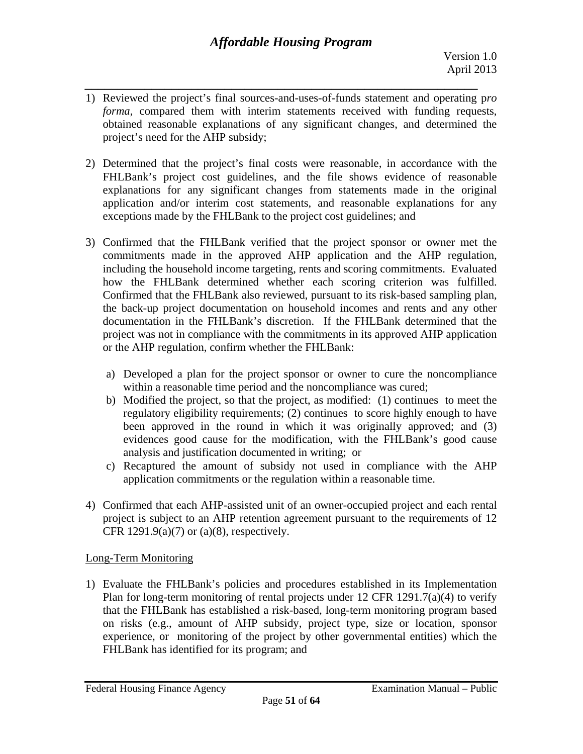- *\_\_\_\_\_\_\_\_\_\_\_\_\_\_\_\_\_\_\_\_\_\_\_\_\_\_\_\_\_\_\_\_\_\_\_\_\_\_\_\_\_\_\_\_\_\_\_\_\_\_\_\_\_\_\_\_\_\_\_*  1) Reviewed the project's final sources-and-uses-of-funds statement and operating p*ro forma*, compared them with interim statements received with funding requests, obtained reasonable explanations of any significant changes, and determined the project's need for the AHP subsidy;
- 2) Determined that the project's final costs were reasonable, in accordance with the FHLBank's project cost guidelines, and the file shows evidence of reasonable explanations for any significant changes from statements made in the original application and/or interim cost statements, and reasonable explanations for any exceptions made by the FHLBank to the project cost guidelines; and
- 3) Confirmed that the FHLBank verified that the project sponsor or owner met the commitments made in the approved AHP application and the AHP regulation, including the household income targeting, rents and scoring commitments. Evaluated how the FHLBank determined whether each scoring criterion was fulfilled. Confirmed that the FHLBank also reviewed, pursuant to its risk-based sampling plan, the back-up project documentation on household incomes and rents and any other documentation in the FHLBank's discretion. If the FHLBank determined that the project was not in compliance with the commitments in its approved AHP application or the AHP regulation, confirm whether the FHLBank:
	- a) Developed a plan for the project sponsor or owner to cure the noncompliance within a reasonable time period and the noncompliance was cured;
	- b) Modified the project, so that the project, as modified: (1) continues to meet the regulatory eligibility requirements; (2) continues to score highly enough to have been approved in the round in which it was originally approved; and (3) evidences good cause for the modification, with the FHLBank's good cause analysis and justification documented in writing; or
	- c) Recaptured the amount of subsidy not used in compliance with the AHP application commitments or the regulation within a reasonable time.
- 4) Confirmed that each AHP-assisted unit of an owner-occupied project and each rental project is subject to an AHP retention agreement pursuant to the requirements of 12 CFR 1291.9(a)(7) or (a)(8), respectively.

# Long-Term Monitoring

1) Evaluate the FHLBank's policies and procedures established in its Implementation Plan for long-term monitoring of rental projects under 12 CFR 1291.7(a)(4) to verify that the FHLBank has established a risk-based, long-term monitoring program based on risks (e.g., amount of AHP subsidy, project type, size or location, sponsor experience, or monitoring of the project by other governmental entities) which the FHLBank has identified for its program; and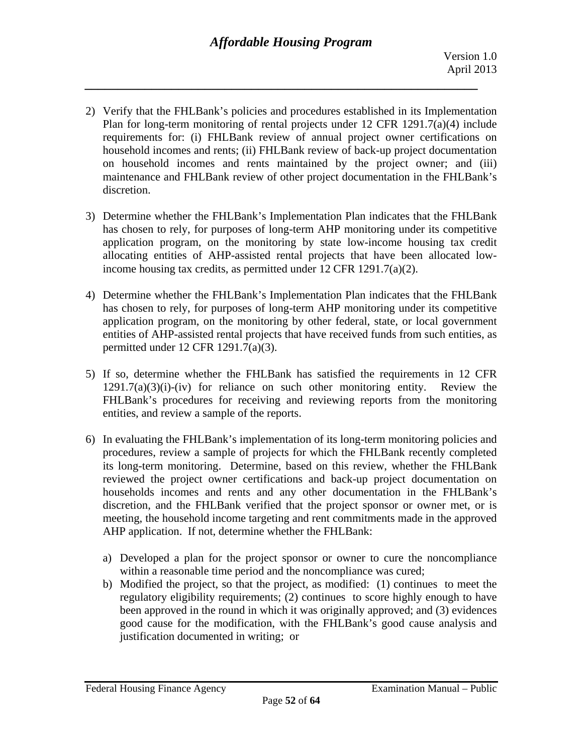- 2) Verify that the FHLBank's policies and procedures established in its Implementation Plan for long-term monitoring of rental projects under 12 CFR 1291.7(a)(4) include requirements for: (i) FHLBank review of annual project owner certifications on household incomes and rents; (ii) FHLBank review of back-up project documentation on household incomes and rents maintained by the project owner; and (iii) maintenance and FHLBank review of other project documentation in the FHLBank's discretion.
- 3) Determine whether the FHLBank's Implementation Plan indicates that the FHLBank has chosen to rely, for purposes of long-term AHP monitoring under its competitive application program, on the monitoring by state low-income housing tax credit allocating entities of AHP-assisted rental projects that have been allocated lowincome housing tax credits, as permitted under 12 CFR 1291.7(a)(2).
- 4) Determine whether the FHLBank's Implementation Plan indicates that the FHLBank has chosen to rely, for purposes of long-term AHP monitoring under its competitive application program, on the monitoring by other federal, state, or local government entities of AHP-assisted rental projects that have received funds from such entities, as permitted under 12 CFR 1291.7(a)(3).
- 5) If so, determine whether the FHLBank has satisfied the requirements in 12 CFR  $1291.7(a)(3)(i)$ -(iv) for reliance on such other monitoring entity. Review the FHLBank's procedures for receiving and reviewing reports from the monitoring entities, and review a sample of the reports.
- 6) In evaluating the FHLBank's implementation of its long-term monitoring policies and procedures, review a sample of projects for which the FHLBank recently completed its long-term monitoring. Determine, based on this review, whether the FHLBank reviewed the project owner certifications and back-up project documentation on households incomes and rents and any other documentation in the FHLBank's discretion, and the FHLBank verified that the project sponsor or owner met, or is meeting, the household income targeting and rent commitments made in the approved AHP application. If not, determine whether the FHLBank:
	- a) Developed a plan for the project sponsor or owner to cure the noncompliance within a reasonable time period and the noncompliance was cured;
	- b) Modified the project, so that the project, as modified: (1) continues to meet the regulatory eligibility requirements; (2) continues to score highly enough to have been approved in the round in which it was originally approved; and (3) evidences good cause for the modification, with the FHLBank's good cause analysis and justification documented in writing; or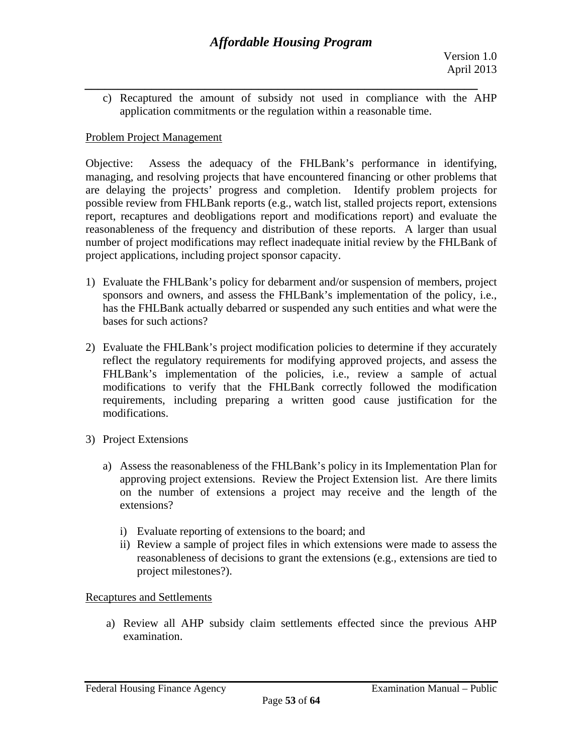*\_\_\_\_\_\_\_\_\_\_\_\_\_\_\_\_\_\_\_\_\_\_\_\_\_\_\_\_\_\_\_\_\_\_\_\_\_\_\_\_\_\_\_\_\_\_\_\_\_\_\_\_\_\_\_\_\_\_\_*  c) Recaptured the amount of subsidy not used in compliance with the AHP application commitments or the regulation within a reasonable time.

### Problem Project Management

Objective: Assess the adequacy of the FHLBank's performance in identifying, managing, and resolving projects that have encountered financing or other problems that are delaying the projects' progress and completion. Identify problem projects for possible review from FHLBank reports (e.g., watch list, stalled projects report, extensions report, recaptures and deobligations report and modifications report) and evaluate the reasonableness of the frequency and distribution of these reports. A larger than usual number of project modifications may reflect inadequate initial review by the FHLBank of project applications, including project sponsor capacity.

- 1) Evaluate the FHLBank's policy for debarment and/or suspension of members, project sponsors and owners, and assess the FHLBank's implementation of the policy, i.e., has the FHLBank actually debarred or suspended any such entities and what were the bases for such actions?
- 2) Evaluate the FHLBank's project modification policies to determine if they accurately reflect the regulatory requirements for modifying approved projects, and assess the FHLBank's implementation of the policies, i.e., review a sample of actual modifications to verify that the FHLBank correctly followed the modification requirements, including preparing a written good cause justification for the modifications.
- 3) Project Extensions
	- a) Assess the reasonableness of the FHLBank's policy in its Implementation Plan for approving project extensions. Review the Project Extension list. Are there limits on the number of extensions a project may receive and the length of the extensions?
		- i) Evaluate reporting of extensions to the board; and
		- ii) Review a sample of project files in which extensions were made to assess the reasonableness of decisions to grant the extensions (e.g., extensions are tied to project milestones?).

### Recaptures and Settlements

a) Review all AHP subsidy claim settlements effected since the previous AHP examination.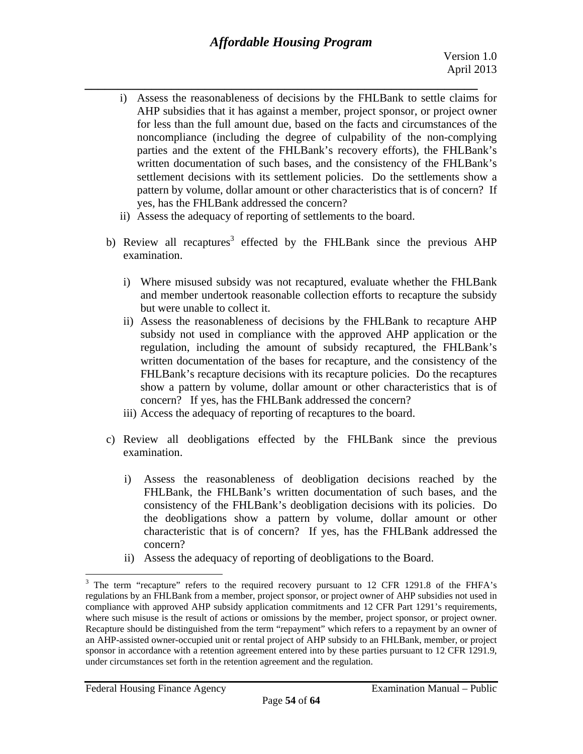- *\_\_\_\_\_\_\_\_\_\_\_\_\_\_\_\_\_\_\_\_\_\_\_\_\_\_\_\_\_\_\_\_\_\_\_\_\_\_\_\_\_\_\_\_\_\_\_\_\_\_\_\_\_\_\_\_\_\_\_*  yes, has the FHLBank addressed the concern? i) Assess the reasonableness of decisions by the FHLBank to settle claims for AHP subsidies that it has against a member, project sponsor, or project owner for less than the full amount due, based on the facts and circumstances of the noncompliance (including the degree of culpability of the non-complying parties and the extent of the FHLBank's recovery efforts), the FHLBank's written documentation of such bases, and the consistency of the FHLBank's settlement decisions with its settlement policies. Do the settlements show a pattern by volume, dollar amount or other characteristics that is of concern? If
	- ii) Assess the adequacy of reporting of settlements to the board.
	- b) Review all recaptures<sup>3</sup> effected by the FHLBank since the previous AHP examination.
		- i) Where misused subsidy was not recaptured, evaluate whether the FHLBank and member undertook reasonable collection efforts to recapture the subsidy but were unable to collect it.
		- concern? If yes, has the FHLBank addressed the concern? ii) Assess the reasonableness of decisions by the FHLBank to recapture AHP subsidy not used in compliance with the approved AHP application or the regulation, including the amount of subsidy recaptured, the FHLBank's written documentation of the bases for recapture, and the consistency of the FHLBank's recapture decisions with its recapture policies. Do the recaptures show a pattern by volume, dollar amount or other characteristics that is of
		- iii) Access the adequacy of reporting of recaptures to the board.
	- c) Review all deobligations effected by the FHLBank since the previous examination.
		- concern? i) Assess the reasonableness of deobligation decisions reached by the FHLBank, the FHLBank's written documentation of such bases, and the consistency of the FHLBank's deobligation decisions with its policies. Do the deobligations show a pattern by volume, dollar amount or other characteristic that is of concern? If yes, has the FHLBank addressed the
		- ii) Assess the adequacy of reporting of deobligations to the Board.

1

 $3$  The term "recapture" refers to the required recovery pursuant to 12 CFR 1291.8 of the FHFA's regulations by an FHLBank from a member, project sponsor, or project owner of AHP subsidies not used in compliance with approved AHP subsidy application commitments and 12 CFR Part 1291's requirements, where such misuse is the result of actions or omissions by the member, project sponsor, or project owner. Recapture should be distinguished from the term "repayment" which refers to a repayment by an owner of an AHP-assisted owner-occupied unit or rental project of AHP subsidy to an FHLBank, member, or project sponsor in accordance with a retention agreement entered into by these parties pursuant to 12 CFR 1291.9, under circumstances set forth in the retention agreement and the regulation.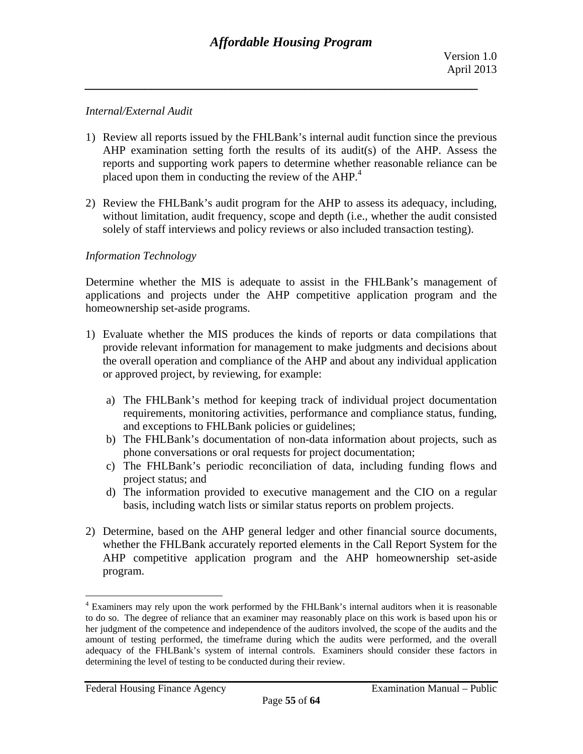### *Internal/External Audit*

- placed upon them in conducting the review of the AHP.<sup>4</sup> 1) Review all reports issued by the FHLBank's internal audit function since the previous AHP examination setting forth the results of its audit(s) of the AHP. Assess the reports and supporting work papers to determine whether reasonable reliance can be
- 2) Review the FHLBank's audit program for the AHP to assess its adequacy, including, without limitation, audit frequency, scope and depth (i.e., whether the audit consisted solely of staff interviews and policy reviews or also included transaction testing).

### *Information Technology*

Determine whether the MIS is adequate to assist in the FHLBank's management of applications and projects under the AHP competitive application program and the homeownership set-aside programs.

- 1) Evaluate whether the MIS produces the kinds of reports or data compilations that provide relevant information for management to make judgments and decisions about the overall operation and compliance of the AHP and about any individual application or approved project, by reviewing, for example:
	- a) The FHLBank's method for keeping track of individual project documentation requirements, monitoring activities, performance and compliance status, funding, and exceptions to FHLBank policies or guidelines;
	- b) The FHLBank's documentation of non-data information about projects, such as phone conversations or oral requests for project documentation;
	- c) The FHLBank's periodic reconciliation of data, including funding flows and project status; and
	- d) The information provided to executive management and the CIO on a regular basis, including watch lists or similar status reports on problem projects.
- 2) Determine, based on the AHP general ledger and other financial source documents, whether the FHLBank accurately reported elements in the Call Report System for the AHP competitive application program and the AHP homeownership set-aside program.

<sup>&</sup>lt;sup>4</sup> Examiners may rely upon the work performed by the FHLBank's internal auditors when it is reasonable to do so. The degree of reliance that an examiner may reasonably place on this work is based upon his or her judgment of the competence and independence of the auditors involved, the scope of the audits and the amount of testing performed, the timeframe during which the audits were performed, and the overall adequacy of the FHLBank's system of internal controls. Examiners should consider these factors in determining the level of testing to be conducted during their review.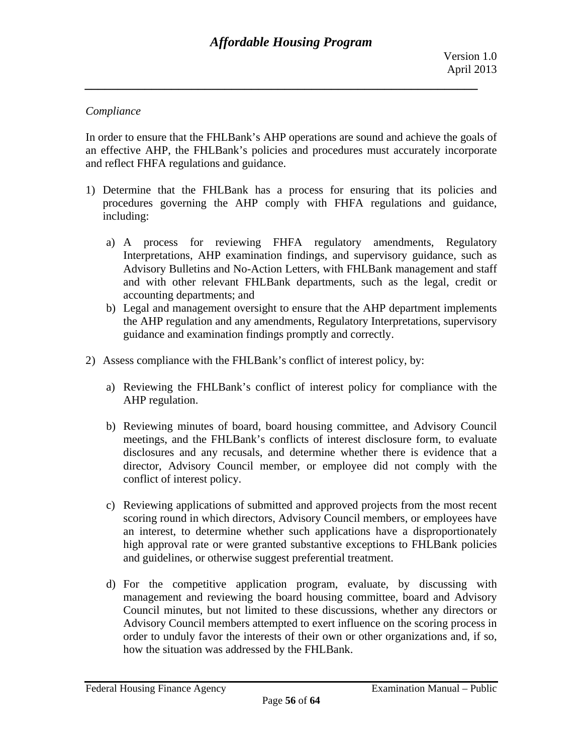### *Compliance*

In order to ensure that the FHLBank's AHP operations are sound and achieve the goals of an effective AHP, the FHLBank's policies and procedures must accurately incorporate and reflect FHFA regulations and guidance.

- 1) Determine that the FHLBank has a process for ensuring that its policies and procedures governing the AHP comply with FHFA regulations and guidance, including:
	- a) A process for reviewing FHFA regulatory amendments, Regulatory Interpretations, AHP examination findings, and supervisory guidance, such as Advisory Bulletins and No-Action Letters, with FHLBank management and staff and with other relevant FHLBank departments, such as the legal, credit or accounting departments; and
	- b) Legal and management oversight to ensure that the AHP department implements the AHP regulation and any amendments, Regulatory Interpretations, supervisory guidance and examination findings promptly and correctly.
- 2) Assess compliance with the FHLBank's conflict of interest policy, by:
	- a) Reviewing the FHLBank's conflict of interest policy for compliance with the AHP regulation.
	- b) Reviewing minutes of board, board housing committee, and Advisory Council meetings, and the FHLBank's conflicts of interest disclosure form, to evaluate disclosures and any recusals, and determine whether there is evidence that a director, Advisory Council member, or employee did not comply with the conflict of interest policy.
	- c) Reviewing applications of submitted and approved projects from the most recent scoring round in which directors, Advisory Council members, or employees have an interest, to determine whether such applications have a disproportionately high approval rate or were granted substantive exceptions to FHLBank policies and guidelines, or otherwise suggest preferential treatment.
	- d) For the competitive application program, evaluate, by discussing with management and reviewing the board housing committee, board and Advisory Council minutes, but not limited to these discussions, whether any directors or Advisory Council members attempted to exert influence on the scoring process in order to unduly favor the interests of their own or other organizations and, if so, how the situation was addressed by the FHLBank.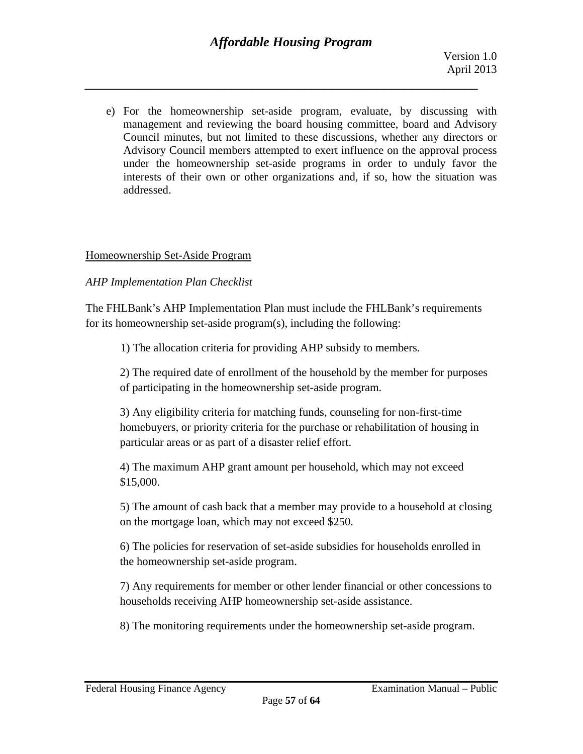e) For the homeownership set-aside program, evaluate, by discussing with management and reviewing the board housing committee, board and Advisory Council minutes, but not limited to these discussions, whether any directors or Advisory Council members attempted to exert influence on the approval process under the homeownership set-aside programs in order to unduly favor the interests of their own or other organizations and, if so, how the situation was addressed.

### Homeownership Set-Aside Program

### *AHP Implementation Plan Checklist*

The FHLBank's AHP Implementation Plan must include the FHLBank's requirements for its homeownership set-aside program(s), including the following:

1) The allocation criteria for providing AHP subsidy to members.

2) The required date of enrollment of the household by the member for purposes of participating in the homeownership set-aside program.

3) Any eligibility criteria for matching funds, counseling for non-first-time homebuyers, or priority criteria for the purchase or rehabilitation of housing in particular areas or as part of a disaster relief effort.

4) The maximum AHP grant amount per household, which may not exceed \$15,000.

5) The amount of cash back that a member may provide to a household at closing on the mortgage loan, which may not exceed \$250.

6) The policies for reservation of set-aside subsidies for households enrolled in the homeownership set-aside program.

7) Any requirements for member or other lender financial or other concessions to households receiving AHP homeownership set-aside assistance.

8) The monitoring requirements under the homeownership set-aside program.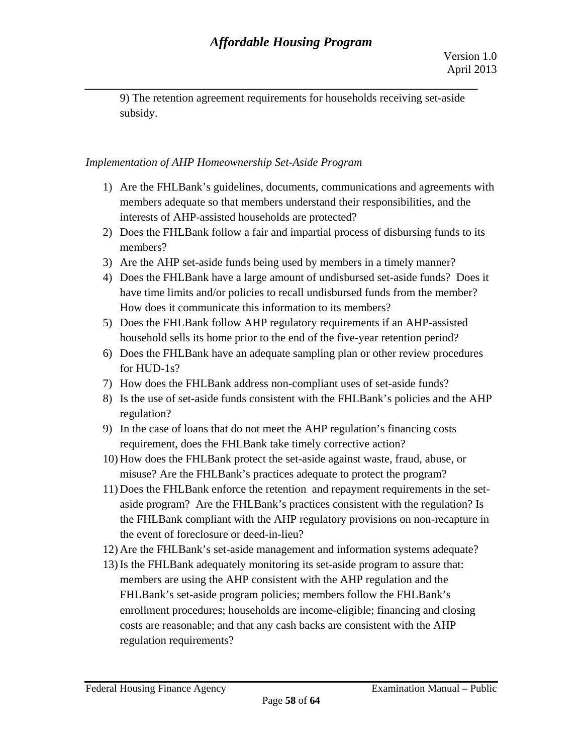9) The retention agreement requirements for households receiving set-aside subsidy.

*\_\_\_\_\_\_\_\_\_\_\_\_\_\_\_\_\_\_\_\_\_\_\_\_\_\_\_\_\_\_\_\_\_\_\_\_\_\_\_\_\_\_\_\_\_\_\_\_\_\_\_\_\_\_\_\_\_\_\_* 

### *Implementation of AHP Homeownership Set-Aside Program*

- interests of AHP-assisted households are protected? 1) Are the FHLBank's guidelines, documents, communications and agreements with members adequate so that members understand their responsibilities, and the
- members? 2) Does the FHLBank follow a fair and impartial process of disbursing funds to its
- 3) Are the AHP set-aside funds being used by members in a timely manner?
- have time limits and/or policies to recall undisbursed funds from the member?<br>How does it communicate this information to its members? 4) Does the FHLBank have a large amount of undisbursed set-aside funds? Does it
- household sells its home prior to the end of the five-year retention period? 5) Does the FHLBank follow AHP regulatory requirements if an AHP-assisted
- for  $HUD-1s$ ? household sells its home prior to the end of the five-year retention period? 6) Does the FHLBank have an adequate sampling plan or other review procedures
- 7) How does the FHLBank address non-compliant uses of set-aside funds?
- regulation?  $\delta$ ) Is the use of set-aside funds consistent with the FHLBank's policies and the AHP
- requirement, does the FHLBank take timely corrective action? 9) In the case of loans that do not meet the AHP regulation's financing costs
- misuse? Are the FHLBank's practices adequate to protect the program? 10) How does the FHLBank protect the set-aside against waste, fraud, abuse, or
- 11) Does the FHLBank enforce the retention and repayment requirements in the setaside program? Are the FHLBank's practices consistent with the regulation? Is the FHLBank compliant with the AHP regulatory provisions on non-recapture in the event of foreclosure or deed-in-lieu?
- 
- 12) Are the FHLBank's set-aside management and information systems adequate? 13) Is the FHLBank adequately monitoring its set-aside program to assure that: members are using the AHP consistent with the AHP regulation and the FHLBank's set-aside program policies; members follow the FHLBank's enrollment procedures; households are income-eligible; financing and closing costs are reasonable; and that any cash backs are consistent with the AHP regulation requirements?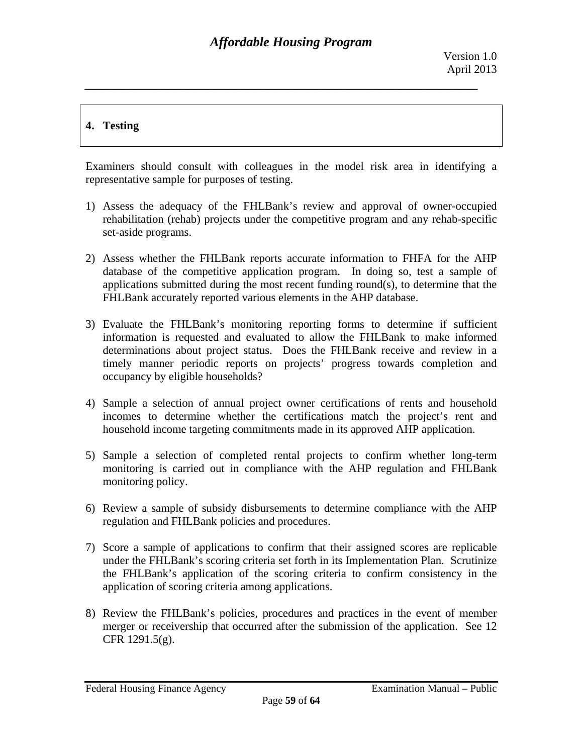# **4. Testing**

Examiners should consult with colleagues in the model risk area in identifying a representative sample for purposes of testing.

- 1) Assess the adequacy of the FHLBank's review and approval of owner-occupied rehabilitation (rehab) projects under the competitive program and any rehab-specific set-aside programs.
- 2) Assess whether the FHLBank reports accurate information to FHFA for the AHP database of the competitive application program. In doing so, test a sample of applications submitted during the most recent funding round(s), to determine that the FHLBank accurately reported various elements in the AHP database.
- 3) Evaluate the FHLBank's monitoring reporting forms to determine if sufficient information is requested and evaluated to allow the FHLBank to make informed determinations about project status. Does the FHLBank receive and review in a timely manner periodic reports on projects' progress towards completion and occupancy by eligible households?
- 4) Sample a selection of annual project owner certifications of rents and household incomes to determine whether the certifications match the project's rent and household income targeting commitments made in its approved AHP application.
- 5) Sample a selection of completed rental projects to confirm whether long-term monitoring is carried out in compliance with the AHP regulation and FHLBank monitoring policy.
- 6) Review a sample of subsidy disbursements to determine compliance with the AHP regulation and FHLBank policies and procedures.
- 7) Score a sample of applications to confirm that their assigned scores are replicable under the FHLBank's scoring criteria set forth in its Implementation Plan. Scrutinize the FHLBank's application of the scoring criteria to confirm consistency in the application of scoring criteria among applications.
- 8) Review the FHLBank's policies, procedures and practices in the event of member merger or receivership that occurred after the submission of the application. See 12 CFR 1291.5(g).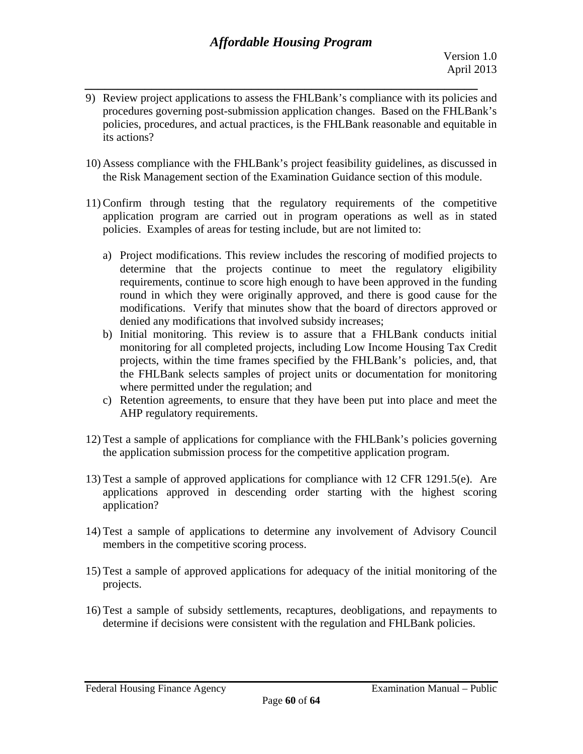- *\_\_\_\_\_\_\_\_\_\_\_\_\_\_\_\_\_\_\_\_\_\_\_\_\_\_\_\_\_\_\_\_\_\_\_\_\_\_\_\_\_\_\_\_\_\_\_\_\_\_\_\_\_\_\_\_\_\_\_*  9) Review project applications to assess the FHLBank's compliance with its policies and procedures governing post-submission application changes. Based on the FHLBank's policies, procedures, and actual practices, is the FHLBank reasonable and equitable in its actions?
- 10) Assess compliance with the FHLBank's project feasibility guidelines, as discussed in the Risk Management section of the Examination Guidance section of this module.
- 11) Confirm through testing that the regulatory requirements of the competitive application program are carried out in program operations as well as in stated policies. Examples of areas for testing include, but are not limited to:
	- a) Project modifications. This review includes the rescoring of modified projects to determine that the projects continue to meet the regulatory eligibility requirements, continue to score high enough to have been approved in the funding round in which they were originally approved, and there is good cause for the modifications. Verify that minutes show that the board of directors approved or denied any modifications that involved subsidy increases;
	- b) Initial monitoring. This review is to assure that a FHLBank conducts initial monitoring for all completed projects, including Low Income Housing Tax Credit projects, within the time frames specified by the FHLBank's policies, and, that the FHLBank selects samples of project units or documentation for monitoring where permitted under the regulation; and
	- c) Retention agreements, to ensure that they have been put into place and meet the AHP regulatory requirements.
- 12) Test a sample of applications for compliance with the FHLBank's policies governing the application submission process for the competitive application program.
- 13) Test a sample of approved applications for compliance with 12 CFR 1291.5(e). Are applications approved in descending order starting with the highest scoring application?
- 14) Test a sample of applications to determine any involvement of Advisory Council members in the competitive scoring process.
- 15) Test a sample of approved applications for adequacy of the initial monitoring of the projects.
- 16) Test a sample of subsidy settlements, recaptures, deobligations, and repayments to determine if decisions were consistent with the regulation and FHLBank policies.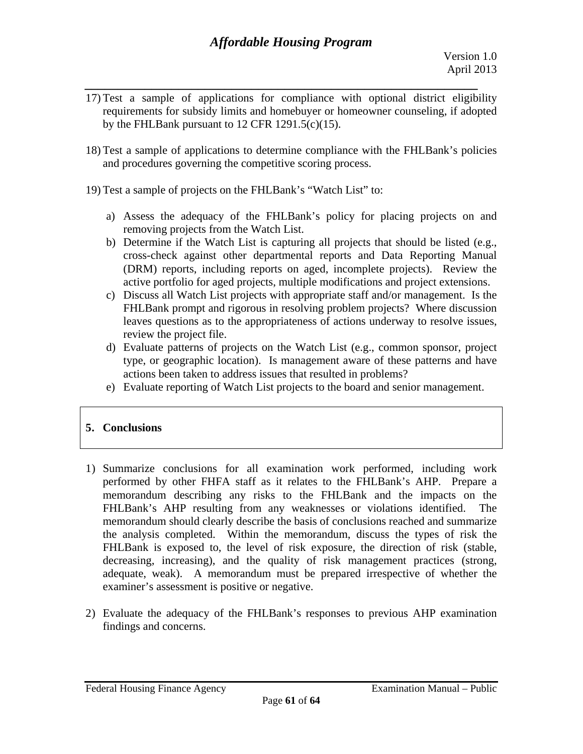- *\_\_\_\_\_\_\_\_\_\_\_\_\_\_\_\_\_\_\_\_\_\_\_\_\_\_\_\_\_\_\_\_\_\_\_\_\_\_\_\_\_\_\_\_\_\_\_\_\_\_\_\_\_\_\_\_\_\_\_*  17) Test a sample of applications for compliance with optional district eligibility requirements for subsidy limits and homebuyer or homeowner counseling, if adopted by the FHLBank pursuant to 12 CFR 1291.5(c)(15).
- 18) Test a sample of applications to determine compliance with the FHLBank's policies and procedures governing the competitive scoring process.
- 19) Test a sample of projects on the FHLBank's "Watch List" to:
	- a) Assess the adequacy of the FHLBank's policy for placing projects on and removing projects from the Watch List.
	- b) Determine if the Watch List is capturing all projects that should be listed (e.g., cross-check against other departmental reports and Data Reporting Manual (DRM) reports, including reports on aged, incomplete projects). Review the active portfolio for aged projects, multiple modifications and project extensions.
	- c) Discuss all Watch List projects with appropriate staff and/or management. Is the FHLBank prompt and rigorous in resolving problem projects? Where discussion leaves questions as to the appropriateness of actions underway to resolve issues, review the project file.
	- d) Evaluate patterns of projects on the Watch List (e.g., common sponsor, project type, or geographic location). Is management aware of these patterns and have actions been taken to address issues that resulted in problems?
	- e) Evaluate reporting of Watch List projects to the board and senior management.

# **5. Conclusions**

- 1) Summarize conclusions for all examination work performed, including work performed by other FHFA staff as it relates to the FHLBank's AHP. Prepare a memorandum describing any risks to the FHLBank and the impacts on the FHLBank's AHP resulting from any weaknesses or violations identified. The memorandum should clearly describe the basis of conclusions reached and summarize the analysis completed. Within the memorandum, discuss the types of risk the FHLBank is exposed to, the level of risk exposure, the direction of risk (stable, decreasing, increasing), and the quality of risk management practices (strong, adequate, weak). A memorandum must be prepared irrespective of whether the examiner's assessment is positive or negative.
- 2) Evaluate the adequacy of the FHLBank's responses to previous AHP examination findings and concerns.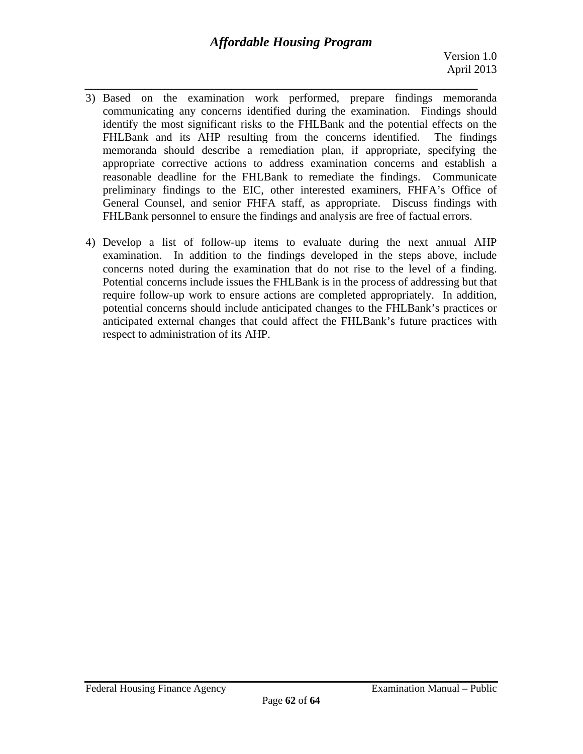# *Affordable Housing Program*

- *\_\_\_\_\_\_\_\_\_\_\_\_\_\_\_\_\_\_\_\_\_\_\_\_\_\_\_\_\_\_\_\_\_\_\_\_\_\_\_\_\_\_\_\_\_\_\_\_\_\_\_\_\_\_\_\_\_\_\_*  3) Based on the examination work performed, prepare findings memoranda communicating any concerns identified during the examination. Findings should identify the most significant risks to the FHLBank and the potential effects on the FHLBank and its AHP resulting from the concerns identified. The findings memoranda should describe a remediation plan, if appropriate, specifying the appropriate corrective actions to address examination concerns and establish a reasonable deadline for the FHLBank to remediate the findings. Communicate preliminary findings to the EIC, other interested examiners, FHFA's Office of General Counsel, and senior FHFA staff, as appropriate. Discuss findings with FHLBank personnel to ensure the findings and analysis are free of factual errors.
- 4) Develop a list of follow-up items to evaluate during the next annual AHP examination. In addition to the findings developed in the steps above, include concerns noted during the examination that do not rise to the level of a finding. Potential concerns include issues the FHLBank is in the process of addressing but that require follow-up work to ensure actions are completed appropriately. In addition, potential concerns should include anticipated changes to the FHLBank's practices or anticipated external changes that could affect the FHLBank's future practices with respect to administration of its AHP.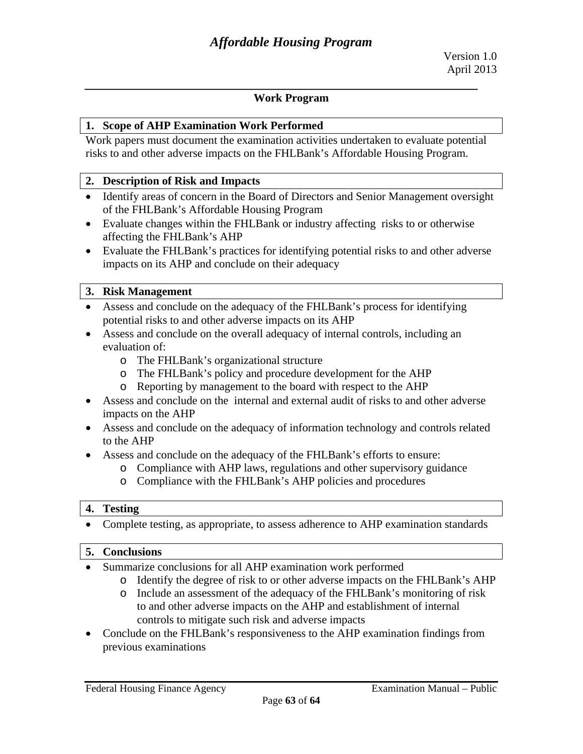#### **Work Program**

*\_\_\_\_\_\_\_\_\_\_\_\_\_\_\_\_\_\_\_\_\_\_\_\_\_\_\_\_\_\_\_\_\_\_\_\_\_\_\_\_\_\_\_\_\_\_\_\_\_\_\_\_\_\_\_\_\_\_\_* 

#### **1. Scope of AHP Examination Work Performed**

Work papers must document the examination activities undertaken to evaluate potential risks to and other adverse impacts on the FHLBank's Affordable Housing Program.

#### **2. Description of Risk and Impacts**

- of the FHLBank's Affordable Housing Program Identify areas of concern in the Board of Directors and Senior Management oversight
- Evaluate changes within the FHLBank or industry affecting risks to or otherwise affecting the FHLBank's AHP
- Evaluate the FHLBank's practices for identifying potential risks to and other adverse impacts on its AHP and conclude on their adequacy

#### **3. Risk Management**

- Assess and conclude on the adequacy of the FHLBank's process for identifying potential risks to and other adverse impacts on its AHP
- Assess and conclude on the overall adequacy of internal controls, including an evaluation of:
	- o The FHLBank's organizational structure
	- o The FHLBank's policy and procedure development for the AHP
	- o Reporting by management to the board with respect to the AHP
- Assess and conclude on the internal and external audit of risks to and other adverse impacts on the AHP
- Assess and conclude on the adequacy of information technology and controls related to the AHP
- Assess and conclude on the adequacy of the FHLBank's efforts to ensure:
	- o Compliance with AHP laws, regulations and other supervisory guidance
	- o Compliance with the FHLBank's AHP policies and procedures

#### **4. Testing**

• Complete testing, as appropriate, to assess adherence to AHP examination standards

#### **5. Conclusions**

- Summarize conclusions for all AHP examination work performed
	- o Identify the degree of risk to or other adverse impacts on the FHLBank's AHP
	- o Include an assessment of the adequacy of the FHLBank's monitoring of risk to and other adverse impacts on the AHP and establishment of internal controls to mitigate such risk and adverse impacts
- Conclude on the FHLBank's responsiveness to the AHP examination findings from previous examinations